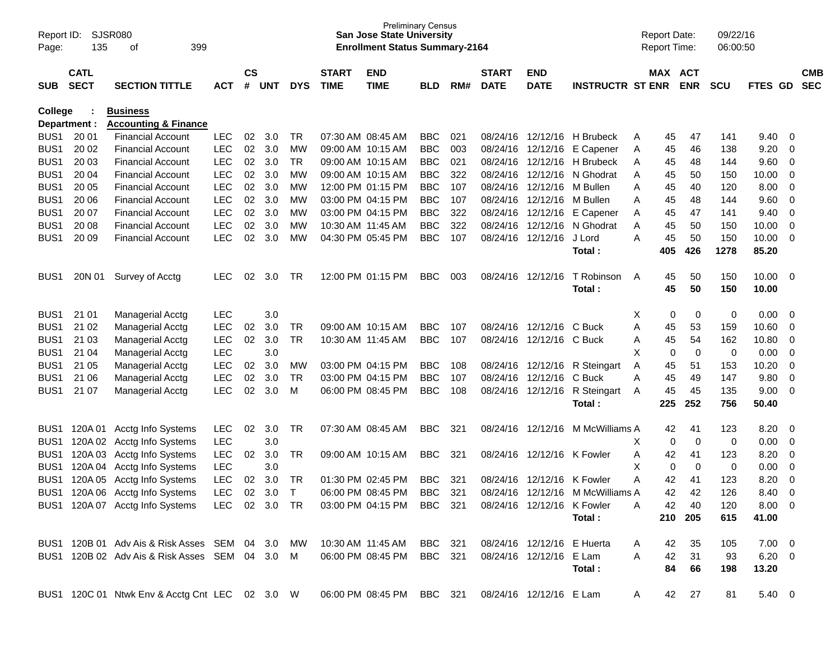| Page:            | SJSR080<br>Report ID:<br>135<br>399<br>οf |                                                |            |                    |            |              |                             | <b>Preliminary Census</b><br><b>San Jose State University</b><br><b>Enrollment Status Summary-2164</b> |            |     |                             |                            |                                  |   | <b>Report Date:</b><br><b>Report Time:</b> |                       | 09/22/16<br>06:00:50 |                |                         |                          |
|------------------|-------------------------------------------|------------------------------------------------|------------|--------------------|------------|--------------|-----------------------------|--------------------------------------------------------------------------------------------------------|------------|-----|-----------------------------|----------------------------|----------------------------------|---|--------------------------------------------|-----------------------|----------------------|----------------|-------------------------|--------------------------|
| <b>SUB</b>       | <b>CATL</b><br><b>SECT</b>                | <b>SECTION TITTLE</b>                          | <b>ACT</b> | $\mathsf{cs}$<br># | <b>UNT</b> | <b>DYS</b>   | <b>START</b><br><b>TIME</b> | <b>END</b><br><b>TIME</b>                                                                              | <b>BLD</b> | RM# | <b>START</b><br><b>DATE</b> | <b>END</b><br><b>DATE</b>  | <b>INSTRUCTR ST ENR</b>          |   |                                            | MAX ACT<br><b>ENR</b> | <b>SCU</b>           | <b>FTES GD</b> |                         | <b>CMB</b><br><b>SEC</b> |
| College          |                                           | <b>Business</b>                                |            |                    |            |              |                             |                                                                                                        |            |     |                             |                            |                                  |   |                                            |                       |                      |                |                         |                          |
|                  | Department :                              | <b>Accounting &amp; Finance</b>                |            |                    |            |              |                             |                                                                                                        |            |     |                             |                            |                                  |   |                                            |                       |                      |                |                         |                          |
| BUS1             | 20 01                                     | <b>Financial Account</b>                       | <b>LEC</b> | 02                 | 3.0        | TR.          |                             | 07:30 AM 08:45 AM                                                                                      | <b>BBC</b> | 021 |                             |                            | 08/24/16 12/12/16 H Brubeck      | A | 45                                         | 47                    | 141                  | 9.40           | $\overline{0}$          |                          |
| BUS <sub>1</sub> | 20 02                                     | <b>Financial Account</b>                       | <b>LEC</b> | 02                 | 3.0        | <b>MW</b>    |                             | 09:00 AM 10:15 AM                                                                                      | <b>BBC</b> | 003 |                             |                            | 08/24/16 12/12/16 E Capener      | A | 45                                         | 46                    | 138                  | 9.20           | 0                       |                          |
| BUS <sub>1</sub> | 20 03                                     | <b>Financial Account</b>                       | <b>LEC</b> | 02                 | 3.0        | <b>TR</b>    |                             | 09:00 AM 10:15 AM                                                                                      | <b>BBC</b> | 021 |                             |                            | 08/24/16 12/12/16 H Brubeck      | A | 45                                         | 48                    | 144                  | 9.60           | $\overline{0}$          |                          |
| BUS <sub>1</sub> | 20 04                                     | <b>Financial Account</b>                       | <b>LEC</b> | 02                 | 3.0        | <b>MW</b>    |                             | 09:00 AM 10:15 AM                                                                                      | <b>BBC</b> | 322 |                             |                            | 08/24/16 12/12/16 N Ghodrat      | A | 45                                         | 50                    | 150                  | 10.00          | 0                       |                          |
| BUS <sub>1</sub> | 20 05                                     | <b>Financial Account</b>                       | <b>LEC</b> | 02                 | 3.0        | МW           |                             | 12:00 PM 01:15 PM                                                                                      | <b>BBC</b> | 107 |                             | 08/24/16 12/12/16 M Bullen |                                  | A | 45                                         | 40                    | 120                  | 8.00           | $\mathbf 0$             |                          |
| BUS <sub>1</sub> | 20 06                                     | <b>Financial Account</b>                       | <b>LEC</b> | 02                 | 3.0        | МW           |                             | 03:00 PM 04:15 PM                                                                                      | <b>BBC</b> | 107 |                             | 08/24/16 12/12/16          | M Bullen                         | A | 45                                         | 48                    | 144                  | 9.60           | $\mathbf 0$             |                          |
| BUS <sub>1</sub> | 20 07                                     | <b>Financial Account</b>                       | <b>LEC</b> | 02                 | 3.0        | МW           |                             | 03:00 PM 04:15 PM                                                                                      | <b>BBC</b> | 322 |                             |                            | 08/24/16 12/12/16 E Capener      | A | 45                                         | 47                    | 141                  | 9.40           | $\mathbf 0$             |                          |
| BUS <sub>1</sub> | 20 08                                     | <b>Financial Account</b>                       | <b>LEC</b> | 02                 | 3.0        | МW           |                             | 10:30 AM 11:45 AM                                                                                      | <b>BBC</b> | 322 | 08/24/16                    |                            | 12/12/16 N Ghodrat               | Α | 45                                         | 50                    | 150                  | 10.00          | 0                       |                          |
| BUS <sub>1</sub> | 20 09                                     | <b>Financial Account</b>                       | <b>LEC</b> | 02                 | 3.0        | MW           |                             | 04:30 PM 05:45 PM                                                                                      | <b>BBC</b> | 107 |                             | 08/24/16 12/12/16          | J Lord                           | A | 45                                         | 50                    | 150                  | 10.00          | $\overline{0}$          |                          |
|                  |                                           |                                                |            |                    |            |              |                             |                                                                                                        |            |     |                             |                            | Total:                           |   | 405                                        | 426                   | 1278                 | 85.20          |                         |                          |
| BUS1             | 20N 01                                    | Survey of Acctg                                | <b>LEC</b> | 02                 | 3.0        | TR           |                             | 12:00 PM 01:15 PM                                                                                      | <b>BBC</b> | 003 |                             | 08/24/16 12/12/16          | T Robinson                       | A | 45                                         | 50                    | 150                  | 10.00          | $\overline{\mathbf{0}}$ |                          |
|                  |                                           |                                                |            |                    |            |              |                             |                                                                                                        |            |     |                             |                            | Total:                           |   | 45                                         | 50                    | 150                  | 10.00          |                         |                          |
|                  |                                           |                                                |            |                    |            |              |                             |                                                                                                        |            |     |                             |                            |                                  |   |                                            |                       |                      |                |                         |                          |
| BUS <sub>1</sub> | 21 01                                     | <b>Managerial Acctg</b>                        | <b>LEC</b> |                    | 3.0        |              |                             |                                                                                                        |            |     |                             |                            |                                  | X | 0                                          | 0                     | 0                    | 0.00           | 0                       |                          |
| BUS <sub>1</sub> | 21 02                                     | Managerial Acctg                               | <b>LEC</b> | 02                 | 3.0        | <b>TR</b>    |                             | 09:00 AM 10:15 AM                                                                                      | <b>BBC</b> | 107 |                             | 08/24/16 12/12/16 C Buck   |                                  | A | 45                                         | 53                    | 159                  | 10.60          | 0                       |                          |
| BUS <sub>1</sub> | 21 03                                     | Managerial Acctg                               | <b>LEC</b> | 02                 | 3.0        | <b>TR</b>    |                             | 10:30 AM 11:45 AM                                                                                      | <b>BBC</b> | 107 |                             | 08/24/16 12/12/16 C Buck   |                                  | Α | 45                                         | 54                    | 162                  | 10.80          | 0                       |                          |
| BUS <sub>1</sub> | 21 04                                     | <b>Managerial Acctg</b>                        | <b>LEC</b> |                    | 3.0        |              |                             |                                                                                                        |            |     |                             |                            |                                  | X | 0                                          | 0                     | 0                    | 0.00           | $\mathbf 0$             |                          |
| BUS <sub>1</sub> | 21 05                                     | <b>Managerial Acctg</b>                        | <b>LEC</b> | 02                 | 3.0        | MW           |                             | 03:00 PM 04:15 PM                                                                                      | <b>BBC</b> | 108 |                             |                            | 08/24/16 12/12/16 R Steingart    | A | 45                                         | 51                    | 153                  | 10.20          | 0                       |                          |
| BUS <sub>1</sub> | 21 06                                     | Managerial Acctg                               | <b>LEC</b> | 02                 | 3.0        | <b>TR</b>    |                             | 03:00 PM 04:15 PM                                                                                      | <b>BBC</b> | 107 |                             | 08/24/16 12/12/16          | C Buck                           | A | 45                                         | 49                    | 147                  | 9.80           | 0                       |                          |
| BUS1             | 21 07                                     | <b>Managerial Acctg</b>                        | <b>LEC</b> | 02                 | 3.0        | M            |                             | 06:00 PM 08:45 PM                                                                                      | <b>BBC</b> | 108 |                             |                            | 08/24/16 12/12/16 R Steingart    | A | 45                                         | 45                    | 135                  | 9.00           | $\overline{0}$          |                          |
|                  |                                           |                                                |            |                    |            |              |                             |                                                                                                        |            |     |                             |                            | Total:                           |   | 225                                        | 252                   | 756                  | 50.40          |                         |                          |
| BUS <sub>1</sub> | 120A 01                                   | Acctg Info Systems                             | <b>LEC</b> | 02                 | 3.0        | TR.          |                             | 07:30 AM 08:45 AM                                                                                      | <b>BBC</b> | 321 |                             | 08/24/16 12/12/16          | M McWilliams A                   |   | 42                                         | 41                    | 123                  | 8.20           | 0                       |                          |
| BUS <sub>1</sub> |                                           | 120A 02 Acctg Info Systems                     | <b>LEC</b> |                    | 3.0        |              |                             |                                                                                                        |            |     |                             |                            |                                  | Х | 0                                          | 0                     | 0                    | 0.00           | $\overline{0}$          |                          |
| BUS <sub>1</sub> | 120A03                                    | Acctg Info Systems                             | LEC        | 02                 | 3.0        | <b>TR</b>    |                             | 09:00 AM 10:15 AM                                                                                      | <b>BBC</b> | 321 |                             | 08/24/16 12/12/16          | K Fowler                         | Α | 42                                         | 41                    | 123                  | 8.20           | 0                       |                          |
| BUS <sub>1</sub> |                                           | 120A 04 Acctg Info Systems                     | <b>LEC</b> |                    | 3.0        |              |                             |                                                                                                        |            |     |                             |                            |                                  | X | 0                                          | 0                     | 0                    | 0.00           | $\mathbf 0$             |                          |
| BUS <sub>1</sub> | 120A 05                                   | Acctg Info Systems                             | <b>LEC</b> | 02                 | 3.0        | TR           |                             | 01:30 PM 02:45 PM                                                                                      | <b>BBC</b> | 321 | 08/24/16                    | 12/12/16                   | K Fowler                         | A | 42                                         | 41                    | 123                  | 8.20           | $\mathbf 0$             |                          |
| BUS <sub>1</sub> |                                           | 120A 06 Acctg Info Systems                     | <b>LEC</b> | 02                 | 3.0        | $\mathsf{T}$ |                             | 06:00 PM 08:45 PM                                                                                      | <b>BBC</b> | 321 |                             |                            | 08/24/16 12/12/16 M McWilliams A |   | 42                                         | 42                    | 126                  | 8.40           | $\mathbf 0$             |                          |
|                  |                                           | BUS1 120A 07 Acctg Info Systems LEC 02 3.0 TR  |            |                    |            |              |                             | 03:00 PM 04:15 PM BBC 321                                                                              |            |     |                             | 08/24/16 12/12/16 K Fowler |                                  | A | 42                                         | 40                    | 120                  | $8.00 \t 0$    |                         |                          |
|                  |                                           |                                                |            |                    |            |              |                             |                                                                                                        |            |     |                             |                            | Total:                           |   |                                            | 210 205               | 615                  | 41.00          |                         |                          |
|                  |                                           |                                                |            |                    |            |              |                             |                                                                                                        |            |     |                             |                            |                                  |   |                                            |                       |                      |                |                         |                          |
|                  |                                           | BUS1 120B 01 Adv Ais & Risk Asses SEM 04 3.0   |            |                    |            | MW           |                             | 10:30 AM 11:45 AM                                                                                      | BBC 321    |     |                             | 08/24/16 12/12/16 E Huerta |                                  | A | 42                                         | 35                    | 105                  | $7.00 \t 0$    |                         |                          |
|                  |                                           | BUS1 120B 02 Adv Ais & Risk Asses SEM 04 3.0 M |            |                    |            |              |                             | 06:00 PM 08:45 PM                                                                                      | BBC 321    |     |                             | 08/24/16 12/12/16 E Lam    |                                  | A | 42                                         | 31                    | 93                   | $6.20\ 0$      |                         |                          |
|                  |                                           |                                                |            |                    |            |              |                             |                                                                                                        |            |     |                             |                            | Total:                           |   | 84                                         | 66                    | 198                  | 13.20          |                         |                          |
|                  |                                           | BUS1 120C 01 Ntwk Env & Acctg Cnt LEC 02 3.0 W |            |                    |            |              |                             | 06:00 PM 08:45 PM BBC 321                                                                              |            |     |                             | 08/24/16 12/12/16 E Lam    |                                  | A | 42                                         | 27                    | 81                   | 5.40 0         |                         |                          |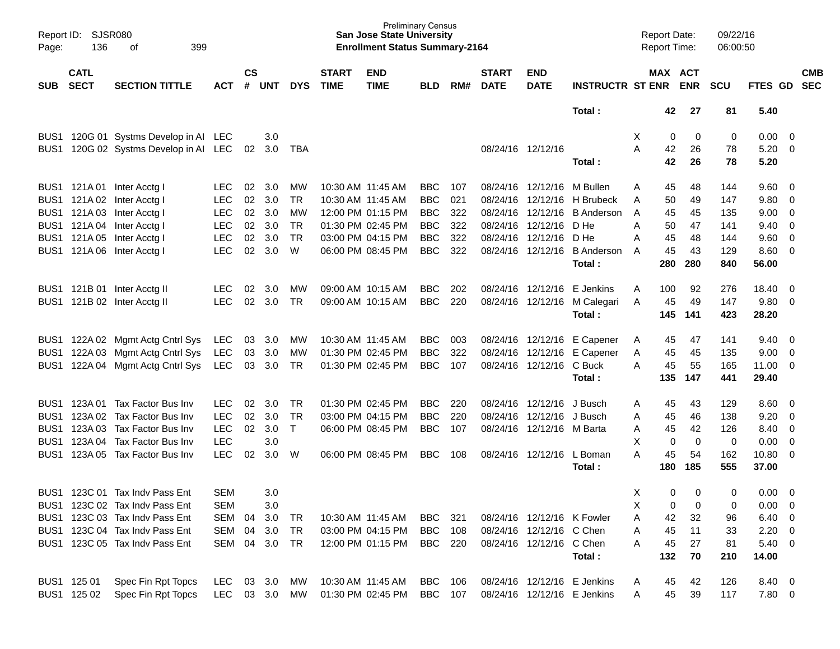| Page:            | SJSR080<br>Report ID:<br>136<br>399<br>οf |                                   |               |                    |            |                |                             | <b>San Jose State University</b><br><b>Enrollment Status Summary-2164</b> | <b>Preliminary Census</b> |       |                             |                            |                                        | <b>Report Date:</b><br>Report Time: |                       | 09/22/16<br>06:00:50 |                   |                          |                          |
|------------------|-------------------------------------------|-----------------------------------|---------------|--------------------|------------|----------------|-----------------------------|---------------------------------------------------------------------------|---------------------------|-------|-----------------------------|----------------------------|----------------------------------------|-------------------------------------|-----------------------|----------------------|-------------------|--------------------------|--------------------------|
| <b>SUB</b>       | <b>CATL</b><br><b>SECT</b>                | <b>SECTION TITTLE</b>             | <b>ACT</b>    | $\mathsf{cs}$<br># | <b>UNT</b> | <b>DYS</b>     | <b>START</b><br><b>TIME</b> | <b>END</b><br><b>TIME</b>                                                 | <b>BLD</b>                | RM#   | <b>START</b><br><b>DATE</b> | <b>END</b><br><b>DATE</b>  | <b>INSTRUCTR ST ENR</b>                |                                     | MAX ACT<br><b>ENR</b> | <b>SCU</b>           | FTES GD           |                          | <b>CMB</b><br><b>SEC</b> |
|                  |                                           |                                   |               |                    |            |                |                             |                                                                           |                           |       |                             |                            | Total:                                 | 42                                  | 27                    | 81                   | 5.40              |                          |                          |
|                  |                                           | BUS1 120G 01 Systms Develop in Al | <b>LEC</b>    |                    | 3.0        |                |                             |                                                                           |                           |       |                             |                            |                                        | Χ<br>0                              | 0                     | 0                    | $0.00 \quad 0$    |                          |                          |
| BUS1             |                                           | 120G 02 Systms Develop in Al      | LEC.          | 02                 | 3.0        | TBA            |                             |                                                                           |                           |       |                             | 08/24/16 12/12/16          |                                        | А<br>42                             | 26                    | 78                   | $5.20 \ 0$        |                          |                          |
|                  |                                           |                                   |               |                    |            |                |                             |                                                                           |                           |       |                             |                            | Total:                                 | 42                                  | 26                    | 78                   | 5.20              |                          |                          |
|                  |                                           | BUS1 121A 01 Inter Acctg I        | <b>LEC</b>    | 02                 | 3.0        | MW             |                             | 10:30 AM 11:45 AM                                                         | <b>BBC</b>                | 107   |                             | 08/24/16 12/12/16 M Bullen |                                        | 45<br>Α                             | 48                    | 144                  | $9.60 \quad 0$    |                          |                          |
|                  |                                           | BUS1 121A 02 Inter Acctg I        | <b>LEC</b>    | 02                 | 3.0        | <b>TR</b>      |                             | 10:30 AM 11:45 AM                                                         | <b>BBC</b>                | 021   |                             | 08/24/16 12/12/16          | H Brubeck                              | 50<br>A                             | 49                    | 147                  | 9.80              | $\overline{\phantom{0}}$ |                          |
|                  |                                           | BUS1 121A 03 Inter Acctg I        | <b>LEC</b>    | 02                 | 3.0        | МW             |                             | 12:00 PM 01:15 PM                                                         | <b>BBC</b>                | 322   |                             | 08/24/16 12/12/16          | <b>B</b> Anderson                      | 45<br>A                             | 45                    | 135                  | 9.00              | $\overline{\mathbf{0}}$  |                          |
|                  |                                           | BUS1 121A 04 Inter Acctg I        | <b>LEC</b>    | 02                 | 3.0        | <b>TR</b>      |                             | 01:30 PM 02:45 PM                                                         | <b>BBC</b>                | 322   |                             | 08/24/16 12/12/16          | D He                                   | A<br>50                             | 47                    | 141                  | 9.40              | $\overline{\phantom{0}}$ |                          |
|                  |                                           | BUS1 121A 05 Inter Acctg I        | <b>LEC</b>    | 02<br>02           | 3.0        | <b>TR</b><br>W |                             | 03:00 PM 04:15 PM                                                         | <b>BBC</b><br><b>BBC</b>  | 322   |                             | 08/24/16 12/12/16          | D He                                   | 45<br>Α                             | 48                    | 144                  | $9.60 \quad 0$    |                          |                          |
|                  |                                           | BUS1 121A 06 Inter Acctg I        | <b>LEC</b>    |                    | 3.0        |                |                             | 06:00 PM 08:45 PM                                                         |                           | 322   |                             |                            | 08/24/16 12/12/16 B Anderson<br>Total: | 45<br>A<br>280                      | 43<br>280             | 129<br>840           | $8.60$ 0<br>56.00 |                          |                          |
|                  |                                           |                                   |               |                    |            |                |                             |                                                                           |                           |       |                             |                            |                                        |                                     |                       |                      |                   |                          |                          |
|                  |                                           | BUS1 121B 01 Inter Acctg II       | <b>LEC</b>    | 02                 | 3.0        | MW             |                             | 09:00 AM 10:15 AM                                                         | <b>BBC</b>                | 202   |                             | 08/24/16 12/12/16          | E Jenkins                              | 100<br>Α                            | 92                    | 276                  | 18.40             | $\overline{\phantom{0}}$ |                          |
| BUS1             |                                           | 121B 02 Inter Acctg II            | <b>LEC</b>    | 02                 | 3.0        | <b>TR</b>      |                             | 09:00 AM 10:15 AM                                                         | <b>BBC</b>                | 220   |                             |                            | 08/24/16 12/12/16 M Calegari           | 45<br>A                             | 49                    | 147                  | 9.80 0            |                          |                          |
|                  |                                           |                                   |               |                    |            |                |                             |                                                                           |                           |       |                             |                            | Total:                                 | 145                                 | 141                   | 423                  | 28.20             |                          |                          |
|                  |                                           | BUS1 122A 02 Mgmt Actg Cntrl Sys  | LEC           | 03                 | 3.0        | <b>MW</b>      |                             | 10:30 AM 11:45 AM                                                         | <b>BBC</b>                | 003   |                             |                            | 08/24/16 12/12/16 E Capener            | 45<br>Α                             | 47                    | 141                  | 9.40              | $\overline{\phantom{0}}$ |                          |
|                  |                                           | BUS1 122A 03 Mgmt Actg Cntrl Sys  | LEC           | 03                 | 3.0        | МW             |                             | 01:30 PM 02:45 PM                                                         | <b>BBC</b>                | 322   |                             |                            | 08/24/16 12/12/16 E Capener            | 45<br>Α                             | 45                    | 135                  | 9.00              | $\overline{\phantom{0}}$ |                          |
| BUS1             |                                           | 122A 04 Mgmt Actg Cntrl Sys       | LEC           | 03                 | 3.0        | TR             |                             | 01:30 PM 02:45 PM                                                         | <b>BBC</b>                | 107   |                             | 08/24/16 12/12/16 C Buck   |                                        | 45<br>A                             | 55                    | 165                  | 11.00 0           |                          |                          |
|                  |                                           |                                   |               |                    |            |                |                             |                                                                           |                           |       |                             |                            | Total:                                 | 135                                 | 147                   | 441                  | 29.40             |                          |                          |
| BUS1             | 123A 01                                   | Tax Factor Bus Inv                | <b>LEC</b>    | 02                 | 3.0        | TR             |                             | 01:30 PM 02:45 PM                                                         | <b>BBC</b>                | 220   |                             | 08/24/16 12/12/16          | J Busch                                | 45<br>Α                             | 43                    | 129                  | $8.60 \quad 0$    |                          |                          |
| BUS <sub>1</sub> |                                           | 123A 02 Tax Factor Bus Inv        | <b>LEC</b>    | 02                 | 3.0        | TR             |                             | 03:00 PM 04:15 PM                                                         | <b>BBC</b>                | 220   |                             | 08/24/16 12/12/16          | J Busch                                | 45<br>A                             | 46                    | 138                  | 9.20              | $\overline{\mathbf{0}}$  |                          |
| BUS1             |                                           | 123A 03 Tax Factor Bus Inv        | <b>LEC</b>    | 02                 | 3.0        | $\mathsf{T}$   |                             | 06:00 PM 08:45 PM                                                         | <b>BBC</b>                | 107   |                             | 08/24/16 12/12/16 M Barta  |                                        | 45<br>Α                             | 42                    | 126                  | 8.40              | $\overline{\mathbf{0}}$  |                          |
| BUS1             |                                           | 123A 04 Tax Factor Bus Inv        | <b>LEC</b>    |                    | 3.0        |                |                             |                                                                           |                           |       |                             |                            |                                        | X<br>0                              | $\mathbf 0$           | 0                    | 0.00              | $\overline{\mathbf{0}}$  |                          |
| BUS1             | 123A 05                                   | Tax Factor Bus Inv                | <b>LEC</b>    | 02                 | 3.0        | W              |                             | 06:00 PM 08:45 PM                                                         | <b>BBC</b>                | 108   |                             | 08/24/16 12/12/16          | L Boman                                | A<br>45                             | 54                    | 162                  | 10.80 0           |                          |                          |
|                  |                                           |                                   |               |                    |            |                |                             |                                                                           |                           |       |                             |                            | Total:                                 | 180                                 | 185                   | 555                  | 37.00             |                          |                          |
|                  |                                           | BUS1 123C 01 Tax Indv Pass Ent    | <b>SEM</b>    |                    | 3.0        |                |                             |                                                                           |                           |       |                             |                            |                                        | Χ                                   | 0<br>0                | 0                    | 0.00              | $\overline{\phantom{0}}$ |                          |
|                  |                                           | BUS1 123C 02 Tax Indy Pass Ent    | <b>SEM</b>    |                    | 3.0        |                |                             |                                                                           |                           |       |                             |                            |                                        | х<br>0                              | 0                     | 0                    | $0.00 \t 0$       |                          |                          |
|                  |                                           | BUS1 123C 03 Tax Indv Pass Ent    | SEM           | 04                 | 3.0        | TR             |                             | 10:30 AM 11:45 AM                                                         | BBC                       | - 321 |                             | 08/24/16 12/12/16 K Fowler |                                        | 42<br>Α                             | 32                    | 96                   | $6.40\ 0$         |                          |                          |
|                  |                                           | BUS1 123C 04 Tax Indv Pass Ent    | SEM           |                    | 04 3.0     | <b>TR</b>      |                             | 03:00 PM 04:15 PM                                                         | <b>BBC</b> 108            |       |                             | 08/24/16 12/12/16 C Chen   |                                        | 45<br>A                             | 11                    | 33                   | $2.20 \t 0$       |                          |                          |
|                  |                                           | BUS1 123C 05 Tax Indv Pass Ent    | SEM 04 3.0    |                    |            | - TR           |                             | 12:00 PM 01:15 PM                                                         | BBC 220                   |       |                             | 08/24/16 12/12/16 C Chen   |                                        | 45<br>Α                             | 27                    | 81                   | $5.40 \ 0$        |                          |                          |
|                  |                                           |                                   |               |                    |            |                |                             |                                                                           |                           |       |                             |                            | Total:                                 | 132                                 | 70                    | 210                  | 14.00             |                          |                          |
|                  | BUS1 125 01                               | Spec Fin Rpt Topcs                | LEC           |                    | 03 3.0     | MW             |                             | 10:30 AM 11:45 AM                                                         | BBC 106                   |       |                             |                            | 08/24/16 12/12/16 E Jenkins            | 45<br>Α                             | 42                    | 126                  | 8.40 0            |                          |                          |
|                  | BUS1 125 02                               | Spec Fin Rpt Topcs                | LEC 03 3.0 MW |                    |            |                |                             | 01:30 PM 02:45 PM BBC 107                                                 |                           |       |                             |                            | 08/24/16 12/12/16 E Jenkins            | 45<br>A                             | 39                    | 117                  | $7.80\ 0$         |                          |                          |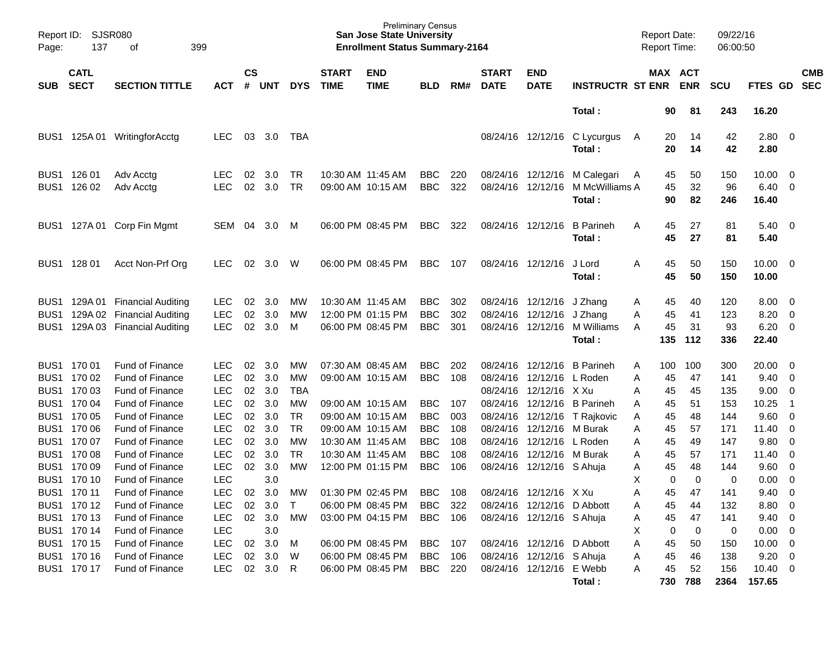| Page:            | <b>SJSR080</b><br>Report ID:<br>137<br>399<br>οf |                            |            |                    |            |            |                             | <b>Preliminary Census</b><br><b>San Jose State University</b><br><b>Enrollment Status Summary-2164</b> |                |     |                             |                            |                            | <b>Report Date:</b><br><b>Report Time:</b> |             | 09/22/16<br>06:00:50 |                        |                          |
|------------------|--------------------------------------------------|----------------------------|------------|--------------------|------------|------------|-----------------------------|--------------------------------------------------------------------------------------------------------|----------------|-----|-----------------------------|----------------------------|----------------------------|--------------------------------------------|-------------|----------------------|------------------------|--------------------------|
| SUB              | <b>CATL</b><br><b>SECT</b>                       | <b>SECTION TITTLE</b>      | <b>ACT</b> | $\mathsf{cs}$<br># | <b>UNT</b> | <b>DYS</b> | <b>START</b><br><b>TIME</b> | <b>END</b><br><b>TIME</b>                                                                              | <b>BLD</b>     | RM# | <b>START</b><br><b>DATE</b> | <b>END</b><br><b>DATE</b>  | <b>INSTRUCTR ST ENR</b>    | MAX ACT                                    | <b>ENR</b>  | <b>SCU</b>           | <b>FTES GD</b>         | <b>CMB</b><br><b>SEC</b> |
|                  |                                                  |                            |            |                    |            |            |                             |                                                                                                        |                |     |                             |                            | Total:                     | 90                                         | 81          | 243                  | 16.20                  |                          |
| BUS <sub>1</sub> |                                                  | 125A 01 WritingforAcctg    | <b>LEC</b> | 03                 | 3.0        | TBA        |                             |                                                                                                        |                |     |                             | 08/24/16 12/12/16          | C Lycurgus<br>Total:       | 20<br>A<br>20                              | 14<br>14    | 42<br>42             | 2.80 0<br>2.80         |                          |
| BUS1             | 126 01                                           | Adv Acctg                  | <b>LEC</b> | 02                 | 3.0        | TR         |                             | 10:30 AM 11:45 AM                                                                                      | <b>BBC</b>     | 220 |                             | 08/24/16 12/12/16          | M Calegari                 | 45<br>A                                    | 50          | 150                  | 10.00                  | $\overline{\phantom{0}}$ |
| BUS <sub>1</sub> | 126 02                                           | Adv Acctg                  | <b>LEC</b> | 02                 | 3.0        | <b>TR</b>  |                             | 09:00 AM 10:15 AM                                                                                      | <b>BBC</b>     | 322 | 08/24/16                    | 12/12/16                   | M McWilliams A             | 45                                         | 32          | 96                   | 6.40                   | $\overline{\phantom{0}}$ |
|                  |                                                  |                            |            |                    |            |            |                             |                                                                                                        |                |     |                             |                            | Total:                     | 90                                         | 82          | 246                  | 16.40                  |                          |
| BUS1             |                                                  | 127A 01 Corp Fin Mgmt      | SEM        | 04                 | 3.0        | M          | 06:00 PM 08:45 PM           |                                                                                                        | <b>BBC</b>     | 322 |                             | 08/24/16 12/12/16          | <b>B</b> Parineh<br>Total: | A<br>45<br>45                              | 27<br>27    | 81<br>81             | $5.40 \quad 0$<br>5.40 |                          |
| BUS <sub>1</sub> | 128 01                                           | Acct Non-Prf Org           | <b>LEC</b> | 02                 | 3.0        | W          | 06:00 PM 08:45 PM           |                                                                                                        | <b>BBC</b>     | 107 | 08/24/16 12/12/16           |                            | J Lord<br>Total:           | Α<br>45<br>45                              | 50<br>50    | 150<br>150           | $10.00 \t 0$<br>10.00  |                          |
| BUS1             |                                                  | 129A 01 Financial Auditing | <b>LEC</b> | 02                 | 3.0        | MW         | 10:30 AM 11:45 AM           |                                                                                                        | <b>BBC</b>     | 302 |                             | 08/24/16 12/12/16          | J Zhang                    | 45<br>A                                    | 40          | 120                  | 8.00                   | $\overline{\phantom{0}}$ |
| BUS <sub>1</sub> |                                                  | 129A 02 Financial Auditing | <b>LEC</b> | 02                 | 3.0        | MW         |                             | 12:00 PM 01:15 PM                                                                                      | <b>BBC</b>     | 302 | 08/24/16                    | 12/12/16                   | J Zhang                    | 45<br>Α                                    | 41          | 123                  | 8.20                   | $\overline{0}$           |
| BUS <sub>1</sub> |                                                  | 129A 03 Financial Auditing | <b>LEC</b> | 02                 | 3.0        | M          |                             | 06:00 PM 08:45 PM                                                                                      | <b>BBC</b>     | 301 |                             | 08/24/16 12/12/16          | M Williams                 | 45<br>A                                    | 31          | 93                   | 6.20                   | $\overline{\phantom{0}}$ |
|                  |                                                  |                            |            |                    |            |            |                             |                                                                                                        |                |     |                             |                            | Total:                     | 135                                        | 112         | 336                  | 22.40                  |                          |
|                  | BUS1 170 01                                      | <b>Fund of Finance</b>     | <b>LEC</b> | 02                 | 3.0        | MW         |                             | 07:30 AM 08:45 AM                                                                                      | <b>BBC</b>     | 202 | 08/24/16                    | 12/12/16                   | <b>B</b> Parineh           | 100<br>A                                   | 100         | 300                  | 20.00                  | $\overline{\phantom{0}}$ |
| BUS <sub>1</sub> | 170 02                                           | Fund of Finance            | <b>LEC</b> | 02                 | 3.0        | MW         |                             | 09:00 AM 10:15 AM                                                                                      | <b>BBC</b>     | 108 | 08/24/16                    | 12/12/16                   | L Roden                    | 45<br>Α                                    | 47          | 141                  | 9.40                   | $\overline{\phantom{0}}$ |
| BUS <sub>1</sub> | 170 03                                           | Fund of Finance            | <b>LEC</b> | 02                 | 3.0        | <b>TBA</b> |                             |                                                                                                        |                |     | 08/24/16                    | 12/12/16 X Xu              |                            | 45<br>Α                                    | 45          | 135                  | 9.00                   | $\overline{0}$           |
| BUS <sub>1</sub> | 170 04                                           | Fund of Finance            | <b>LEC</b> | 02                 | 3.0        | <b>MW</b>  |                             | 09:00 AM 10:15 AM                                                                                      | <b>BBC</b>     | 107 | 08/24/16                    | 12/12/16                   | <b>B</b> Parineh           | 45<br>Α                                    | 51          | 153                  | 10.25                  | $\overline{1}$           |
| BUS <sub>1</sub> | 170 05                                           | Fund of Finance            | <b>LEC</b> | 02                 | 3.0        | <b>TR</b>  |                             | 09:00 AM 10:15 AM                                                                                      | <b>BBC</b>     | 003 | 08/24/16                    |                            | 12/12/16 T Rajkovic        | 45<br>A                                    | 48          | 144                  | 9.60                   | $\overline{\phantom{0}}$ |
| BUS <sub>1</sub> | 170 06                                           | Fund of Finance            | <b>LEC</b> | 02                 | 3.0        | <b>TR</b>  |                             | 09:00 AM 10:15 AM                                                                                      | <b>BBC</b>     | 108 | 08/24/16                    | 12/12/16                   | M Burak                    | 45<br>Α                                    | 57          | 171                  | 11.40                  | $\overline{0}$           |
| BUS <sub>1</sub> | 170 07                                           | Fund of Finance            | <b>LEC</b> | 02                 | 3.0        | <b>MW</b>  | 10:30 AM 11:45 AM           |                                                                                                        | <b>BBC</b>     | 108 | 08/24/16                    | 12/12/16                   | L Roden                    | 45<br>Α                                    | 49          | 147                  | 9.80                   | $\overline{0}$           |
| BUS <sub>1</sub> | 170 08                                           | <b>Fund of Finance</b>     | <b>LEC</b> | 02                 | 3.0        | <b>TR</b>  | 10:30 AM 11:45 AM           |                                                                                                        | <b>BBC</b>     | 108 | 08/24/16                    | 12/12/16                   | M Burak                    | 45<br>Α                                    | 57          | 171                  | 11.40                  | $\overline{\mathbf{0}}$  |
| BUS <sub>1</sub> | 170 09                                           | <b>Fund of Finance</b>     | <b>LEC</b> | 02                 | 3.0        | MW         |                             | 12:00 PM 01:15 PM                                                                                      | <b>BBC</b>     | 106 | 08/24/16                    | 12/12/16 S Ahuja           |                            | 45<br>Α                                    | 48          | 144                  | 9.60                   | $\overline{\phantom{0}}$ |
| BUS <sub>1</sub> | 170 10                                           | <b>Fund of Finance</b>     | <b>LEC</b> |                    | 3.0        |            |                             |                                                                                                        |                |     |                             |                            |                            | Χ<br>0                                     | $\mathbf 0$ | 0                    | 0.00                   | $\overline{0}$           |
|                  | BUS1 170 11                                      | <b>Fund of Finance</b>     | <b>LEC</b> | 02                 | 3.0        | MW         | 01:30 PM 02:45 PM           |                                                                                                        | <b>BBC</b>     | 108 |                             | 08/24/16 12/12/16 X Xu     |                            | Α<br>45                                    | 47          | 141                  | 9.40                   | $\overline{0}$           |
|                  | BUS1 170 12                                      | <b>Fund of Finance</b>     | <b>LEC</b> | 02                 | 3.0        | $\top$     |                             | 06:00 PM 08:45 PM                                                                                      | BBC            | 322 |                             | 08/24/16 12/12/16 D Abbott |                            | 45<br>Α                                    | 44          | 132                  | 8.80 0                 |                          |
|                  | BUS1 170 13                                      | Fund of Finance            | <b>LEC</b> | 02                 | 3.0        | MW         |                             | 03:00 PM 04:15 PM                                                                                      | <b>BBC</b>     | 106 |                             | 08/24/16 12/12/16 S Ahuja  |                            | 45<br>Α                                    | 47          | 141                  | $9.40 \quad 0$         |                          |
|                  | BUS1 170 14                                      | Fund of Finance            | LEC        |                    | 3.0        |            |                             |                                                                                                        |                |     |                             |                            |                            | 0<br>Х                                     | 0           | 0                    | $0.00 \t 0$            |                          |
|                  | BUS1 170 15                                      | Fund of Finance            | <b>LEC</b> | $02\,$             | 3.0        | M          |                             | 06:00 PM 08:45 PM                                                                                      | <b>BBC</b> 107 |     |                             | 08/24/16 12/12/16 D Abbott |                            | 45<br>Α                                    | 50          | 150                  | $10.00 \t 0$           |                          |
|                  | BUS1 170 16                                      | Fund of Finance            | <b>LEC</b> | 02                 | 3.0        | W          |                             | 06:00 PM 08:45 PM                                                                                      | <b>BBC</b>     | 106 |                             | 08/24/16 12/12/16 S Ahuja  |                            | 45<br>Α                                    | 46          | 138                  | $9.20 \ 0$             |                          |
|                  | BUS1 170 17                                      | Fund of Finance            | <b>LEC</b> |                    | 02 3.0 R   |            |                             | 06:00 PM 08:45 PM                                                                                      | BBC 220        |     |                             | 08/24/16 12/12/16 E Webb   |                            | 45<br>A                                    | 52          | 156                  | $10.40\ 0$             |                          |
|                  |                                                  |                            |            |                    |            |            |                             |                                                                                                        |                |     |                             |                            | Total:                     |                                            | 730 788     | 2364                 | 157.65                 |                          |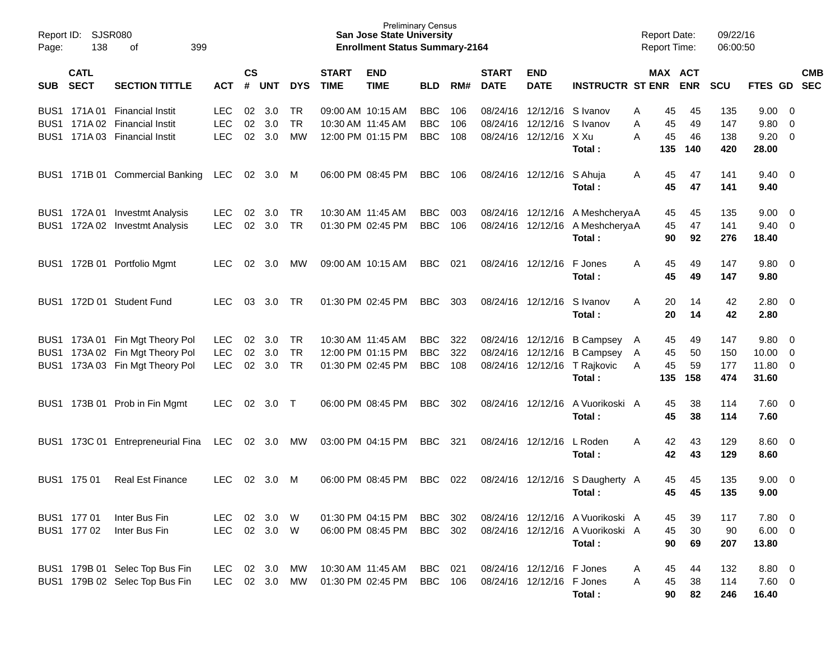| Page:      | Report ID: SJSR080<br>138<br>399<br>оf |                                                                                                       |                                        |                             |                   |                               |                             | <b>Preliminary Census</b><br><b>San Jose State University</b><br><b>Enrollment Status Summary-2164</b> |                                        |                   |                             |                                                                                    |                                                                                | <b>Report Date:</b><br><b>Report Time:</b> |                       | 09/22/16<br>06:00:50     |                                   |                                                                      |            |
|------------|----------------------------------------|-------------------------------------------------------------------------------------------------------|----------------------------------------|-----------------------------|-------------------|-------------------------------|-----------------------------|--------------------------------------------------------------------------------------------------------|----------------------------------------|-------------------|-----------------------------|------------------------------------------------------------------------------------|--------------------------------------------------------------------------------|--------------------------------------------|-----------------------|--------------------------|-----------------------------------|----------------------------------------------------------------------|------------|
| <b>SUB</b> | <b>CATL</b><br><b>SECT</b>             | <b>SECTION TITTLE</b>                                                                                 | <b>ACT</b>                             | $\mathsf{cs}$<br>#          | <b>UNT</b>        | <b>DYS</b>                    | <b>START</b><br><b>TIME</b> | <b>END</b><br><b>TIME</b>                                                                              | <b>BLD</b>                             | RM#               | <b>START</b><br><b>DATE</b> | <b>END</b><br><b>DATE</b>                                                          | <b>INSTRUCTR ST ENR</b>                                                        | MAX ACT                                    | <b>ENR</b>            | <b>SCU</b>               | FTES GD SEC                       |                                                                      | <b>CMB</b> |
|            |                                        | BUS1 171A 01 Financial Instit<br>BUS1 171A 02 Financial Instit<br>BUS1 171A 03 Financial Instit       | <b>LEC</b><br><b>LEC</b><br><b>LEC</b> | 02<br>02<br>02 <sub>o</sub> | 3.0<br>3.0<br>3.0 | TR<br><b>TR</b><br>MW         | 10:30 AM 11:45 AM           | 09:00 AM 10:15 AM<br>12:00 PM 01:15 PM                                                                 | <b>BBC</b><br><b>BBC</b><br><b>BBC</b> | 106<br>106<br>108 |                             | 08/24/16 12/12/16 S Ivanov<br>08/24/16 12/12/16 S Ivanov<br>08/24/16 12/12/16 X Xu |                                                                                | 45<br>A<br>45<br>A<br>A<br>45              | 45<br>49<br>46        | 135<br>147<br>138        | 9.00<br>9.80<br>9.20              | $\overline{\mathbf{0}}$<br>$\overline{0}$<br>$\overline{\mathbf{0}}$ |            |
|            |                                        | BUS1 171B 01 Commercial Banking                                                                       | <b>LEC</b>                             |                             | 02 3.0            | M                             |                             | 06:00 PM 08:45 PM                                                                                      | <b>BBC</b>                             | 106               |                             | 08/24/16 12/12/16                                                                  | Total:<br>S Ahuja<br>Total:                                                    | 135<br>45<br>A<br>45                       | 140<br>47<br>47       | 420<br>141<br>141        | 28.00<br>$9.40 \quad 0$<br>9.40   |                                                                      |            |
|            |                                        | BUS1 172A 01 Investmt Analysis<br>BUS1 172A 02 Investmt Analysis                                      | LEC.<br><b>LEC</b>                     | 02<br>02                    | 3.0<br>3.0        | TR.<br><b>TR</b>              | 10:30 AM 11:45 AM           | 01:30 PM 02:45 PM                                                                                      | <b>BBC</b><br><b>BBC</b>               | 003<br>106        |                             |                                                                                    | 08/24/16 12/12/16 A MeshcheryaA<br>08/24/16 12/12/16 A MeshcheryaA<br>Total:   | 45<br>45<br>90                             | 45<br>47<br>92        | 135<br>141<br>276        | 9.00<br>9.40<br>18.40             | $\overline{\mathbf{0}}$<br>- 0                                       |            |
|            |                                        | BUS1 172B 01 Portfolio Mgmt                                                                           | LEC                                    | 02                          | 3.0               | МW                            |                             | 09:00 AM 10:15 AM                                                                                      | <b>BBC</b>                             | 021               |                             | 08/24/16 12/12/16                                                                  | F Jones<br>Total:                                                              | 45<br>A<br>45                              | 49<br>49              | 147<br>147               | 9.80 0<br>9.80                    |                                                                      |            |
|            |                                        | BUS1 172D 01 Student Fund                                                                             | LEC.                                   | 03                          | 3.0               | TR.                           |                             | 01:30 PM 02:45 PM                                                                                      | <b>BBC</b>                             | 303               |                             | 08/24/16 12/12/16                                                                  | S Ivanov<br>Total:                                                             | 20<br>A<br>20                              | 14<br>14              | 42<br>42                 | 2.80 0<br>2.80                    |                                                                      |            |
|            |                                        | BUS1 173A 01 Fin Mgt Theory Pol<br>BUS1 173A 02 Fin Mgt Theory Pol<br>BUS1 173A 03 Fin Mgt Theory Pol | LEC.<br><b>LEC</b><br><b>LEC</b>       | 02<br>02<br>$02\,$          | 3.0<br>3.0<br>3.0 | TR.<br><b>TR</b><br><b>TR</b> | 10:30 AM 11:45 AM           | 12:00 PM 01:15 PM<br>01:30 PM 02:45 PM                                                                 | <b>BBC</b><br><b>BBC</b><br><b>BBC</b> | 322<br>322<br>108 |                             | 08/24/16 12/12/16<br>08/24/16 12/12/16                                             | <b>B Campsey</b><br>08/24/16 12/12/16 B Campsey<br>T Rajkovic<br>Total:        | 45<br>A<br>45<br>A<br>45<br>A<br>135       | 49<br>50<br>59<br>158 | 147<br>150<br>177<br>474 | 9.80<br>10.00<br>11.80 0<br>31.60 | $\overline{\phantom{0}}$<br>$\overline{0}$                           |            |
|            |                                        | BUS1 173B 01 Prob in Fin Mgmt                                                                         | LEC                                    | 02                          | 3.0               | $\top$                        |                             | 06:00 PM 08:45 PM                                                                                      | <b>BBC</b>                             | 302               |                             | 08/24/16 12/12/16                                                                  | A Vuorikoski A<br>Total:                                                       | 45<br>45                                   | 38<br>38              | 114<br>114               | $7.60 \t 0$<br>7.60               |                                                                      |            |
|            |                                        | BUS1 173C 01 Entrepreneurial Fina                                                                     | LEC                                    |                             | 02 3.0            | MW                            |                             | 03:00 PM 04:15 PM                                                                                      | <b>BBC</b>                             | 321               |                             | 08/24/16 12/12/16                                                                  | L Roden<br>Total:                                                              | 42<br>A<br>42                              | 43<br>43              | 129<br>129               | 8.60 0<br>8.60                    |                                                                      |            |
|            | BUS1 175 01                            | <b>Real Est Finance</b>                                                                               | LEC                                    | 02                          | 3.0               | M                             |                             | 06:00 PM 08:45 PM                                                                                      | <b>BBC</b>                             | 022               | 08/24/16 12/12/16           |                                                                                    | S Daugherty A<br>Total:                                                        | 45<br>45                                   | 45<br>45              | 135<br>135               | 9.00<br>9.00                      | $\overline{\phantom{0}}$                                             |            |
|            | BUS1 177 01<br>BUS1 177 02             | Inter Bus Fin<br>Inter Bus Fin                                                                        | <b>LEC</b><br>LEC.                     | 02                          | 3.0<br>02 3.0     | W<br>- W                      |                             | 01:30 PM 04:15 PM<br>06:00 PM 08:45 PM                                                                 | <b>BBC</b><br>BBC                      | 302<br>302        |                             |                                                                                    | 08/24/16 12/12/16 A Vuorikoski A<br>08/24/16 12/12/16 A Vuorikoski A<br>Total: | 45<br>45<br>90                             | 39<br>30<br>69        | 117<br>90<br>207         | 7.80<br>$6.00 \quad 0$<br>13.80   | $\overline{\mathbf{0}}$                                              |            |
|            |                                        | BUS1 179B 01 Selec Top Bus Fin<br>BUS1 179B 02 Selec Top Bus Fin                                      | LEC<br>LEC.                            |                             | 02 3.0<br>02 3.0  | МW<br>MW                      |                             | 10:30 AM 11:45 AM<br>01:30 PM 02:45 PM                                                                 | <b>BBC</b><br>BBC                      | 021<br>106        |                             | 08/24/16 12/12/16 F Jones<br>08/24/16 12/12/16 F Jones                             | Total:                                                                         | 45<br>A<br>45<br>A<br>90                   | 44<br>38<br>82        | 132<br>114<br>246        | 8.80 0<br>$7.60$ 0<br>16.40       |                                                                      |            |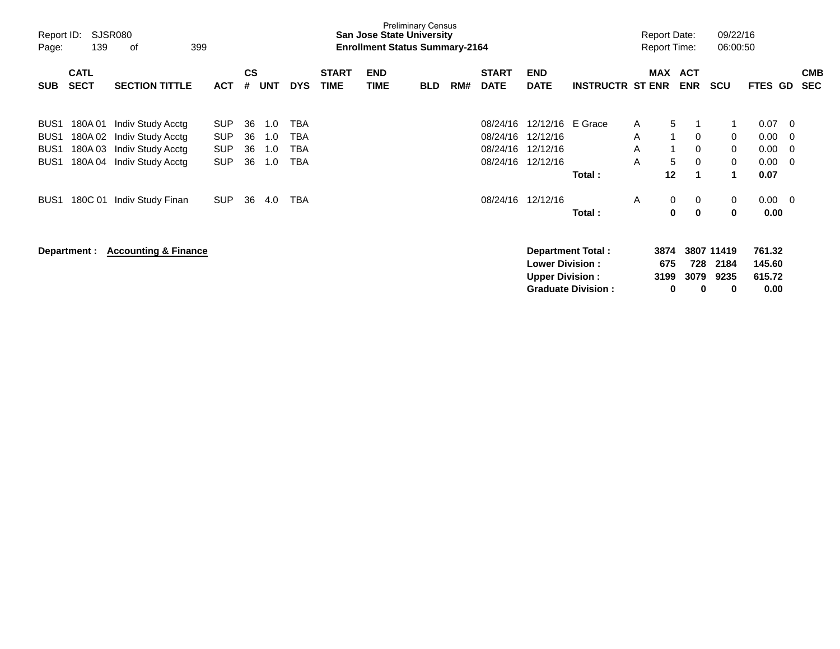| Page:                                                                        | Report ID:<br>SJSR080<br>139<br>399<br>οf |                                                                                  |                                                      |                      |                          |                          |                             | <b>San Jose State University</b><br><b>Enrollment Status Summary-2164</b> | <b>Preliminary Census</b> |     |                                              |                                                              |                                                          |                   | <b>Report Date:</b><br><b>Report Time:</b>                              |                                           | 09/22/16<br>06:00:50                                    |                                      |                          |
|------------------------------------------------------------------------------|-------------------------------------------|----------------------------------------------------------------------------------|------------------------------------------------------|----------------------|--------------------------|--------------------------|-----------------------------|---------------------------------------------------------------------------|---------------------------|-----|----------------------------------------------|--------------------------------------------------------------|----------------------------------------------------------|-------------------|-------------------------------------------------------------------------|-------------------------------------------|---------------------------------------------------------|--------------------------------------|--------------------------|
| <b>SUB</b>                                                                   | <b>CATL</b><br><b>SECT</b>                | <b>SECTION TITTLE</b>                                                            | <b>ACT</b>                                           | $\mathsf{cs}$<br>#   | UNT                      | <b>DYS</b>               | <b>START</b><br><b>TIME</b> | <b>END</b><br><b>TIME</b>                                                 | <b>BLD</b>                | RM# | <b>START</b><br><b>DATE</b>                  | <b>END</b><br><b>DATE</b>                                    | <b>INSTRUCTR ST ENR</b>                                  | MAX               | <b>ACT</b><br><b>ENR</b>                                                | <b>SCU</b>                                | FTES GD                                                 |                                      | <b>CMB</b><br><b>SEC</b> |
| BUS <sub>1</sub><br>BUS <sub>1</sub><br>BUS <sub>1</sub><br>BUS <sub>1</sub> | 180A 01<br>180A 02<br>180A03<br>180A 04   | Indiv Study Acctg<br>Indiv Study Acctg<br>Indiv Study Acctg<br>Indiv Study Acctg | <b>SUP</b><br><b>SUP</b><br><b>SUP</b><br><b>SUP</b> | 36<br>36<br>36<br>36 | 1.0<br>1.0<br>1.0<br>1.0 | TBA<br>TBA<br>TBA<br>TBA |                             |                                                                           |                           |     | 08/24/16<br>08/24/16<br>08/24/16<br>08/24/16 | 12/12/16 E Grace<br>12/12/16<br>12/12/16<br>12/12/16         | Total:                                                   | A<br>A<br>A<br>A  | 5<br>1<br>0<br>0<br>5<br>$\mathbf 0$<br>12                              | $\mathbf{1}$<br>1                         | 0.07<br>0.00<br>0<br>0.00<br>0<br>0<br>0.00<br>0.07     | $\overline{0}$<br>0<br>0<br>$\Omega$ |                          |
| BUS <sub>1</sub>                                                             | 180C 01<br>Department :                   | Indiv Study Finan<br><b>Accounting &amp; Finance</b>                             | <b>SUP</b>                                           | 36                   | 4.0                      | TBA                      |                             |                                                                           |                           |     | 08/24/16                                     | 12/12/16<br><b>Lower Division:</b><br><b>Upper Division:</b> | Total:<br>Department Total:<br><b>Graduate Division:</b> | A<br>3874<br>3199 | $\mathbf 0$<br>0<br>$\mathbf{0}$<br>$\bf{0}$<br>675<br>728<br>3079<br>0 | 0<br>3807 11419<br>2184<br>9235<br>0<br>0 | 0.00<br>0<br>0.00<br>761.32<br>145.60<br>615.72<br>0.00 | $\overline{0}$                       |                          |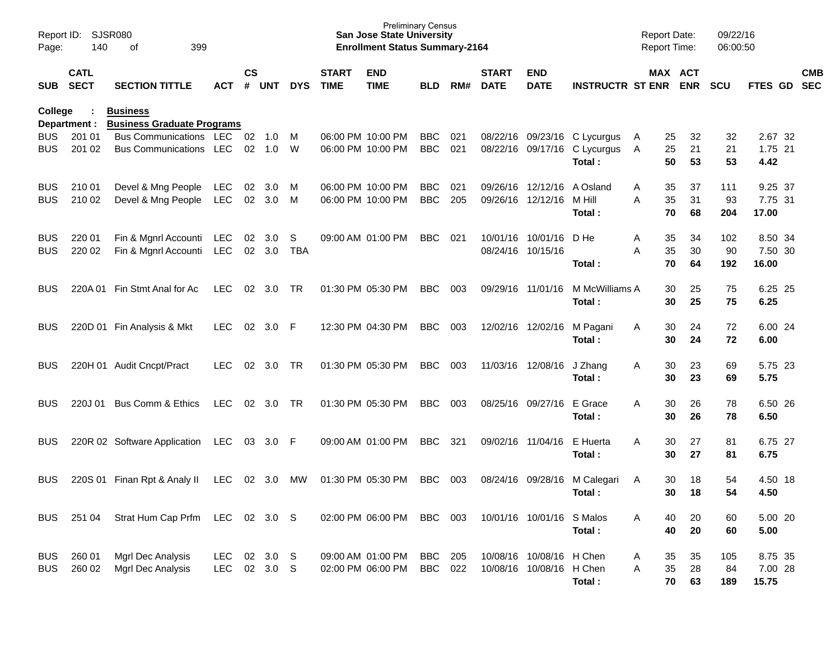| Report ID:<br>Page:      | 140                        | <b>SJSR080</b><br>399<br>οf                             |                   |               |                       |                 |                             | <b>Preliminary Census</b><br><b>San Jose State University</b><br><b>Enrollment Status Summary-2164</b> |                          |            |                             |                                                      |                                                                        | <b>Report Date:</b><br>Report Time: |                | 09/22/16<br>06:00:50 |                             |            |
|--------------------------|----------------------------|---------------------------------------------------------|-------------------|---------------|-----------------------|-----------------|-----------------------------|--------------------------------------------------------------------------------------------------------|--------------------------|------------|-----------------------------|------------------------------------------------------|------------------------------------------------------------------------|-------------------------------------|----------------|----------------------|-----------------------------|------------|
| SUB                      | <b>CATL</b><br><b>SECT</b> | <b>SECTION TITTLE</b>                                   | <b>ACT</b>        | $\mathsf{cs}$ | # UNT                 | <b>DYS</b>      | <b>START</b><br><b>TIME</b> | <b>END</b><br><b>TIME</b>                                                                              | <b>BLD</b>               | RM#        | <b>START</b><br><b>DATE</b> | <b>END</b><br><b>DATE</b>                            | <b>INSTRUCTR ST ENR ENR</b>                                            |                                     | MAX ACT        | <b>SCU</b>           | FTES GD SEC                 | <b>CMB</b> |
| <b>College</b>           | Department :               | <b>Business</b><br><b>Business Graduate Programs</b>    |                   |               |                       |                 |                             |                                                                                                        |                          |            |                             |                                                      |                                                                        |                                     |                |                      |                             |            |
| <b>BUS</b><br><b>BUS</b> | 201 01<br>201 02           | Bus Communications LEC<br><b>Bus Communications LEC</b> |                   | 02            | 02 1.0<br>1.0         | M<br>W          |                             | 06:00 PM 10:00 PM<br>06:00 PM 10:00 PM                                                                 | <b>BBC</b><br><b>BBC</b> | 021<br>021 |                             |                                                      | 08/22/16 09/23/16 C Lycurgus<br>08/22/16 09/17/16 C Lycurgus<br>Total: | 25<br>A<br>25<br>A<br>50            | 32<br>21<br>53 | 32<br>21<br>53       | 2.67 32<br>1.75 21<br>4.42  |            |
| <b>BUS</b><br><b>BUS</b> | 210 01<br>210 02           | Devel & Mng People<br>Devel & Mng People                | LEC<br><b>LEC</b> | 02            | 3.0<br>02 3.0         | M<br>M          |                             | 06:00 PM 10:00 PM<br>06:00 PM 10:00 PM                                                                 | <b>BBC</b><br><b>BBC</b> | 021<br>205 |                             | 09/26/16 12/12/16<br>09/26/16 12/12/16               | A Osland<br>M Hill<br>Total:                                           | 35<br>A<br>A<br>35<br>70            | 37<br>31<br>68 | 111<br>93<br>204     | 9.25 37<br>7.75 31<br>17.00 |            |
| <b>BUS</b><br><b>BUS</b> | 220 01<br>220 02           | Fin & Mgnrl Accounti<br>Fin & Mgnrl Accounti            | LEC<br><b>LEC</b> | 02            | $02 \quad 3.0$<br>3.0 | S<br><b>TBA</b> |                             | 09:00 AM 01:00 PM                                                                                      | <b>BBC</b>               | 021        |                             | 10/01/16 10/01/16<br>08/24/16 10/15/16               | D He<br>Total:                                                         | 35<br>Α<br>35<br>Α<br>70            | 34<br>30<br>64 | 102<br>90<br>192     | 8.50 34<br>7.50 30<br>16.00 |            |
| BUS                      | 220A 01                    | Fin Stmt Anal for Ac                                    | <b>LEC</b>        |               | 02 3.0                | TR              |                             | 01:30 PM 05:30 PM                                                                                      | <b>BBC</b>               | 003        |                             | 09/29/16 11/01/16                                    | M McWilliams A<br>Total:                                               | 30<br>30                            | 25<br>25       | 75<br>75             | 6.25 25<br>6.25             |            |
| BUS                      |                            | 220D 01 Fin Analysis & Mkt                              | <b>LEC</b>        | 02            | 3.0                   | F               |                             | 12:30 PM 04:30 PM                                                                                      | <b>BBC</b>               | 003        |                             | 12/02/16 12/02/16                                    | M Pagani<br>Total:                                                     | 30<br>A<br>30                       | 24<br>24       | 72<br>72             | 6.00 24<br>6.00             |            |
| BUS                      |                            | 220H 01 Audit Cncpt/Pract                               | LEC               | 02            | 3.0                   | TR              |                             | 01:30 PM 05:30 PM                                                                                      | <b>BBC</b>               | 003        |                             | 11/03/16 12/08/16                                    | J Zhang<br>Total:                                                      | 30<br>A<br>30                       | 23<br>23       | 69<br>69             | 5.75 23<br>5.75             |            |
| BUS                      | 220J 01                    | Bus Comm & Ethics                                       | <b>LEC</b>        | 02            | 3.0                   | TR              |                             | 01:30 PM 05:30 PM                                                                                      | <b>BBC</b>               | 003        |                             | 08/25/16 09/27/16                                    | E Grace<br>Total:                                                      | 30<br>A<br>30                       | 26<br>26       | 78<br>78             | 6.50 26<br>6.50             |            |
| BUS                      |                            | 220R 02 Software Application                            | LEC.              | 03            | 3.0                   | -F              |                             | 09:00 AM 01:00 PM                                                                                      | <b>BBC</b>               | 321        |                             | 09/02/16 11/04/16                                    | E Huerta<br>Total:                                                     | A<br>30<br>30                       | 27<br>27       | 81<br>81             | 6.75 27<br>6.75             |            |
| BUS                      | 220S 01                    | Finan Rpt & Analy II                                    | <b>LEC</b>        | 02            | 3.0                   | МW              |                             | 01:30 PM 05:30 PM                                                                                      | <b>BBC</b>               | 003        |                             | 08/24/16 09/28/16                                    | M Calegari<br>Total:                                                   | 30<br>A<br>30                       | 18<br>18       | 54<br>54             | 4.50 18<br>4.50             |            |
| <b>BUS</b>               | 251 04                     | Strat Hum Cap Prfm                                      | LEC               |               | 02 3.0                | -S              |                             | 02:00 PM 06:00 PM                                                                                      | <b>BBC</b>               | 003        |                             | 10/01/16 10/01/16 S Malos                            | Total:                                                                 | 40<br>Α<br>40                       | 20<br>20       | 60<br>60             | 5.00 20<br>5.00             |            |
| <b>BUS</b><br><b>BUS</b> | 260 01<br>260 02           | Mgrl Dec Analysis<br>Mgrl Dec Analysis                  | LEC<br>LEC        |               | 02 3.0<br>02 3.0      | -S<br>-S        |                             | 09:00 AM 01:00 PM<br>02:00 PM 06:00 PM                                                                 | <b>BBC</b><br><b>BBC</b> | 205<br>022 |                             | 10/08/16 10/08/16 H Chen<br>10/08/16 10/08/16 H Chen | Total:                                                                 | 35<br>Α<br>35<br>Α<br>70            | 35<br>28<br>63 | 105<br>84<br>189     | 8.75 35<br>7.00 28<br>15.75 |            |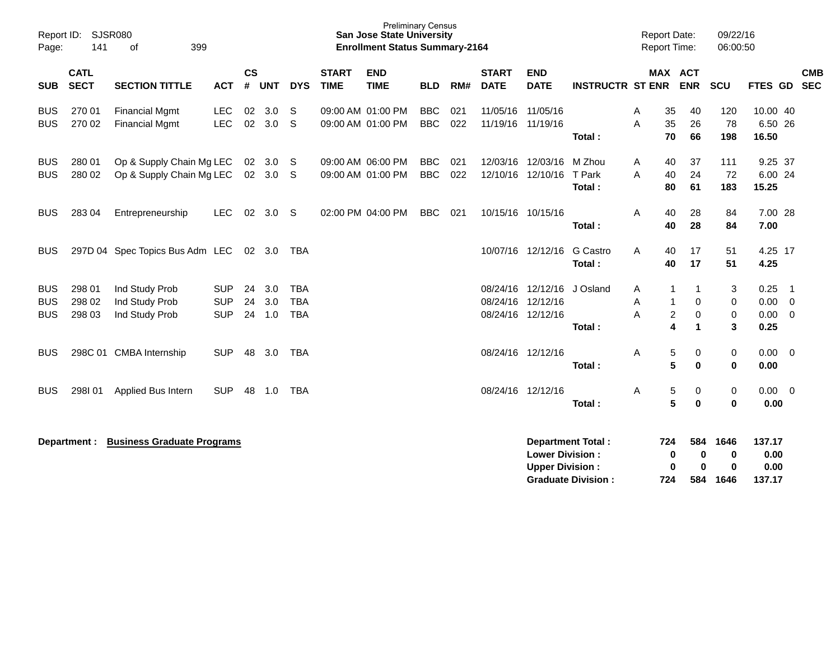| Report ID:<br>Page:                    | 141                        | SJSR080<br>399<br>οf                                 |                                        |                    |                   |                                        |                             | <b>Preliminary Census</b><br><b>San Jose State University</b><br><b>Enrollment Status Summary-2164</b> |                          |            |                                        |                                                  |                                                       | <b>Report Date:</b><br>Report Time: |                                                               | 09/22/16<br>06:00:50          |                                  |                                      |                          |
|----------------------------------------|----------------------------|------------------------------------------------------|----------------------------------------|--------------------|-------------------|----------------------------------------|-----------------------------|--------------------------------------------------------------------------------------------------------|--------------------------|------------|----------------------------------------|--------------------------------------------------|-------------------------------------------------------|-------------------------------------|---------------------------------------------------------------|-------------------------------|----------------------------------|--------------------------------------|--------------------------|
| <b>SUB</b>                             | <b>CATL</b><br><b>SECT</b> | <b>SECTION TITTLE</b>                                | <b>ACT</b>                             | $\mathsf{cs}$<br># | <b>UNT</b>        | <b>DYS</b>                             | <b>START</b><br><b>TIME</b> | <b>END</b><br><b>TIME</b>                                                                              | <b>BLD</b>               | RM#        | <b>START</b><br><b>DATE</b>            | <b>END</b><br><b>DATE</b>                        | <b>INSTRUCTR ST ENR</b>                               |                                     | <b>MAX ACT</b><br><b>ENR</b>                                  | SCU                           | FTES GD                          |                                      | <b>CMB</b><br><b>SEC</b> |
| <b>BUS</b><br><b>BUS</b>               | 270 01<br>270 02           | <b>Financial Mgmt</b><br><b>Financial Mgmt</b>       | <b>LEC</b><br><b>LEC</b>               | 02<br>02           | 3.0<br>3.0        | S<br>S                                 |                             | 09:00 AM 01:00 PM<br>09:00 AM 01:00 PM                                                                 | <b>BBC</b><br><b>BBC</b> | 021<br>022 | 11/05/16<br>11/19/16 11/19/16          | 11/05/16                                         | Total:                                                | A<br>35<br>A                        | 40<br>26<br>35<br>70<br>66                                    | 120<br>78<br>198              | 10.00 40<br>6.50 26<br>16.50     |                                      |                          |
| <b>BUS</b><br><b>BUS</b>               | 280 01<br>280 02           | Op & Supply Chain Mg LEC<br>Op & Supply Chain Mg LEC |                                        | 02                 | 3.0<br>02 3.0     | -S<br>-S                               |                             | 09:00 AM 06:00 PM<br>09:00 AM 01:00 PM                                                                 | <b>BBC</b><br><b>BBC</b> | 021<br>022 | 12/03/16<br>12/10/16 12/10/16          | 12/03/16                                         | M Zhou<br>T Park<br>Total:                            | A<br>A                              | 37<br>40<br>24<br>40<br>61<br>80                              | 111<br>72<br>183              | 9.25 37<br>6.00 24<br>15.25      |                                      |                          |
| <b>BUS</b>                             | 283 04                     | Entrepreneurship                                     | <b>LEC</b>                             |                    | 02 3.0            | -S                                     |                             | 02:00 PM 04:00 PM                                                                                      | <b>BBC</b>               | 021        | 10/15/16 10/15/16                      |                                                  | Total:                                                | A                                   | 28<br>40<br>40<br>28                                          | 84<br>84                      | 7.00 28<br>7.00                  |                                      |                          |
| <b>BUS</b>                             |                            | 297D 04 Spec Topics Bus Adm LEC                      |                                        |                    | 02 3.0            | TBA                                    |                             |                                                                                                        |                          |            |                                        | 10/07/16 12/12/16                                | <b>G</b> Castro<br>Total:                             | A                                   | 17<br>40<br>17<br>40                                          | 51<br>51                      | 4.25 17<br>4.25                  |                                      |                          |
| <b>BUS</b><br><b>BUS</b><br><b>BUS</b> | 298 01<br>298 02<br>298 03 | Ind Study Prob<br>Ind Study Prob<br>Ind Study Prob   | <b>SUP</b><br><b>SUP</b><br><b>SUP</b> | 24<br>24<br>24     | 3.0<br>3.0<br>1.0 | <b>TBA</b><br><b>TBA</b><br><b>TBA</b> |                             |                                                                                                        |                          |            | 08/24/16 12/12/16<br>08/24/16 12/12/16 | 08/24/16 12/12/16                                | J Osland<br>Total:                                    | A<br>A<br>A                         | -1<br>-1<br>0<br>1<br>$\overline{c}$<br>$\mathbf 0$<br>4<br>1 | 3<br>0<br>$\mathbf 0$<br>3    | 0.25<br>0.00<br>0.00<br>0.25     | $\overline{\phantom{1}}$<br>0<br>- 0 |                          |
| <b>BUS</b>                             |                            | 298C 01 CMBA Internship                              | <b>SUP</b>                             | 48                 | 3.0               | TBA                                    |                             |                                                                                                        |                          |            | 08/24/16 12/12/16                      |                                                  | Total:                                                | Α                                   | 5<br>0<br>5<br>$\bf{0}$                                       | 0<br>$\bf{0}$                 | $0.00 \t 0$<br>0.00              |                                      |                          |
| <b>BUS</b>                             | 298101                     | Applied Bus Intern                                   | <b>SUP</b>                             | 48                 | 1.0               | TBA                                    |                             |                                                                                                        |                          |            | 08/24/16 12/12/16                      |                                                  | Total:                                                | Α                                   | 5<br>0<br>5<br>$\bf{0}$                                       | 0<br>$\bf{0}$                 | 0.00<br>0.00                     | $\overline{0}$                       |                          |
|                                        | Department :               | <b>Business Graduate Programs</b>                    |                                        |                    |                   |                                        |                             |                                                                                                        |                          |            |                                        | <b>Lower Division:</b><br><b>Upper Division:</b> | <b>Department Total:</b><br><b>Graduate Division:</b> | 724<br>724                          | 584<br>$\bf{0}$<br>0<br>0<br>0<br>584                         | 1646<br>0<br>$\bf{0}$<br>1646 | 137.17<br>0.00<br>0.00<br>137.17 |                                      |                          |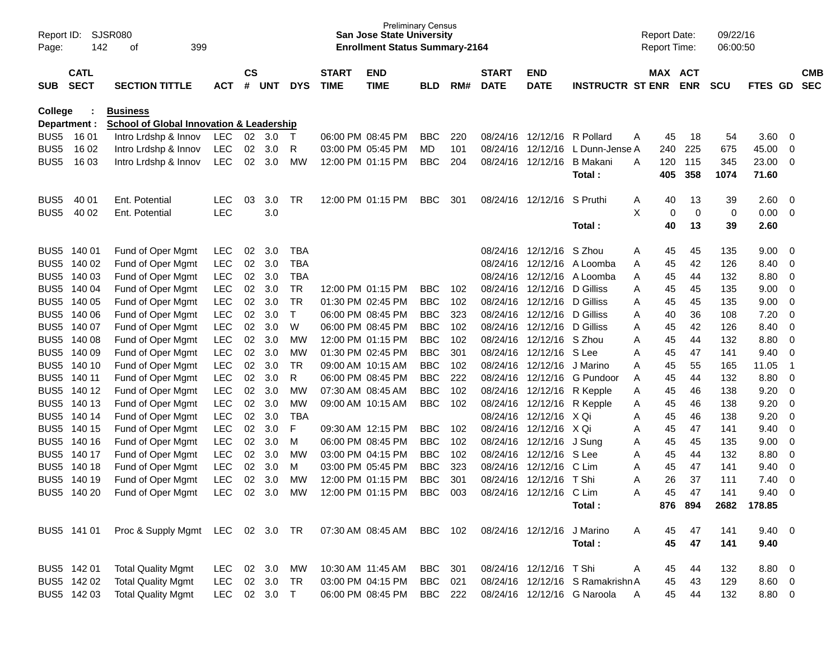| Page:            | SJSR080<br>Report ID:<br>142<br>399<br>οf<br><b>CATL</b> |                                                                             |                   |               |        |              |                             | <b>Preliminary Census</b><br><b>San Jose State University</b><br><b>Enrollment Status Summary-2164</b> |            |     |                             |                            |                                  |   | <b>Report Date:</b><br><b>Report Time:</b> |            | 09/22/16<br>06:00:50 |                |                         |                          |
|------------------|----------------------------------------------------------|-----------------------------------------------------------------------------|-------------------|---------------|--------|--------------|-----------------------------|--------------------------------------------------------------------------------------------------------|------------|-----|-----------------------------|----------------------------|----------------------------------|---|--------------------------------------------|------------|----------------------|----------------|-------------------------|--------------------------|
| <b>SUB</b>       | <b>SECT</b>                                              | <b>SECTION TITTLE</b>                                                       | ACT               | $\mathsf{cs}$ | # UNT  | <b>DYS</b>   | <b>START</b><br><b>TIME</b> | <b>END</b><br><b>TIME</b>                                                                              | <b>BLD</b> | RM# | <b>START</b><br><b>DATE</b> | <b>END</b><br><b>DATE</b>  | <b>INSTRUCTR ST ENR</b>          |   | MAX ACT                                    | <b>ENR</b> | <b>SCU</b>           | FTES GD        |                         | <b>CMB</b><br><b>SEC</b> |
| <b>College</b>   |                                                          | <b>Business</b>                                                             |                   |               |        |              |                             |                                                                                                        |            |     |                             |                            |                                  |   |                                            |            |                      |                |                         |                          |
| BUS5             | Department :<br>16 01                                    | <b>School of Global Innovation &amp; Leadership</b><br>Intro Lrdshp & Innov |                   | 02            | 3.0    |              |                             | 06:00 PM 08:45 PM                                                                                      | <b>BBC</b> | 220 | 08/24/16                    |                            | 12/12/16 R Pollard               |   |                                            | 18         | 54                   | 3.60           |                         |                          |
| BUS5             | 16 02                                                    | Intro Lrdshp & Innov                                                        | LEC<br><b>LEC</b> | 02            | 3.0    | T<br>R       |                             | 03:00 PM 05:45 PM                                                                                      | MD         | 101 | 08/24/16                    | 12/12/16                   | L Dunn-Jense A                   | A | 45<br>240                                  | 225        | 675                  | 45.00          | - 0<br>- 0              |                          |
| BUS5             | 16 03                                                    | Intro Lrdshp & Innov                                                        | <b>LEC</b>        | 02            | 3.0    | MW           |                             | 12:00 PM 01:15 PM                                                                                      | <b>BBC</b> | 204 | 08/24/16                    | 12/12/16                   | <b>B</b> Makani                  | A | 120                                        | 115        | 345                  | 23.00          | $\overline{\mathbf{0}}$ |                          |
|                  |                                                          |                                                                             |                   |               |        |              |                             |                                                                                                        |            |     |                             |                            | Total:                           |   | 405                                        | 358        | 1074                 | 71.60          |                         |                          |
| BUS <sub>5</sub> | 40 01                                                    | Ent. Potential                                                              | <b>LEC</b>        | 03            | 3.0    | TR           |                             | 12:00 PM 01:15 PM                                                                                      | <b>BBC</b> | 301 |                             | 08/24/16 12/12/16          | S Pruthi                         | A | 40                                         | 13         | 39                   | 2.60           | $\overline{\mathbf{0}}$ |                          |
| BUS5             | 40 02                                                    | Ent. Potential                                                              | LEC               |               | 3.0    |              |                             |                                                                                                        |            |     |                             |                            | Total:                           | X | 0<br>40                                    | 0<br>13    | 0<br>39              | 0.00<br>2.60   | - 0                     |                          |
|                  |                                                          |                                                                             |                   |               |        |              |                             |                                                                                                        |            |     |                             |                            |                                  |   |                                            |            |                      |                |                         |                          |
| BUS <sub>5</sub> | 140 01                                                   | Fund of Oper Mgmt                                                           | <b>LEC</b>        | 02            | 3.0    | TBA          |                             |                                                                                                        |            |     |                             | 08/24/16 12/12/16          | S Zhou                           | A | 45                                         | 45         | 135                  | 9.00           | - 0                     |                          |
| BUS <sub>5</sub> | 140 02                                                   | Fund of Oper Mgmt                                                           | <b>LEC</b>        | 02            | 3.0    | <b>TBA</b>   |                             |                                                                                                        |            |     | 08/24/16                    | 12/12/16                   | A Loomba                         | A | 45                                         | 42         | 126                  | 8.40           | - 0                     |                          |
| BUS <sub>5</sub> | 140 03                                                   | Fund of Oper Mgmt                                                           | <b>LEC</b>        | 02            | 3.0    | <b>TBA</b>   |                             |                                                                                                        |            |     | 08/24/16                    | 12/12/16                   | A Loomba                         | Α | 45                                         | 44         | 132                  | 8.80           | $\overline{0}$          |                          |
| BUS <sub>5</sub> | 140 04                                                   | Fund of Oper Mgmt                                                           | <b>LEC</b>        | 02            | 3.0    | <b>TR</b>    |                             | 12:00 PM 01:15 PM                                                                                      | <b>BBC</b> | 102 | 08/24/16                    | 12/12/16                   | D Gilliss                        | Α | 45                                         | 45         | 135                  | 9.00           | $\overline{0}$          |                          |
| BUS <sub>5</sub> | 140 05                                                   | Fund of Oper Mgmt                                                           | <b>LEC</b>        | 02            | 3.0    | TR           |                             | 01:30 PM 02:45 PM                                                                                      | <b>BBC</b> | 102 | 08/24/16                    | 12/12/16                   | D Gilliss                        | A | 45                                         | 45         | 135                  | 9.00           | $\overline{0}$          |                          |
| BUS <sub>5</sub> | 140 06                                                   | Fund of Oper Mgmt                                                           | <b>LEC</b>        | 02            | 3.0    | $\mathsf{T}$ |                             | 06:00 PM 08:45 PM                                                                                      | <b>BBC</b> | 323 | 08/24/16                    | 12/12/16                   | D Gilliss                        | Α | 40                                         | 36         | 108                  | 7.20           | $\mathbf 0$             |                          |
| BUS <sub>5</sub> | 140 07                                                   | Fund of Oper Mgmt                                                           | <b>LEC</b>        | 02            | 3.0    | W            |                             | 06:00 PM 08:45 PM                                                                                      | <b>BBC</b> | 102 | 08/24/16                    | 12/12/16                   | D Gilliss                        | Α | 45                                         | 42         | 126                  | 8.40           | $\overline{0}$          |                          |
| BUS <sub>5</sub> | 140 08                                                   | Fund of Oper Mgmt                                                           | <b>LEC</b>        | 02            | 3.0    | МW           |                             | 12:00 PM 01:15 PM                                                                                      | <b>BBC</b> | 102 | 08/24/16                    | 12/12/16                   | S Zhou                           | Α | 45                                         | 44         | 132                  | 8.80           | $\overline{0}$          |                          |
| BUS <sub>5</sub> | 140 09                                                   | Fund of Oper Mgmt                                                           | <b>LEC</b>        | 02            | 3.0    | MW           |                             | 01:30 PM 02:45 PM                                                                                      | <b>BBC</b> | 301 | 08/24/16                    | 12/12/16                   | S Lee                            | Α | 45                                         | 47         | 141                  | 9.40           | $\overline{0}$          |                          |
| BUS <sub>5</sub> | 140 10                                                   | Fund of Oper Mgmt                                                           | <b>LEC</b>        | 02            | 3.0    | TR           |                             | 09:00 AM 10:15 AM                                                                                      | <b>BBC</b> | 102 | 08/24/16                    | 12/12/16                   | J Marino                         | Α | 45                                         | 55         | 165                  | 11.05          | -1                      |                          |
| BUS <sub>5</sub> | 140 11                                                   | Fund of Oper Mgmt                                                           | <b>LEC</b>        | 02            | 3.0    | R            |                             | 06:00 PM 08:45 PM                                                                                      | <b>BBC</b> | 222 | 08/24/16                    | 12/12/16                   | G Pundoor                        | A | 45                                         | 44         | 132                  | 8.80           | $\overline{0}$          |                          |
| BUS <sub>5</sub> | 140 12                                                   | Fund of Oper Mgmt                                                           | <b>LEC</b>        | 02            | 3.0    | МW           |                             | 07:30 AM 08:45 AM                                                                                      | <b>BBC</b> | 102 |                             | 08/24/16 12/12/16 R Kepple |                                  | Α | 45                                         | 46         | 138                  | 9.20           | $\overline{0}$          |                          |
| BUS <sub>5</sub> | 140 13                                                   | Fund of Oper Mgmt                                                           | <b>LEC</b>        | 02            | 3.0    | MW           |                             | 09:00 AM 10:15 AM                                                                                      | <b>BBC</b> | 102 | 08/24/16                    | 12/12/16 R Kepple          |                                  | Α | 45                                         | 46         | 138                  | 9.20           | $\overline{0}$          |                          |
| BUS <sub>5</sub> | 140 14                                                   | Fund of Oper Mgmt                                                           | <b>LEC</b>        | 02            | 3.0    | <b>TBA</b>   |                             |                                                                                                        |            |     | 08/24/16                    | 12/12/16                   | X Qi                             | Α | 45                                         | 46         | 138                  | 9.20           | $\mathbf 0$             |                          |
| BUS <sub>5</sub> | 140 15                                                   | Fund of Oper Mgmt                                                           | <b>LEC</b>        | 02            | 3.0    | F            |                             | 09:30 AM 12:15 PM                                                                                      | <b>BBC</b> | 102 | 08/24/16                    | 12/12/16                   | X Qi                             | Α | 45                                         | 47         | 141                  | 9.40           | $\mathbf 0$             |                          |
| BUS <sub>5</sub> | 140 16                                                   | Fund of Oper Mgmt                                                           | <b>LEC</b>        | 02            | 3.0    | м            |                             | 06:00 PM 08:45 PM                                                                                      | <b>BBC</b> | 102 | 08/24/16                    | 12/12/16                   | J Sung                           | Α | 45                                         | 45         | 135                  | 9.00           | $\overline{0}$          |                          |
| BUS <sub>5</sub> | 140 17                                                   | Fund of Oper Mgmt                                                           | <b>LEC</b>        | 02            | 3.0    | МW           |                             | 03:00 PM 04:15 PM                                                                                      | <b>BBC</b> | 102 | 08/24/16                    | 12/12/16                   | S Lee                            | Α | 45                                         | 44         | 132                  | 8.80           | $\boldsymbol{0}$        |                          |
| BUS5             | 140 18                                                   | Fund of Oper Mgmt                                                           | <b>LEC</b>        | 02            | 3.0    | м            |                             | 03:00 PM 05:45 PM                                                                                      | <b>BBC</b> | 323 | 08/24/16                    | 12/12/16                   | C Lim                            | Α | 45                                         | 47         | 141                  | 9.40           | $\boldsymbol{0}$        |                          |
| BUS <sub>5</sub> | 140 19                                                   | Fund of Oper Mgmt                                                           | <b>LEC</b>        | 02            | 3.0    | МW           |                             | 12:00 PM 01:15 PM                                                                                      | <b>BBC</b> | 301 | 08/24/16                    | 12/12/16                   | T Shi                            | Α | 26                                         | 37         | 111                  | 7.40           | $\boldsymbol{0}$        |                          |
| BUS <sub>5</sub> | 140 20                                                   | Fund of Oper Mgmt                                                           | <b>LEC</b>        | 02            | 3.0    | МW           |                             | 12:00 PM 01:15 PM                                                                                      | <b>BBC</b> | 003 | 08/24/16                    | 12/12/16                   | C Lim                            | Α | 45                                         | 47         | 141                  | 9.40           | $\mathbf 0$             |                          |
|                  |                                                          |                                                                             |                   |               |        |              |                             |                                                                                                        |            |     |                             |                            | Total:                           |   |                                            | 876 894    |                      | 2682 178.85    |                         |                          |
|                  | BUS5 141 01                                              | Proc & Supply Mgmt LEC 02 3.0 TR                                            |                   |               |        |              |                             | 07:30 AM 08:45 AM                                                                                      | BBC 102    |     |                             | 08/24/16 12/12/16 J Marino |                                  | A | 45                                         | 47         | 141                  | $9.40 \quad 0$ |                         |                          |
|                  |                                                          |                                                                             |                   |               |        |              |                             |                                                                                                        |            |     |                             |                            | Total:                           |   | 45                                         | 47         | 141                  | 9.40           |                         |                          |
|                  | BUS5 142 01                                              | <b>Total Quality Mgmt</b>                                                   | LEC               |               | 02 3.0 | MW           |                             | 10:30 AM 11:45 AM                                                                                      | BBC        | 301 |                             | 08/24/16 12/12/16          | T Shi                            | A | 45                                         | 44         | 132                  | 8.80 0         |                         |                          |
|                  | BUS5 142 02                                              | <b>Total Quality Mgmt</b>                                                   | <b>LEC</b>        |               | 02 3.0 | TR           |                             | 03:00 PM 04:15 PM                                                                                      | <b>BBC</b> | 021 |                             |                            | 08/24/16 12/12/16 S Ramakrishn A |   | 45                                         | 43         | 129                  | 8.60 0         |                         |                          |
|                  | BUS5 142 03                                              | <b>Total Quality Mgmt</b>                                                   | LEC 02 3.0        |               |        | $\top$       |                             | 06:00 PM 08:45 PM                                                                                      | BBC 222    |     |                             |                            | 08/24/16 12/12/16 G Naroola      | A | 45                                         | 44         | 132                  | 8.80 0         |                         |                          |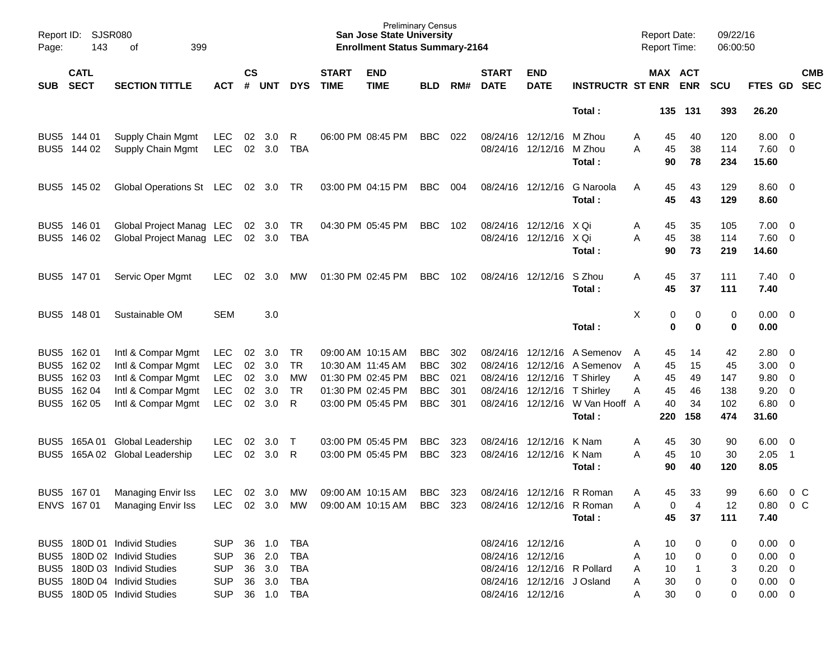| Page:                            | Report ID: SJSR080<br>143                                | 399<br>оf                                                                                                                                                    |                                                                        |                                         |                                      |                                               |                             | <b>Preliminary Census</b><br><b>San Jose State University</b><br><b>Enrollment Status Summary-2164</b> |                                                                    |                                 |                             |                                                                                                      |                                                                     | <b>Report Date:</b><br>Report Time:                   |                                   | 09/22/16<br>06:00:50                 |                                                                           |                                                                                                                            |            |
|----------------------------------|----------------------------------------------------------|--------------------------------------------------------------------------------------------------------------------------------------------------------------|------------------------------------------------------------------------|-----------------------------------------|--------------------------------------|-----------------------------------------------|-----------------------------|--------------------------------------------------------------------------------------------------------|--------------------------------------------------------------------|---------------------------------|-----------------------------|------------------------------------------------------------------------------------------------------|---------------------------------------------------------------------|-------------------------------------------------------|-----------------------------------|--------------------------------------|---------------------------------------------------------------------------|----------------------------------------------------------------------------------------------------------------------------|------------|
| <b>SUB</b>                       | <b>CATL</b><br><b>SECT</b>                               | <b>SECTION TITTLE</b>                                                                                                                                        | <b>ACT</b>                                                             | $\mathsf{cs}$<br>#                      | <b>UNT</b>                           | <b>DYS</b>                                    | <b>START</b><br><b>TIME</b> | <b>END</b><br><b>TIME</b>                                                                              | <b>BLD</b>                                                         | RM#                             | <b>START</b><br><b>DATE</b> | <b>END</b><br><b>DATE</b>                                                                            | <b>INSTRUCTR ST ENR</b>                                             | MAX ACT                                               | <b>ENR</b>                        | <b>SCU</b>                           | FTES GD SEC                                                               |                                                                                                                            | <b>CMB</b> |
|                                  |                                                          |                                                                                                                                                              |                                                                        |                                         |                                      |                                               |                             |                                                                                                        |                                                                    |                                 |                             |                                                                                                      | Total:                                                              | 135                                                   | 131                               | 393                                  | 26.20                                                                     |                                                                                                                            |            |
|                                  | BUS5 144 01<br>BUS5 144 02                               | Supply Chain Mgmt<br>Supply Chain Mgmt                                                                                                                       | <b>LEC</b><br><b>LEC</b>                                               | 02<br>02                                | 3.0<br>3.0                           | R<br>TBA                                      |                             | 06:00 PM 08:45 PM                                                                                      | <b>BBC</b>                                                         | 022                             |                             | 08/24/16 12/12/16<br>08/24/16 12/12/16                                                               | M Zhou<br>M Zhou<br>Total:                                          | 45<br>A<br>45<br>A<br>90                              | 40<br>38<br>78                    | 120<br>114<br>234                    | 8.00<br>7.60<br>15.60                                                     | $\overline{\mathbf{0}}$<br>$\overline{\phantom{0}}$                                                                        |            |
| BUS <sub>5</sub>                 | 145 02                                                   | Global Operations St LEC                                                                                                                                     |                                                                        |                                         | 02 3.0                               | TR.                                           |                             | 03:00 PM 04:15 PM                                                                                      | <b>BBC</b>                                                         | 004                             |                             | 08/24/16 12/12/16                                                                                    | G Naroola<br>Total:                                                 | 45<br>A<br>45                                         | 43<br>43                          | 129<br>129                           | 8.60<br>8.60                                                              | $\overline{\phantom{0}}$                                                                                                   |            |
|                                  | BUS5 146 01<br>BUS5 146 02                               | Global Project Manag LEC<br>Global Project Manag LEC                                                                                                         |                                                                        |                                         | 02 3.0<br>02 3.0                     | TR<br>TBA                                     |                             | 04:30 PM 05:45 PM                                                                                      | <b>BBC</b>                                                         | 102                             |                             | 08/24/16 12/12/16<br>08/24/16 12/12/16 X Qi                                                          | X Qi<br>Total:                                                      | 45<br>A<br>45<br>A<br>90                              | 35<br>38<br>73                    | 105<br>114<br>219                    | 7.00<br>7.60<br>14.60                                                     | $\overline{\mathbf{0}}$<br>$\overline{\phantom{0}}$                                                                        |            |
|                                  | BUS5 147 01                                              | Servic Oper Mgmt                                                                                                                                             | <b>LEC</b>                                                             | 02                                      | 3.0                                  | MW.                                           |                             | 01:30 PM 02:45 PM                                                                                      | <b>BBC</b>                                                         | 102                             | 08/24/16 12/12/16           |                                                                                                      | S Zhou<br>Total:                                                    | 45<br>A<br>45                                         | 37<br>37                          | 111<br>111                           | 7.40<br>7.40                                                              | $\overline{\phantom{0}}$                                                                                                   |            |
| BUS <sub>5</sub>                 | 148 01                                                   | Sustainable OM                                                                                                                                               | <b>SEM</b>                                                             |                                         | 3.0                                  |                                               |                             |                                                                                                        |                                                                    |                                 |                             |                                                                                                      | Total:                                                              | X<br>0<br>$\mathbf 0$                                 | 0<br>0                            | 0<br>0                               | 0.00<br>0.00                                                              | $\overline{\mathbf{0}}$                                                                                                    |            |
| BUS <sub>5</sub><br>BUS5<br>BUS5 | BUS5 162 01<br>162 02<br>BUS5 162 03<br>162 04<br>162 05 | Intl & Compar Mgmt<br>Intl & Compar Mgmt<br>Intl & Compar Mgmt<br>Intl & Compar Mgmt<br>Intl & Compar Mgmt                                                   | <b>LEC</b><br><b>LEC</b><br><b>LEC</b><br><b>LEC</b><br><b>LEC</b>     | 02<br>02<br>02 <sub>o</sub><br>02<br>02 | 3.0<br>3.0<br>3.0<br>3.0<br>3.0      | TR<br><b>TR</b><br>MW<br><b>TR</b><br>R       |                             | 09:00 AM 10:15 AM<br>10:30 AM 11:45 AM<br>01:30 PM 02:45 PM<br>01:30 PM 02:45 PM<br>03:00 PM 05:45 PM  | <b>BBC</b><br><b>BBC</b><br><b>BBC</b><br><b>BBC</b><br><b>BBC</b> | 302<br>302<br>021<br>301<br>301 |                             | 08/24/16 12/12/16<br>08/24/16 12/12/16<br>08/24/16 12/12/16 T Shirley<br>08/24/16 12/12/16 T Shirley | A Semenov<br>A Semenov<br>08/24/16 12/12/16 W Van Hooff A<br>Total: | 45<br>A<br>45<br>A<br>45<br>Α<br>45<br>Α<br>40<br>220 | 14<br>15<br>49<br>46<br>34<br>158 | 42<br>45<br>147<br>138<br>102<br>474 | 2.80<br>3.00<br>9.80<br>9.20<br>6.80<br>31.60                             | $\overline{\mathbf{0}}$<br>$\overline{\mathbf{0}}$<br>$\overline{\mathbf{0}}$<br>$\overline{0}$<br>$\overline{\mathbf{0}}$ |            |
| BUS5<br>BUS <sub>5</sub>         |                                                          | 165A 01 Global Leadership<br>165A 02 Global Leadership                                                                                                       | <b>LEC</b><br><b>LEC</b>                                               | 02<br>02                                | 3.0<br>3.0                           | $\top$<br>R                                   |                             | 03:00 PM 05:45 PM<br>03:00 PM 05:45 PM                                                                 | <b>BBC</b><br><b>BBC</b>                                           | 323<br>323                      |                             | 08/24/16 12/12/16<br>08/24/16 12/12/16                                                               | K Nam<br>K Nam<br>Total:                                            | 45<br>A<br>A<br>45<br>90                              | 30<br>10<br>40                    | 90<br>30<br>120                      | 6.00<br>2.05<br>8.05                                                      | $\overline{\mathbf{0}}$<br>- 1                                                                                             |            |
|                                  | BUS5 167 01                                              | Managing Envir Iss<br>ENVS 167 01 Managing Envir Iss                                                                                                         | LEC.                                                                   | 02                                      | 3.0                                  | МW                                            |                             | 09:00 AM 10:15 AM<br>LEC 02 3.0 MW 09:00 AM 10:15 AM BBC 323                                           | <b>BBC</b>                                                         | 323                             |                             | 08/24/16 12/12/16                                                                                    | R Roman<br>08/24/16 12/12/16 R Roman<br>Total:                      | 45<br>A<br>0<br>Α<br>45                               | 33<br>4<br>37                     | 99<br>12<br>111                      | 6.60<br>$0.80 \t 0 C$<br>7.40                                             | $0\,$ C                                                                                                                    |            |
|                                  |                                                          | BUS5 180D 01 Individ Studies<br>BUS5 180D 02 Individ Studies<br>BUS5 180D 03 Individ Studies<br>BUS5 180D 04 Individ Studies<br>BUS5 180D 05 Individ Studies | <b>SUP</b><br><b>SUP</b><br><b>SUP</b><br><b>SUP</b><br>SUP 36 1.0 TBA |                                         | 36 1.0<br>36 2.0<br>36 3.0<br>36 3.0 | <b>TBA</b><br><b>TBA</b><br>TBA<br><b>TBA</b> |                             |                                                                                                        |                                                                    |                                 | 08/24/16 12/12/16           | 08/24/16 12/12/16<br>08/24/16 12/12/16 R Pollard<br>08/24/16 12/12/16 J Osland<br>08/24/16 12/12/16  |                                                                     | 10<br>A<br>10<br>A<br>10<br>A<br>30<br>A<br>30<br>A   | 0<br>0<br>0<br>0                  | 0<br>0<br>3<br>0<br>0                | $0.00 \quad 0$<br>$0.00 \t 0$<br>$0.20 \ 0$<br>$0.00 \t 0$<br>$0.00 \t 0$ |                                                                                                                            |            |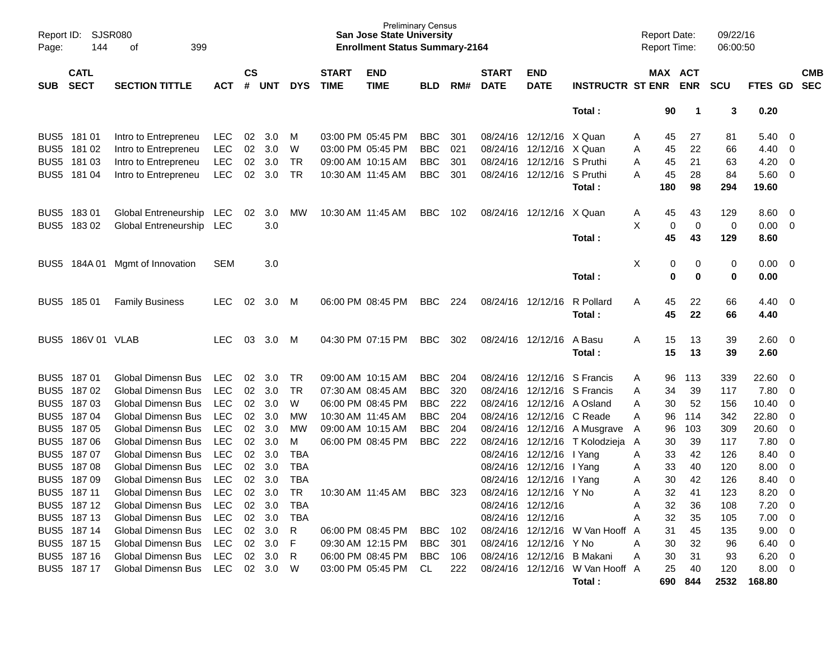| Page:            | SJSR080<br>Report ID:<br>399<br>144<br>оf |                                 |            |                    |            |            |                             | <b>Preliminary Census</b><br><b>San Jose State University</b><br><b>Enrollment Status Summary-2164</b> |                |     |                             |                             |                                 |   | <b>Report Date:</b> | <b>Report Time:</b>   | 09/22/16<br>06:00:50 |               |                         |                          |
|------------------|-------------------------------------------|---------------------------------|------------|--------------------|------------|------------|-----------------------------|--------------------------------------------------------------------------------------------------------|----------------|-----|-----------------------------|-----------------------------|---------------------------------|---|---------------------|-----------------------|----------------------|---------------|-------------------------|--------------------------|
| <b>SUB</b>       | <b>CATL</b><br><b>SECT</b>                | <b>SECTION TITTLE</b>           | <b>ACT</b> | $\mathsf{cs}$<br># | <b>UNT</b> | <b>DYS</b> | <b>START</b><br><b>TIME</b> | <b>END</b><br><b>TIME</b>                                                                              | <b>BLD</b>     | RM# | <b>START</b><br><b>DATE</b> | <b>END</b><br><b>DATE</b>   | <b>INSTRUCTR ST ENR</b>         |   |                     | MAX ACT<br><b>ENR</b> | <b>SCU</b>           | FTES GD       |                         | <b>CMB</b><br><b>SEC</b> |
|                  |                                           |                                 |            |                    |            |            |                             |                                                                                                        |                |     |                             |                             | Total:                          |   | 90                  | -1                    | 3                    | 0.20          |                         |                          |
| BUS <sub>5</sub> | 181 01                                    | Intro to Entrepreneu            | <b>LEC</b> | 02                 | 3.0        | M          |                             | 03:00 PM 05:45 PM                                                                                      | <b>BBC</b>     | 301 |                             | 08/24/16 12/12/16 X Quan    |                                 | A | 45                  | 27                    | 81                   | 5.40          | - 0                     |                          |
| BUS <sub>5</sub> | 181 02                                    | Intro to Entrepreneu            | <b>LEC</b> | 02                 | 3.0        | W          |                             | 03:00 PM 05:45 PM                                                                                      | <b>BBC</b>     | 021 |                             | 08/24/16 12/12/16           | X Quan                          | A | 45                  | 22                    | 66                   | 4.40          | - 0                     |                          |
| BUS <sub>5</sub> | 181 03                                    | Intro to Entrepreneu            | <b>LEC</b> | 02                 | 3.0        | <b>TR</b>  |                             | 09:00 AM 10:15 AM                                                                                      | <b>BBC</b>     | 301 |                             | 08/24/16 12/12/16 S Pruthi  |                                 | A | 45                  | 21                    | 63                   | 4.20          | $\overline{0}$          |                          |
| BUS5             | 181 04                                    | Intro to Entrepreneu            | <b>LEC</b> | 02                 | 3.0        | <b>TR</b>  | 10:30 AM 11:45 AM           |                                                                                                        | <b>BBC</b>     | 301 |                             | 08/24/16 12/12/16 S Pruthi  |                                 | Α | 45                  | 28                    | 84                   | 5.60          | $\overline{\mathbf{0}}$ |                          |
|                  |                                           |                                 |            |                    |            |            |                             |                                                                                                        |                |     |                             |                             | Total:                          |   | 180                 | 98                    | 294                  | 19.60         |                         |                          |
| BUS <sub>5</sub> | 18301                                     | Global Entreneurship            | LEC        | 02                 | 3.0        | MW         |                             | 10:30 AM 11:45 AM                                                                                      | <b>BBC</b>     | 102 |                             | 08/24/16 12/12/16 X Quan    |                                 | A | 45                  | 43                    | 129                  | 8.60          | $\overline{0}$          |                          |
|                  | BUS5 183 02                               | Global Entreneurship            | LEC        |                    | 3.0        |            |                             |                                                                                                        |                |     |                             |                             |                                 | Χ | 0                   | $\mathbf 0$           | 0                    | 0.00          | $\overline{0}$          |                          |
|                  |                                           |                                 |            |                    |            |            |                             |                                                                                                        |                |     |                             |                             | Total:                          |   | 45                  | 43                    | 129                  | 8.60          |                         |                          |
| BUS5             |                                           | 184A 01 Mgmt of Innovation      | <b>SEM</b> |                    | 3.0        |            |                             |                                                                                                        |                |     |                             |                             |                                 | X | 0                   | 0                     | 0                    | 0.00          | $\overline{\mathbf{0}}$ |                          |
|                  |                                           |                                 |            |                    |            |            |                             |                                                                                                        |                |     |                             |                             | Total:                          |   | 0                   | 0                     | $\bf{0}$             | 0.00          |                         |                          |
|                  | BUS5 185 01                               | <b>Family Business</b>          | <b>LEC</b> | 02                 | 3.0        | M          |                             | 06:00 PM 08:45 PM                                                                                      | <b>BBC</b>     | 224 |                             | 08/24/16 12/12/16           | R Pollard                       | A | 45                  | 22                    | 66                   | 4.40          | $\overline{\mathbf{0}}$ |                          |
|                  |                                           |                                 |            |                    |            |            |                             |                                                                                                        |                |     |                             |                             | Total:                          |   | 45                  | 22                    | 66                   | 4.40          |                         |                          |
| BUS <sub>5</sub> | 186V 01 VLAB                              |                                 | <b>LEC</b> | 03                 | 3.0        | M          |                             | 04:30 PM 07:15 PM                                                                                      | <b>BBC</b>     | 302 |                             | 08/24/16 12/12/16           | A Basu                          | A | 15                  | 13                    | 39                   | 2.60          | $\overline{\mathbf{0}}$ |                          |
|                  |                                           |                                 |            |                    |            |            |                             |                                                                                                        |                |     |                             |                             | Total:                          |   | 15                  | 13                    | 39                   | 2.60          |                         |                          |
| BUS <sub>5</sub> | 187 01                                    | Global Dimensn Bus              | <b>LEC</b> | 02                 | 3.0        | TR         |                             | 09:00 AM 10:15 AM                                                                                      | <b>BBC</b>     | 204 |                             | 08/24/16 12/12/16 S Francis |                                 | A | 96                  | 113                   | 339                  | 22.60         | 0                       |                          |
| BUS <sub>5</sub> | 18702                                     | Global Dimensn Bus              | <b>LEC</b> | 02                 | 3.0        | <b>TR</b>  |                             | 07:30 AM 08:45 AM                                                                                      | <b>BBC</b>     | 320 | 08/24/16                    | 12/12/16 S Francis          |                                 | Α | 34                  | 39                    | 117                  | 7.80          | - 0                     |                          |
| BUS <sub>5</sub> | 18703                                     | <b>Global Dimensn Bus</b>       | <b>LEC</b> | 02                 | 3.0        | W          |                             | 06:00 PM 08:45 PM                                                                                      | <b>BBC</b>     | 222 |                             | 08/24/16 12/12/16 A Osland  |                                 | A | 30                  | 52                    | 156                  | 10.40         | 0                       |                          |
| BUS <sub>5</sub> | 18704                                     | Global Dimensn Bus              | <b>LEC</b> | 02                 | 3.0        | МW         | 10:30 AM 11:45 AM           |                                                                                                        | <b>BBC</b>     | 204 |                             | 08/24/16 12/12/16 C Reade   |                                 | A | 96                  | 114                   | 342                  | 22.80         | 0                       |                          |
| BUS <sub>5</sub> | 18705                                     | Global Dimensn Bus              | <b>LEC</b> | 02                 | 3.0        | МW         |                             | 09:00 AM 10:15 AM                                                                                      | <b>BBC</b>     | 204 |                             |                             | 08/24/16 12/12/16 A Musgrave    | A | 96                  | 103                   | 309                  | 20.60         | 0                       |                          |
| BUS <sub>5</sub> | 18706                                     | <b>Global Dimensn Bus</b>       | <b>LEC</b> | 02                 | 3.0        | M          |                             | 06:00 PM 08:45 PM                                                                                      | <b>BBC</b>     | 222 |                             |                             | 08/24/16 12/12/16 T Kolodzieja  | A | 30                  | 39                    | 117                  | 7.80          | 0                       |                          |
| BUS <sub>5</sub> | 18707                                     | <b>Global Dimensn Bus</b>       | <b>LEC</b> | 02                 | 3.0        | <b>TBA</b> |                             |                                                                                                        |                |     |                             | 08/24/16 12/12/16 I Yang    |                                 | Α | 33                  | 42                    | 126                  | 8.40          | 0                       |                          |
| BUS <sub>5</sub> | 18708                                     | Global Dimensn Bus              | <b>LEC</b> | 02                 | 3.0        | <b>TBA</b> |                             |                                                                                                        |                |     |                             | 08/24/16 12/12/16 I Yang    |                                 | Α | 33                  | 40                    | 120                  | 8.00          | 0                       |                          |
| BUS <sub>5</sub> | 18709                                     | Global Dimensn Bus              | <b>LEC</b> | 02                 | 3.0        | <b>TBA</b> |                             |                                                                                                        |                |     | 08/24/16                    | 12/12/16 I Yang             |                                 | Α | 30                  | 42                    | 126                  | 8.40          | 0                       |                          |
|                  | BUS5 187 11                               | Global Dimensn Bus              | LEC        | 02                 | 3.0        | <b>TR</b>  |                             | 10:30 AM 11:45 AM                                                                                      | <b>BBC</b>     | 323 |                             | 08/24/16 12/12/16 Y No      |                                 | A | 32                  | 41                    | 123                  | 8.20          | 0                       |                          |
|                  | BUS5 187 12                               | Global Dimensn Bus LEC          |            |                    | 02 3.0     | TBA        |                             |                                                                                                        |                |     | 08/24/16 12/12/16           |                             |                                 | Α | 32                  | 36                    | 108                  | $7.20 \t 0$   |                         |                          |
|                  | BUS5 187 13                               | Global Dimensn Bus              | LEC        |                    | 02 3.0     | TBA        |                             |                                                                                                        |                |     |                             | 08/24/16 12/12/16           |                                 | Α | 32                  | 35                    | 105                  | $7.00 \t 0$   |                         |                          |
|                  | BUS5 187 14                               | Global Dimensn Bus              | LEC        |                    | 02 3.0     | R          |                             | 06:00 PM 08:45 PM                                                                                      | BBC            | 102 |                             |                             | 08/24/16 12/12/16 W Van Hooff A |   | 31                  | 45                    | 135                  | $9.00 \t 0$   |                         |                          |
|                  | BUS5 187 15                               | Global Dimensn Bus              | LEC        |                    | 02 3.0     | F          |                             | 09:30 AM 12:15 PM                                                                                      | BBC            | 301 |                             | 08/24/16 12/12/16 Y No      |                                 | A | 30                  | 32                    | 96                   | $6.40\quad 0$ |                         |                          |
|                  | BUS5 187 16                               | Global Dimensn Bus              | LEC        |                    | 02 3.0     | R          |                             | 06:00 PM 08:45 PM                                                                                      | <b>BBC</b> 106 |     |                             | 08/24/16 12/12/16 B Makani  |                                 | A | 30                  | 31                    | 93                   | $6.20 \t 0$   |                         |                          |
|                  | BUS5 187 17                               | Global Dimensn Bus LEC 02 3.0 W |            |                    |            |            |                             | 03:00 PM 05:45 PM                                                                                      | CL             | 222 |                             |                             | 08/24/16 12/12/16 W Van Hooff A |   | 25                  | 40                    | 120                  | $8.00 \t 0$   |                         |                          |
|                  |                                           |                                 |            |                    |            |            |                             |                                                                                                        |                |     |                             |                             | Total:                          |   |                     | 690 844               | 2532                 | 168.80        |                         |                          |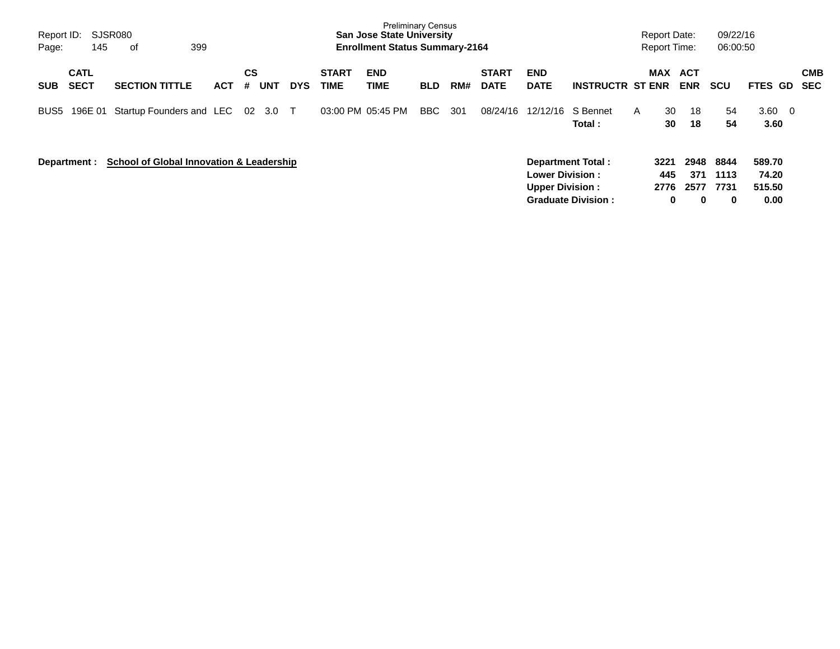| Report ID:<br>Page: | 145                        | SJSR080<br>399<br>0f                                |     |         |            |            |                             | <b>Preliminary Census</b><br><b>San Jose State University</b><br><b>Enrollment Status Summary-2164</b> |            |     |                             |                                                  |                                                       | <b>Report Date:</b><br><b>Report Time:</b> |                          | 09/22/16<br>06:00:50      |                                   |                   |
|---------------------|----------------------------|-----------------------------------------------------|-----|---------|------------|------------|-----------------------------|--------------------------------------------------------------------------------------------------------|------------|-----|-----------------------------|--------------------------------------------------|-------------------------------------------------------|--------------------------------------------|--------------------------|---------------------------|-----------------------------------|-------------------|
| <b>SUB</b>          | <b>CATL</b><br><b>SECT</b> | <b>SECTION TITTLE</b>                               | ACT | CS<br># | <b>UNT</b> | <b>DYS</b> | <b>START</b><br><b>TIME</b> | <b>END</b><br>TIME                                                                                     | <b>BLD</b> | RM# | <b>START</b><br><b>DATE</b> | <b>END</b><br><b>DATE</b>                        | <b>INSTRUCTR ST ENR</b>                               | <b>MAX</b>                                 | <b>ACT</b><br><b>ENR</b> | <b>SCU</b>                | <b>FTES GD</b>                    | <b>CMB</b><br>SEC |
| BUS5                | 196E 01                    | Startup Founders and LEC 02                         |     |         | 3.0        | $\top$     |                             | 03:00 PM 05:45 PM                                                                                      | BBC        | 301 | 08/24/16                    | 12/12/16                                         | S Bennet<br>Total :                                   | 30<br>A<br>30                              | 18<br>18                 | 54<br>54                  | $3.60 \quad 0$<br>3.60            |                   |
|                     | Department :               | <b>School of Global Innovation &amp; Leadership</b> |     |         |            |            |                             |                                                                                                        |            |     |                             | <b>Lower Division:</b><br><b>Upper Division:</b> | <b>Department Total:</b><br><b>Graduate Division:</b> | 3221<br>445<br>2776<br>0                   | 2948<br>371<br>2577<br>0 | 8844<br>1113<br>7731<br>0 | 589.70<br>74.20<br>515.50<br>0.00 |                   |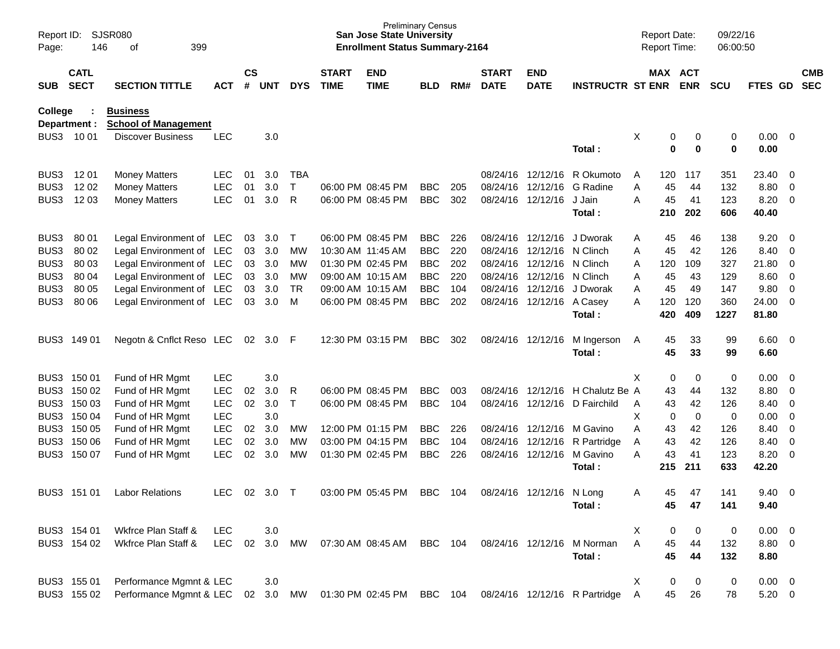| Page:          | SJSR080<br>Report ID:<br>146<br>399<br>of<br><b>CATL</b> |                                                |            |                    |        |            |                             | <b>San Jose State University</b><br><b>Enrollment Status Summary-2164</b> | <b>Preliminary Census</b> |     |                             |                           |                               | <b>Report Date:</b><br>Report Time: |           |                | 09/22/16<br>06:00:50 |                |                          |                          |
|----------------|----------------------------------------------------------|------------------------------------------------|------------|--------------------|--------|------------|-----------------------------|---------------------------------------------------------------------------|---------------------------|-----|-----------------------------|---------------------------|-------------------------------|-------------------------------------|-----------|----------------|----------------------|----------------|--------------------------|--------------------------|
| <b>SUB</b>     | <b>SECT</b>                                              | <b>SECTION TITTLE</b>                          | <b>ACT</b> | $\mathsf{cs}$<br># | UNT    | <b>DYS</b> | <b>START</b><br><b>TIME</b> | <b>END</b><br><b>TIME</b>                                                 | <b>BLD</b>                | RM# | <b>START</b><br><b>DATE</b> | <b>END</b><br><b>DATE</b> | <b>INSTRUCTR ST ENR</b>       | MAX ACT                             |           | <b>ENR</b>     | <b>SCU</b>           | FTES GD        |                          | <b>CMB</b><br><b>SEC</b> |
| <b>College</b> | Department :                                             | <b>Business</b><br><b>School of Management</b> |            |                    |        |            |                             |                                                                           |                           |     |                             |                           |                               |                                     |           |                |                      |                |                          |                          |
|                | BUS3 1001                                                | <b>Discover Business</b>                       | <b>LEC</b> |                    | 3.0    |            |                             |                                                                           |                           |     |                             |                           |                               | х                                   | 0         | 0              | 0                    | $0.00 \quad 0$ |                          |                          |
|                |                                                          |                                                |            |                    |        |            |                             |                                                                           |                           |     |                             |                           | Total:                        |                                     | 0         | $\mathbf 0$    | 0                    | 0.00           |                          |                          |
| BUS3           | 1201                                                     | <b>Money Matters</b>                           | <b>LEC</b> | 01                 | 3.0    | TBA        |                             |                                                                           |                           |     |                             | 08/24/16 12/12/16         | R Okumoto                     | A                                   | 120       | 117            | 351                  | 23.40          | $\overline{\mathbf{0}}$  |                          |
| BUS3           | 1202                                                     | <b>Money Matters</b>                           | <b>LEC</b> | 01                 | 3.0    | Т          |                             | 06:00 PM 08:45 PM                                                         | <b>BBC</b>                | 205 | 08/24/16                    | 12/12/16                  | G Radine                      | Α                                   | 45        | 44             | 132                  | 8.80           | $\overline{\mathbf{0}}$  |                          |
| BUS3           | 12 03                                                    | <b>Money Matters</b>                           | <b>LEC</b> | 01                 | 3.0    | R          |                             | 06:00 PM 08:45 PM                                                         | <b>BBC</b>                | 302 |                             | 08/24/16 12/12/16         | J Jain<br>Total:              | Α                                   | 45<br>210 | 41<br>202      | 123<br>606           | 8.20<br>40.40  | $\overline{0}$           |                          |
| BUS3           | 80 01                                                    | Legal Environment of LEC                       |            | 03                 | 3.0    | Т          |                             | 06:00 PM 08:45 PM                                                         | <b>BBC</b>                | 226 |                             | 08/24/16 12/12/16         | J Dworak                      | Α                                   | 45        | 46             | 138                  | 9.20           | $\overline{\phantom{0}}$ |                          |
| BUS3           | 80 02                                                    | Legal Environment of LEC                       |            | 03                 | 3.0    | MW         |                             | 10:30 AM 11:45 AM                                                         | <b>BBC</b>                | 220 | 08/24/16                    | 12/12/16                  | N Clinch                      | Α                                   | 45        | 42             | 126                  | 8.40           | $\overline{\phantom{0}}$ |                          |
| BUS3           | 80 03                                                    | Legal Environment of LEC                       |            | 03                 | 3.0    | MW         |                             | 01:30 PM 02:45 PM                                                         | <b>BBC</b>                | 202 |                             | 08/24/16 12/12/16         | N Clinch                      | A                                   | 120       | 109            | 327                  | 21.80          | $\overline{\mathbf{0}}$  |                          |
| BUS3           | 80 04                                                    | Legal Environment of LEC                       |            | 03                 | 3.0    | MW         |                             | 09:00 AM 10:15 AM                                                         | <b>BBC</b>                | 220 |                             | 08/24/16 12/12/16         | N Clinch                      | Α                                   | 45        | 43             | 129                  | 8.60           | $\overline{\mathbf{0}}$  |                          |
| BUS3           | 80 05                                                    | Legal Environment of LEC                       |            | 03                 | 3.0    | <b>TR</b>  |                             | 09:00 AM 10:15 AM                                                         | <b>BBC</b>                | 104 |                             | 08/24/16 12/12/16         | J Dworak                      | A                                   | 45        | 49             | 147                  | 9.80           | $\overline{0}$           |                          |
| BUS3           | 80 06                                                    | Legal Environment of LEC                       |            | 03                 | 3.0    | M          |                             | 06:00 PM 08:45 PM                                                         | <b>BBC</b>                | 202 |                             | 08/24/16 12/12/16 A Casey |                               | Α                                   | 120       | 120            | 360                  | 24.00          | $\overline{\phantom{0}}$ |                          |
|                |                                                          |                                                |            |                    |        |            |                             |                                                                           |                           |     |                             |                           | Total:                        |                                     | 420       | 409            | 1227                 | 81.80          |                          |                          |
| BUS3           | 149 01                                                   | Negotn & Cnflct Reso LEC                       |            | 02                 | 3.0    | -F         |                             | 12:30 PM 03:15 PM                                                         | <b>BBC</b>                | 302 |                             | 08/24/16 12/12/16         | M Ingerson                    | A                                   | 45        | 33             | 99                   | $6.60 \quad 0$ |                          |                          |
|                |                                                          |                                                |            |                    |        |            |                             |                                                                           |                           |     |                             |                           | Total:                        |                                     | 45        | 33             | 99                   | 6.60           |                          |                          |
|                | BUS3 150 01                                              | Fund of HR Mgmt                                | <b>LEC</b> |                    | 3.0    |            |                             |                                                                           |                           |     |                             |                           |                               | Χ                                   | 0         | 0              | 0                    | 0.00           | $\overline{\phantom{0}}$ |                          |
| BUS3           | 150 02                                                   | Fund of HR Mgmt                                | <b>LEC</b> | 02                 | 3.0    | R          |                             | 06:00 PM 08:45 PM                                                         | <b>BBC</b>                | 003 |                             | 08/24/16 12/12/16         | H Chalutz Be A                |                                     | 43        | 44             | 132                  | 8.80           | $\overline{\mathbf{0}}$  |                          |
| BUS3           | 150 03                                                   | Fund of HR Mgmt                                | <b>LEC</b> | 02                 | 3.0    | Т          |                             | 06:00 PM 08:45 PM                                                         | <b>BBC</b>                | 104 |                             | 08/24/16 12/12/16         | D Fairchild                   | A                                   | 43        | 42             | 126                  | 8.40           | $\overline{\mathbf{0}}$  |                          |
| BUS3           | 150 04                                                   | Fund of HR Mgmt                                | <b>LEC</b> |                    | 3.0    |            |                             |                                                                           |                           |     |                             |                           |                               | х                                   | 0         | 0              | 0                    | 0.00           | $\overline{\mathbf{0}}$  |                          |
|                | BUS3 150 05                                              | Fund of HR Mgmt                                | <b>LEC</b> | 02                 | 3.0    | MW         |                             | 12:00 PM 01:15 PM                                                         | <b>BBC</b>                | 226 |                             | 08/24/16 12/12/16         | M Gavino                      | Α                                   | 43        | 42             | 126                  | 8.40           | $\overline{0}$           |                          |
|                | BUS3 150 06                                              | Fund of HR Mgmt                                | <b>LEC</b> | 02                 | 3.0    | MW         |                             | 03:00 PM 04:15 PM                                                         | <b>BBC</b>                | 104 |                             |                           | 08/24/16 12/12/16 R Partridge | A                                   | 43        | 42             | 126                  | 8.40           | $\overline{0}$           |                          |
| BUS3           | 150 07                                                   | Fund of HR Mgmt                                | <b>LEC</b> | 02                 | 3.0    | MW         |                             | 01:30 PM 02:45 PM                                                         | <b>BBC</b>                | 226 |                             | 08/24/16 12/12/16         | M Gavino<br>Total:            | Α                                   | 43        | 41             | 123                  | 8.20           | $\overline{\mathbf{0}}$  |                          |
|                |                                                          |                                                |            |                    |        |            |                             |                                                                           |                           |     |                             |                           |                               |                                     | 215       | 211            | 633                  | 42.20          |                          |                          |
|                | BUS3 151 01                                              | <b>Labor Relations</b>                         | <b>LEC</b> | 02                 | 3.0    | $\top$     |                             | 03:00 PM 05:45 PM                                                         | <b>BBC</b>                | 104 |                             | 08/24/16 12/12/16 N Long  |                               | Α                                   | 45        | 47             | 141                  | 9.40           | $\overline{\mathbf{0}}$  |                          |
|                |                                                          |                                                |            |                    |        |            |                             |                                                                           |                           |     |                             |                           | Total:                        |                                     | 45        | 47             | 141                  | 9.40           |                          |                          |
|                | BUS3 154 01                                              | Wkfrce Plan Staff &                            | <b>LEC</b> |                    | 3.0    |            |                             |                                                                           |                           |     |                             |                           |                               | X                                   | 0         | $\overline{0}$ | $\pmb{0}$            | $0.00 \t 0$    |                          |                          |
|                | BUS3 154 02                                              | Wkfrce Plan Staff &                            | <b>LEC</b> | 02                 | 3.0    | MW         |                             | 07:30 AM 08:45 AM                                                         | BBC                       | 104 |                             | 08/24/16 12/12/16         | M Norman                      | A                                   | 45        | 44             | 132                  | 8.80 0         |                          |                          |
|                |                                                          |                                                |            |                    |        |            |                             |                                                                           |                           |     |                             |                           | Total:                        |                                     | 45        | 44             | 132                  | 8.80           |                          |                          |
|                | BUS3 155 01                                              | Performance Mgmnt & LEC                        |            |                    | 3.0    |            |                             |                                                                           |                           |     |                             |                           |                               | X                                   | 0         | 0              | $\pmb{0}$            | $0.00 \t 0$    |                          |                          |
|                | BUS3 155 02                                              | Performance Mgmnt & LEC                        |            |                    | 02 3.0 | MW         |                             | 01:30 PM 02:45 PM                                                         | BBC 104                   |     |                             |                           | 08/24/16 12/12/16 R Partridge | Α                                   | 45        | 26             | 78                   | $5.20 \t 0$    |                          |                          |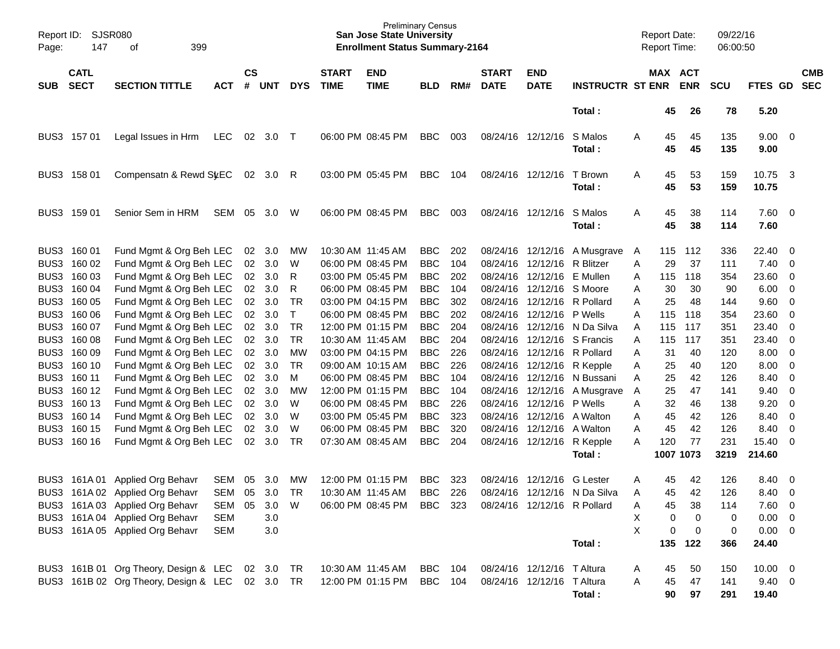| Report ID:<br>Page: | SJSR080<br>147             | 399<br>of                                       |            |                 |            |              |                             | Preliminary Census<br><b>San Jose State University</b><br><b>Enrollment Status Summary-2164</b> |            |     |                             |                             |                              | <b>Report Date:</b><br>Report Time: |          |                       | 09/22/16<br>06:00:50 |                     |                          |                          |
|---------------------|----------------------------|-------------------------------------------------|------------|-----------------|------------|--------------|-----------------------------|-------------------------------------------------------------------------------------------------|------------|-----|-----------------------------|-----------------------------|------------------------------|-------------------------------------|----------|-----------------------|----------------------|---------------------|--------------------------|--------------------------|
| <b>SUB</b>          | <b>CATL</b><br><b>SECT</b> | <b>SECTION TITTLE</b>                           | <b>ACT</b> | <b>CS</b><br>#  | <b>UNT</b> | <b>DYS</b>   | <b>START</b><br><b>TIME</b> | <b>END</b><br><b>TIME</b>                                                                       | <b>BLD</b> | RM# | <b>START</b><br><b>DATE</b> | <b>END</b><br><b>DATE</b>   | <b>INSTRUCTR ST ENR</b>      |                                     |          | MAX ACT<br><b>ENR</b> | <b>SCU</b>           | FTES GD             |                          | <b>CMB</b><br><b>SEC</b> |
|                     |                            |                                                 |            |                 |            |              |                             |                                                                                                 |            |     |                             |                             | Total:                       |                                     | 45       | 26                    | 78                   | 5.20                |                          |                          |
|                     | BUS3 157 01                | Legal Issues in Hrm                             | <b>LEC</b> | 02              | 3.0        | $\top$       |                             | 06:00 PM 08:45 PM                                                                               | <b>BBC</b> | 003 |                             | 08/24/16 12/12/16           | S Malos<br>Total:            | Α                                   | 45<br>45 | 45<br>45              | 135<br>135           | $9.00 \t 0$<br>9.00 |                          |                          |
|                     | BUS3 158 01                | Compensatn & Rewd St.EC                         |            | 02 <sub>o</sub> | 3.0        | R            |                             | 03:00 PM 05:45 PM                                                                               | <b>BBC</b> | 104 |                             | 08/24/16 12/12/16           | T Brown<br>Total:            | Α                                   | 45<br>45 | 53<br>53              | 159<br>159           | 10.75 3<br>10.75    |                          |                          |
|                     | BUS3 159 01                | Senior Sem in HRM                               | SEM        | 05              | 3.0        | W            |                             | 06:00 PM 08:45 PM                                                                               | <b>BBC</b> | 003 |                             | 08/24/16 12/12/16           | S Malos<br>Total:            | Α                                   | 45<br>45 | 38<br>38              | 114<br>114           | 7.60 0<br>7.60      |                          |                          |
|                     | BUS3 160 01                | Fund Mgmt & Org Beh LEC                         |            | 02              | 3.0        | MW           | 10:30 AM 11:45 AM           |                                                                                                 | <b>BBC</b> | 202 |                             | 08/24/16 12/12/16           | A Musgrave                   | A                                   | 115      | 112                   | 336                  | 22.40               | $\overline{\mathbf{0}}$  |                          |
| BUS3                | 160 02                     | Fund Mgmt & Org Beh LEC                         |            | 02              | 3.0        | W            |                             | 06:00 PM 08:45 PM                                                                               | <b>BBC</b> | 104 |                             | 08/24/16 12/12/16           | R Blitzer                    | Α                                   | 29       | 37                    | 111                  | 7.40                | $\overline{\mathbf{0}}$  |                          |
| BUS3                | 160 03                     | Fund Mgmt & Org Beh LEC                         |            | 02              | 3.0        | R            |                             | 03:00 PM 05:45 PM                                                                               | <b>BBC</b> | 202 |                             | 08/24/16 12/12/16           | E Mullen                     | Α                                   | 115      | 118                   | 354                  | 23.60               | $\overline{\mathbf{0}}$  |                          |
| BUS3                | 160 04                     | Fund Mgmt & Org Beh LEC                         |            | 02              | 3.0        | R            |                             | 06:00 PM 08:45 PM                                                                               | <b>BBC</b> | 104 |                             | 08/24/16 12/12/16 S Moore   |                              | Α                                   | 30       | 30                    | 90                   | 6.00                | $\overline{0}$           |                          |
| BUS3                | 160 05                     | Fund Mgmt & Org Beh LEC                         |            | 02              | 3.0        | TR           |                             | 03:00 PM 04:15 PM                                                                               | <b>BBC</b> | 302 |                             | 08/24/16 12/12/16           | R Pollard                    | Α                                   | 25       | 48                    | 144                  | 9.60                | $\overline{0}$           |                          |
| BUS3                | 160 06                     | Fund Mgmt & Org Beh LEC                         |            | $02\,$          | 3.0        | $\mathsf{T}$ |                             | 06:00 PM 08:45 PM                                                                               | <b>BBC</b> | 202 |                             | 08/24/16 12/12/16           | P Wells                      | A                                   | 115      | 118                   | 354                  | 23.60               | $\overline{0}$           |                          |
| BUS3                | 160 07                     | Fund Mgmt & Org Beh LEC                         |            | 02              | 3.0        | <b>TR</b>    |                             | 12:00 PM 01:15 PM                                                                               | <b>BBC</b> | 204 |                             |                             | 08/24/16 12/12/16 N Da Silva | A                                   | 115      | 117                   | 351                  | 23.40               | $\overline{0}$           |                          |
| BUS3                | 160 08                     | Fund Mgmt & Org Beh LEC                         |            | 02              | 3.0        | <b>TR</b>    | 10:30 AM 11:45 AM           |                                                                                                 | <b>BBC</b> | 204 |                             |                             | 08/24/16 12/12/16 S Francis  | Α                                   | 115      | 117                   | 351                  | 23.40               | $\overline{0}$           |                          |
| BUS3                | 160 09                     | Fund Mgmt & Org Beh LEC                         |            | $02\,$          | 3.0        | MW           |                             | 03:00 PM 04:15 PM                                                                               | <b>BBC</b> | 226 |                             | 08/24/16 12/12/16           | R Pollard                    | Α                                   | 31       | 40                    | 120                  | 8.00                | $\overline{\mathbf{0}}$  |                          |
| BUS3                | 160 10                     | Fund Mgmt & Org Beh LEC                         |            | 02              | 3.0        | <b>TR</b>    |                             | 09:00 AM 10:15 AM                                                                               | <b>BBC</b> | 226 |                             | 08/24/16 12/12/16           | R Kepple                     | Α                                   | 25       | 40                    | 120                  | 8.00                | $\overline{0}$           |                          |
| BUS3                | 160 11                     | Fund Mgmt & Org Beh LEC                         |            | 02              | 3.0        | M            |                             | 06:00 PM 08:45 PM                                                                               | <b>BBC</b> | 104 |                             | 08/24/16 12/12/16           | N Bussani                    | A                                   | 25       | 42                    | 126                  | 8.40                | $\mathbf 0$              |                          |
| BUS3                | 160 12                     | Fund Mgmt & Org Beh LEC                         |            | 02              | 3.0        | МW           |                             | 12:00 PM 01:15 PM                                                                               | <b>BBC</b> | 104 |                             | 08/24/16 12/12/16           | A Musgrave                   | Α                                   | 25       | 47                    | 141                  | 9.40                | $\overline{0}$           |                          |
| BUS3                | 160 13                     | Fund Mgmt & Org Beh LEC                         |            | 02              | 3.0        | W            |                             | 06:00 PM 08:45 PM                                                                               | <b>BBC</b> | 226 |                             | 08/24/16 12/12/16           | P Wells                      | Α                                   | 32       | 46                    | 138                  | 9.20                | $\overline{0}$           |                          |
| BUS3                | 160 14                     | Fund Mgmt & Org Beh LEC                         |            | $02\,$          | 3.0        | W            |                             | 03:00 PM 05:45 PM                                                                               | <b>BBC</b> | 323 |                             | 08/24/16 12/12/16           | A Walton                     | Α                                   | 45       | 42                    | 126                  | 8.40                | $\overline{0}$           |                          |
| BUS3                | 160 15                     | Fund Mgmt & Org Beh LEC                         |            | $02\,$          | 3.0        | W            |                             | 06:00 PM 08:45 PM                                                                               | <b>BBC</b> | 320 |                             | 08/24/16 12/12/16           | A Walton                     | Α                                   | 45       | 42                    | 126                  | 8.40                | $\overline{0}$           |                          |
| BUS3                | 160 16                     | Fund Mgmt & Org Beh LEC                         |            | 02              | 3.0        | TR           |                             | 07:30 AM 08:45 AM                                                                               | <b>BBC</b> | 204 |                             | 08/24/16 12/12/16           | R Kepple                     | A                                   | 120      | 77                    | 231                  | 15.40               | $\overline{\phantom{0}}$ |                          |
|                     |                            |                                                 |            |                 |            |              |                             |                                                                                                 |            |     |                             |                             | Total:                       |                                     |          | 1007 1073             | 3219                 | 214.60              |                          |                          |
| BUS3                |                            | 161A 01 Applied Org Behavr                      | <b>SEM</b> | 05              | 3.0        | MW           |                             | 12:00 PM 01:15 PM                                                                               | <b>BBC</b> | 323 | 08/24/16                    | 12/12/16                    | <b>G</b> Lester              | Α                                   | 45       | 42                    | 126                  | 8.40                | $\overline{\mathbf{0}}$  |                          |
|                     |                            | BUS3 161A 02 Applied Org Behavr                 | SEM        | 05              | 3.0        | <b>TR</b>    | 10:30 AM 11:45 AM           |                                                                                                 | <b>BBC</b> | 226 |                             |                             | 08/24/16 12/12/16 N Da Silva | A                                   | 45       | 42                    | 126                  | 8.40                | - 0                      |                          |
|                     |                            | BUS3 161A 03 Applied Org Behavr                 | SEM        | 05              | 3.0        | W            |                             | 06:00 PM 08:45 PM                                                                               | BBC 323    |     |                             | 08/24/16 12/12/16 R Pollard |                              | Α                                   | 45       | 38                    | 114                  | 7.60 0              |                          |                          |
|                     |                            | BUS3 161A 04 Applied Org Behavr                 | <b>SEM</b> |                 | 3.0        |              |                             |                                                                                                 |            |     |                             |                             |                              | Χ                                   | 0        | 0                     | 0                    | $0.00 \t 0$         |                          |                          |
|                     |                            | BUS3 161A 05 Applied Org Behavr                 | <b>SEM</b> |                 | 3.0        |              |                             |                                                                                                 |            |     |                             |                             |                              | $\sf X$                             | 0        | $\mathbf 0$           | 0                    | $0.00 \t 0$         |                          |                          |
|                     |                            |                                                 |            |                 |            |              |                             |                                                                                                 |            |     |                             |                             | Total:                       |                                     |          | 135 122               | 366                  | 24.40               |                          |                          |
|                     |                            | BUS3 161B 01 Org Theory, Design & LEC           |            |                 | 02 3.0     | TR           |                             | 10:30 AM 11:45 AM                                                                               | BBC 104    |     |                             | 08/24/16 12/12/16 T Altura  |                              | A                                   | 45       | 50                    | 150                  | $10.00 \t 0$        |                          |                          |
|                     |                            | BUS3 161B 02 Org Theory, Design & LEC 02 3.0 TR |            |                 |            |              |                             | 12:00 PM 01:15 PM                                                                               | BBC 104    |     |                             | 08/24/16 12/12/16 T Altura  |                              | Α                                   | 45       | 47                    | 141                  | $9.40 \quad 0$      |                          |                          |
|                     |                            |                                                 |            |                 |            |              |                             |                                                                                                 |            |     |                             |                             | Total:                       |                                     | 90       | 97                    | 291                  | 19.40               |                          |                          |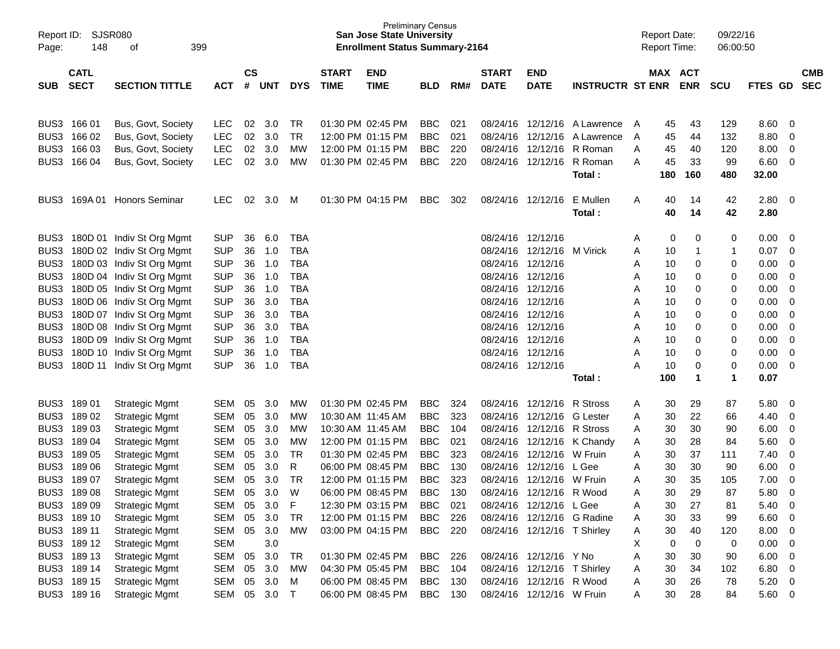| <b>SJSR080</b><br>09/22/16<br>Report ID:<br><b>San Jose State University</b><br><b>Report Date:</b><br>148<br>399<br><b>Enrollment Status Summary-2164</b><br><b>Report Time:</b><br>06:00:50<br>оf<br>Page:<br>$\mathsf{cs}$<br><b>CATL</b><br><b>START</b><br>MAX ACT<br><b>START</b><br><b>END</b><br><b>END</b><br><b>SECT</b><br><b>SECTION TITTLE</b><br>#<br><b>TIME</b><br><b>TIME</b><br><b>DATE</b><br><b>DATE</b><br><b>INSTRUCTR ST ENR</b><br><b>ENR</b><br><b>SUB</b><br><b>ACT</b><br><b>UNT</b><br><b>DYS</b><br><b>BLD</b><br>RM#<br><b>SCU</b><br>BUS3 166 01<br>8.60<br>Bus, Govt, Society<br>LEC.<br>02<br>3.0<br>TR<br>01:30 PM 02:45 PM<br><b>BBC</b><br>021<br>08/24/16 12/12/16 A Lawrence<br>45<br>43<br>129<br>A | <b>CMB</b><br><b>SEC</b><br>FTES GD<br>0<br>0<br>$\mathbf 0$<br>0 |
|--------------------------------------------------------------------------------------------------------------------------------------------------------------------------------------------------------------------------------------------------------------------------------------------------------------------------------------------------------------------------------------------------------------------------------------------------------------------------------------------------------------------------------------------------------------------------------------------------------------------------------------------------------------------------------------------------------------------------------------------|-------------------------------------------------------------------|
|                                                                                                                                                                                                                                                                                                                                                                                                                                                                                                                                                                                                                                                                                                                                            |                                                                   |
|                                                                                                                                                                                                                                                                                                                                                                                                                                                                                                                                                                                                                                                                                                                                            |                                                                   |
|                                                                                                                                                                                                                                                                                                                                                                                                                                                                                                                                                                                                                                                                                                                                            |                                                                   |
|                                                                                                                                                                                                                                                                                                                                                                                                                                                                                                                                                                                                                                                                                                                                            |                                                                   |
|                                                                                                                                                                                                                                                                                                                                                                                                                                                                                                                                                                                                                                                                                                                                            |                                                                   |
|                                                                                                                                                                                                                                                                                                                                                                                                                                                                                                                                                                                                                                                                                                                                            |                                                                   |
|                                                                                                                                                                                                                                                                                                                                                                                                                                                                                                                                                                                                                                                                                                                                            |                                                                   |
| 02<br>8.80<br>BUS3<br>166 02<br><b>LEC</b><br>3.0<br><b>TR</b><br>12:00 PM 01:15 PM<br><b>BBC</b><br>021<br>08/24/16<br>12/12/16<br>45<br>44<br>132<br>Bus, Govt, Society<br>A Lawrence<br>A                                                                                                                                                                                                                                                                                                                                                                                                                                                                                                                                               |                                                                   |
| 02<br>BUS3 166 03<br><b>LEC</b><br>3.0<br><b>MW</b><br>12:00 PM 01:15 PM<br><b>BBC</b><br>220<br>08/24/16 12/12/16<br>R Roman<br>40<br>120<br>8.00<br>Bus, Govt, Society<br>45<br>A                                                                                                                                                                                                                                                                                                                                                                                                                                                                                                                                                        |                                                                   |
| 02<br>BUS3<br>166 04<br><b>LEC</b><br>3.0<br>01:30 PM 02:45 PM<br><b>BBC</b><br>220<br>08/24/16 12/12/16<br>R Roman<br>45<br>33<br>99<br>6.60<br>Bus, Govt, Society<br><b>MW</b><br>A                                                                                                                                                                                                                                                                                                                                                                                                                                                                                                                                                      |                                                                   |
| 180<br>160<br>480<br>32.00<br>Total:                                                                                                                                                                                                                                                                                                                                                                                                                                                                                                                                                                                                                                                                                                       |                                                                   |
|                                                                                                                                                                                                                                                                                                                                                                                                                                                                                                                                                                                                                                                                                                                                            |                                                                   |
| <b>LEC</b><br>02<br>2.80<br>169A 01 Honors Seminar<br>3.0<br>01:30 PM 04:15 PM<br><b>BBC</b><br>302<br>08/24/16 12/12/16<br>E Mullen<br>40<br>14<br>42<br>BUS3<br>M<br>A                                                                                                                                                                                                                                                                                                                                                                                                                                                                                                                                                                   | 0                                                                 |
| 40<br>14<br>42<br>2.80<br>Total:                                                                                                                                                                                                                                                                                                                                                                                                                                                                                                                                                                                                                                                                                                           |                                                                   |
|                                                                                                                                                                                                                                                                                                                                                                                                                                                                                                                                                                                                                                                                                                                                            |                                                                   |
| 6.0<br>08/24/16 12/12/16<br>0<br>0.00<br>BUS3 180D 01 Indiv St Org Mgmt<br><b>SUP</b><br>36<br><b>TBA</b><br>0<br>0<br>A                                                                                                                                                                                                                                                                                                                                                                                                                                                                                                                                                                                                                   | 0                                                                 |
| 180D 02 Indiv St Org Mgmt<br><b>SUP</b><br>36<br>1.0<br><b>TBA</b><br>08/24/16 12/12/16<br>0.07<br>BUS3<br>M Virick<br>Α<br>10<br>$\mathbf{1}$<br>1                                                                                                                                                                                                                                                                                                                                                                                                                                                                                                                                                                                        | $\mathbf 0$                                                       |
| 180D 03 Indiv St Org Mgmt<br><b>SUP</b><br>36<br><b>TBA</b><br>08/24/16 12/12/16<br>0<br>0<br>0.00<br>BUS3<br>1.0<br>10<br>Α                                                                                                                                                                                                                                                                                                                                                                                                                                                                                                                                                                                                               | $\mathbf 0$                                                       |
| 180D 04 Indiv St Org Mgmt<br><b>SUP</b><br>36<br>1.0<br><b>TBA</b><br>08/24/16 12/12/16<br>0<br>0<br>0.00<br>BUS3<br>Α<br>10                                                                                                                                                                                                                                                                                                                                                                                                                                                                                                                                                                                                               | $\mathbf 0$                                                       |
| BUS3<br>180D 05 Indiv St Org Mgmt<br><b>SUP</b><br>36<br>1.0<br><b>TBA</b><br>08/24/16 12/12/16<br>0<br>0<br>0.00<br>10<br>Α                                                                                                                                                                                                                                                                                                                                                                                                                                                                                                                                                                                                               | $\mathbf 0$                                                       |
| BUS3<br>180D 06 Indiv St Org Mgmt<br><b>SUP</b><br>36<br>3.0<br><b>TBA</b><br>08/24/16 12/12/16<br>0<br>0<br>0.00<br>Α<br>10                                                                                                                                                                                                                                                                                                                                                                                                                                                                                                                                                                                                               | $\mathbf 0$                                                       |
| BUS3<br>180D 07 Indiv St Org Mgmt<br><b>SUP</b><br>36<br>3.0<br><b>TBA</b><br>08/24/16 12/12/16<br>0<br>0<br>0.00<br>Α<br>10                                                                                                                                                                                                                                                                                                                                                                                                                                                                                                                                                                                                               | $\mathbf 0$                                                       |
| 3.0<br>BUS3<br>180D 08 Indiv St Org Mgmt<br><b>SUP</b><br>36<br><b>TBA</b><br>08/24/16 12/12/16<br>0<br>0<br>0.00<br>Α<br>10                                                                                                                                                                                                                                                                                                                                                                                                                                                                                                                                                                                                               | $\mathbf 0$                                                       |
| BUS3<br>180D 09 Indiv St Org Mgmt<br><b>SUP</b><br>36<br>1.0<br><b>TBA</b><br>08/24/16 12/12/16<br>0<br>0<br>0.00<br>Α<br>10                                                                                                                                                                                                                                                                                                                                                                                                                                                                                                                                                                                                               | $\mathbf 0$                                                       |
| BUS3<br>180D 10 Indiv St Org Mgmt<br><b>SUP</b><br>36<br>1.0<br><b>TBA</b><br>08/24/16 12/12/16<br>0<br>0<br>0.00<br>A<br>10                                                                                                                                                                                                                                                                                                                                                                                                                                                                                                                                                                                                               | $\mathbf 0$                                                       |
| <b>SUP</b><br>36<br>1.0<br><b>TBA</b><br>08/24/16 12/12/16<br>0<br>0<br>0.00<br>BUS3<br>180D 11 Indiv St Org Mgmt<br>Α<br>10                                                                                                                                                                                                                                                                                                                                                                                                                                                                                                                                                                                                               | $\mathbf 0$                                                       |
| 100<br>1<br>1<br>0.07<br>Total:                                                                                                                                                                                                                                                                                                                                                                                                                                                                                                                                                                                                                                                                                                            |                                                                   |
| BUS3 189 01<br>01:30 PM 02:45 PM<br>5.80<br><b>Strategic Mgmt</b><br>SEM<br>05<br>3.0<br><b>MW</b><br><b>BBC</b><br>324<br>08/24/16 12/12/16<br>R Stross<br>30<br>29<br>A<br>87                                                                                                                                                                                                                                                                                                                                                                                                                                                                                                                                                            | 0                                                                 |
| BUS3<br>18902<br>05<br>3.0<br><b>BBC</b><br>323<br>08/24/16 12/12/16<br>22<br>66<br>4.40<br><b>Strategic Mgmt</b><br>SEM<br><b>MW</b><br>10:30 AM 11:45 AM<br><b>G</b> Lester<br>30<br>Α                                                                                                                                                                                                                                                                                                                                                                                                                                                                                                                                                   | 0                                                                 |
| BUS3<br>18903<br><b>SEM</b><br>05<br>3.0<br>10:30 AM 11:45 AM<br><b>BBC</b><br>08/24/16 12/12/16<br>R Stross<br>30<br>90<br>6.00<br><b>Strategic Mgmt</b><br><b>MW</b><br>104<br>30<br>Α                                                                                                                                                                                                                                                                                                                                                                                                                                                                                                                                                   | $\mathbf 0$                                                       |
| BUS3<br>18904<br><b>SEM</b><br>05<br>3.0<br>12:00 PM 01:15 PM<br><b>BBC</b><br>021<br>08/24/16 12/12/16<br>28<br>84<br>5.60<br><b>Strategic Mgmt</b><br>MW<br>K Chandy<br>30<br>A                                                                                                                                                                                                                                                                                                                                                                                                                                                                                                                                                          | $\mathbf 0$                                                       |
| BUS3<br>18905<br><b>SEM</b><br>05<br>3.0<br><b>TR</b><br>01:30 PM 02:45 PM<br><b>BBC</b><br>323<br>08/24/16<br>12/12/16<br>37<br>7.40<br><b>Strategic Mgmt</b><br>W Fruin<br>30<br>111<br>Α                                                                                                                                                                                                                                                                                                                                                                                                                                                                                                                                                | $\mathbf 0$                                                       |
| BUS3<br>18906<br>05<br>3.0<br>R<br>06:00 PM 08:45 PM<br><b>BBC</b><br>08/24/16<br>12/12/16<br>30<br>6.00<br><b>Strategic Mgmt</b><br><b>SEM</b><br>130<br>L Gee<br>30<br>90<br>Α                                                                                                                                                                                                                                                                                                                                                                                                                                                                                                                                                           | $\mathbf 0$                                                       |
| BUS3<br>18907<br><b>SEM</b><br>05<br>3.0<br>12:00 PM 01:15 PM<br><b>BBC</b><br>323<br>08/24/16<br>12/12/16<br>30<br>35<br>105<br>7.00<br><b>Strategic Mgmt</b><br>TR<br>W Fruin<br>Α                                                                                                                                                                                                                                                                                                                                                                                                                                                                                                                                                       | $\mathbf 0$                                                       |
| 29<br>BUS3 189 08<br><b>SEM</b><br>05<br>3.0<br>W<br>06:00 PM 08:45 PM<br><b>BBC</b><br>130<br>08/24/16<br>12/12/16<br>R Wood<br>30<br>87<br>5.80<br><b>Strategic Mgmt</b><br>Α                                                                                                                                                                                                                                                                                                                                                                                                                                                                                                                                                            | $\mathbf 0$                                                       |
| 3.0<br>$\mathsf F$<br>27<br>5.40<br>BUS3 189 09<br><b>Strategic Mgmt</b><br>SEM 05<br>12:30 PM 03:15 PM<br>BBC<br>021<br>08/24/16 12/12/16 LGee<br>Α<br>30<br>81                                                                                                                                                                                                                                                                                                                                                                                                                                                                                                                                                                           | $\overline{0}$                                                    |
| 33<br>6.60<br>BUS3 189 10<br>SEM<br>05<br>3.0<br>TR<br>12:00 PM 01:15 PM<br>BBC<br>08/24/16 12/12/16 G Radine<br>30<br><b>Strategic Mgmt</b><br>226<br>99<br>A                                                                                                                                                                                                                                                                                                                                                                                                                                                                                                                                                                             | $\overline{0}$                                                    |
| 40<br>BUS3 189 11<br>SEM<br>05 3.0<br><b>MW</b><br>03:00 PM 04:15 PM<br><b>BBC</b> 220<br>08/24/16 12/12/16 T Shirley<br>30<br>120<br>8.00<br><b>Strategic Mgmt</b><br>A                                                                                                                                                                                                                                                                                                                                                                                                                                                                                                                                                                   | 0                                                                 |
| 3.0<br>$\mathbf 0$<br>BUS3 189 12<br><b>SEM</b><br>0<br>0.00<br><b>Strategic Mgmt</b><br>х<br>0                                                                                                                                                                                                                                                                                                                                                                                                                                                                                                                                                                                                                                            | 0                                                                 |
| BUS3 189 13<br>SEM<br>05<br>3.0<br>08/24/16 12/12/16 Y No<br>30<br>6.00<br><b>Strategic Mgmt</b><br>TR<br>01:30 PM 02:45 PM<br>BBC 226<br>Α<br>30<br>90                                                                                                                                                                                                                                                                                                                                                                                                                                                                                                                                                                                    | $\overline{0}$                                                    |
| BUS3 189 14<br>05<br>3.0<br>04:30 PM 05:45 PM<br><b>BBC</b><br>08/24/16 12/12/16 T Shirley<br>30<br>34<br>6.80<br><b>Strategic Mgmt</b><br>SEM<br>МW<br>104<br>102<br>A                                                                                                                                                                                                                                                                                                                                                                                                                                                                                                                                                                    | $\overline{0}$                                                    |
| 26<br>BUS3 189 15<br>05<br>3.0<br>06:00 PM 08:45 PM<br><b>BBC</b><br>08/24/16 12/12/16 R Wood<br>30<br>78<br>5.20<br><b>Strategic Mgmt</b><br>SEM<br>M<br>130<br>Α                                                                                                                                                                                                                                                                                                                                                                                                                                                                                                                                                                         | $\overline{\phantom{0}}$                                          |
| BUS3 189 16<br>SEM 05 3.0<br>06:00 PM 08:45 PM<br>BBC 130<br>08/24/16 12/12/16 W Fruin<br>28<br><b>Strategic Mgmt</b><br>$\top$<br>A<br>30<br>84                                                                                                                                                                                                                                                                                                                                                                                                                                                                                                                                                                                           | 5.60 0                                                            |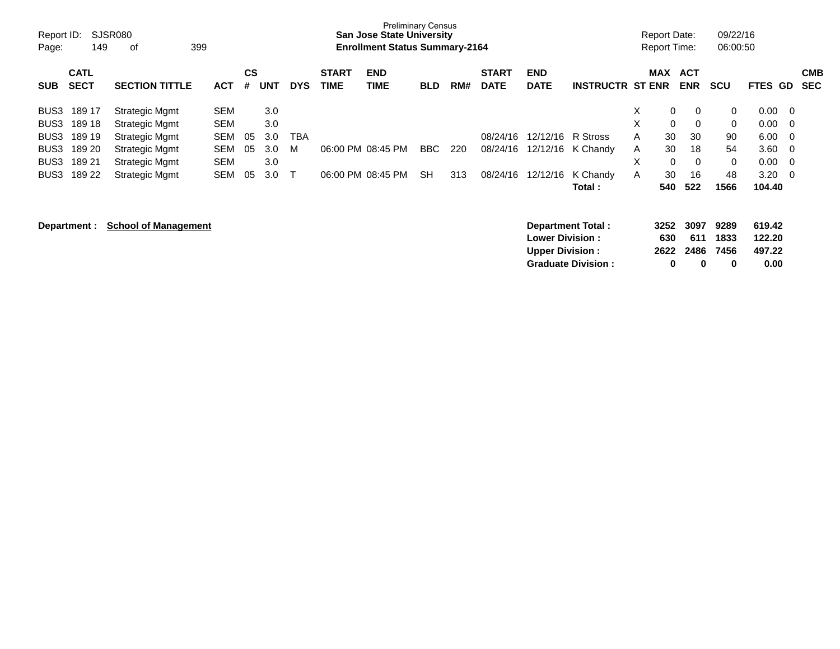| Report ID:<br>Page: | 149                        | <b>SJSR080</b><br>399<br>оf |            |         |            |            |                             | <b>San Jose State University</b><br><b>Enrollment Status Summary-2164</b> | <b>Preliminary Census</b> |     |                             |                           |                         |   | <b>Report Date:</b><br><b>Report Time:</b> |                          | 09/22/16<br>06:00:50 |         |     |                          |
|---------------------|----------------------------|-----------------------------|------------|---------|------------|------------|-----------------------------|---------------------------------------------------------------------------|---------------------------|-----|-----------------------------|---------------------------|-------------------------|---|--------------------------------------------|--------------------------|----------------------|---------|-----|--------------------------|
| <b>SUB</b>          | <b>CATL</b><br><b>SECT</b> | <b>SECTION TITTLE</b>       | <b>ACT</b> | CS<br># | <b>UNT</b> | <b>DYS</b> | <b>START</b><br><b>TIME</b> | <b>END</b><br><b>TIME</b>                                                 | <b>BLD</b>                | RM# | <b>START</b><br><b>DATE</b> | <b>END</b><br><b>DATE</b> | <b>INSTRUCTR ST ENR</b> |   | <b>MAX</b>                                 | <b>ACT</b><br><b>ENR</b> | <b>SCU</b>           | FTES GD |     | <b>CMB</b><br><b>SEC</b> |
| BUS3                | 189 17                     | <b>Strategic Mgmt</b>       | <b>SEM</b> |         | 3.0        |            |                             |                                                                           |                           |     |                             |                           |                         | X | 0                                          | 0                        | $\mathbf{0}$         | 0.00    | - 0 |                          |
| BUS3                | 189 18                     | <b>Strategic Mgmt</b>       | <b>SEM</b> |         | 3.0        |            |                             |                                                                           |                           |     |                             |                           |                         | X | 0                                          | 0                        | 0                    | 0.00    | - 0 |                          |
| BUS3                | 189 19                     | Strategic Mgmt              | SEM        | 05      | 3.0        | ТВА        |                             |                                                                           |                           |     | 08/24/16                    | 12/12/16                  | R Stross                | A | 30                                         | 30                       | 90                   | 6.00    | - 0 |                          |
| BUS3                | 189 20                     | <b>Strategic Mgmt</b>       | SEM        | 05      | 3.0        | м          |                             | 06:00 PM 08:45 PM                                                         | BBC.                      | 220 | 08/24/16                    | 12/12/16                  | K Chandy                | A | 30                                         | 18                       | 54                   | 3.60    | - 0 |                          |
| BUS3                | 189 21                     | <b>Strategic Mgmt</b>       | <b>SEM</b> |         | 3.0        |            |                             |                                                                           |                           |     |                             |                           |                         | X | 0                                          | $\Omega$                 | $\Omega$             | 0.00    | - 0 |                          |
| BUS3                | 189 22                     | <b>Strategic Mgmt</b>       | <b>SEM</b> | 05      | 3.0        |            |                             | 06:00 PM 08:45 PM                                                         | <b>SH</b>                 | 313 | 08/24/16                    | 12/12/16                  | K Chandy                | A | 30                                         | 16                       | 48                   | 3.20    | - 0 |                          |
|                     |                            |                             |            |         |            |            |                             |                                                                           |                           |     |                             |                           | Total:                  |   | 540                                        | 522                      | 1566                 | 104.40  |     |                          |
|                     | Department :               | <b>School of Management</b> |            |         |            |            |                             |                                                                           |                           |     |                             | Department Total:         |                         |   | 3252                                       | 3097                     | 9289                 | 619.42  |     |                          |

| <b>Lower Division:</b>    | 630 |                | 611 1833 | 122.20 |
|---------------------------|-----|----------------|----------|--------|
|                           |     |                |          |        |
| <b>Upper Division:</b>    |     | 2622 2486 7456 |          | 497.22 |
| <b>Graduate Division:</b> | 0   | n              | 0        | 0.00   |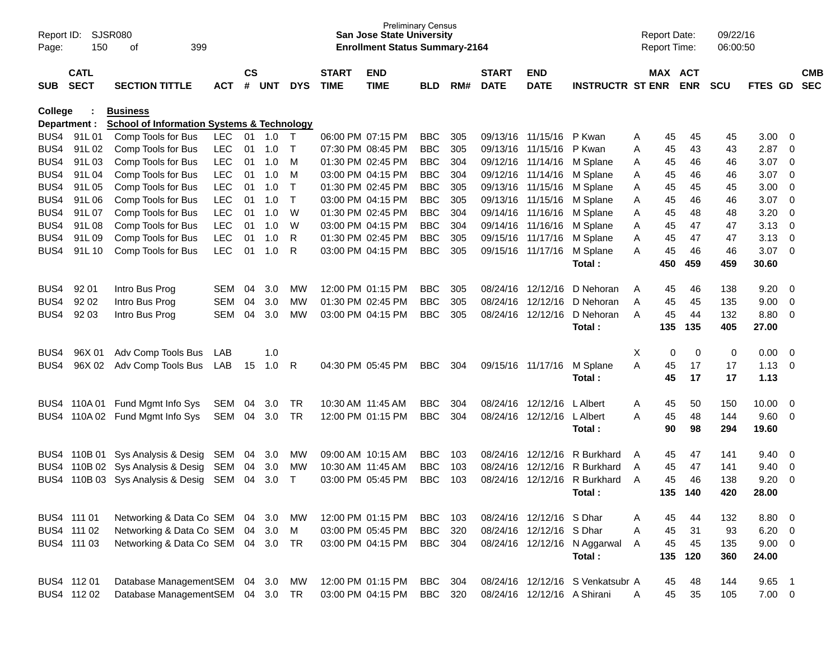| Report ID:<br>Page: | 150                        | SJSR080<br>399<br>оf                                  |            |                    |            |              |                             | <b>Preliminary Census</b><br><b>San Jose State University</b><br><b>Enrollment Status Summary-2164</b> |            |     |                             |                             |                                  | <b>Report Date:</b><br><b>Report Time:</b> |                       | 09/22/16<br>06:00:50 |                |                          |                          |
|---------------------|----------------------------|-------------------------------------------------------|------------|--------------------|------------|--------------|-----------------------------|--------------------------------------------------------------------------------------------------------|------------|-----|-----------------------------|-----------------------------|----------------------------------|--------------------------------------------|-----------------------|----------------------|----------------|--------------------------|--------------------------|
| SUB                 | <b>CATL</b><br><b>SECT</b> | <b>SECTION TITTLE</b>                                 | <b>ACT</b> | $\mathsf{cs}$<br># | <b>UNT</b> | <b>DYS</b>   | <b>START</b><br><b>TIME</b> | <b>END</b><br><b>TIME</b>                                                                              | <b>BLD</b> | RM# | <b>START</b><br><b>DATE</b> | <b>END</b><br><b>DATE</b>   | <b>INSTRUCTR ST ENR</b>          |                                            | MAX ACT<br><b>ENR</b> | <b>SCU</b>           | FTES GD        |                          | <b>CMB</b><br><b>SEC</b> |
| <b>College</b>      |                            | <b>Business</b>                                       |            |                    |            |              |                             |                                                                                                        |            |     |                             |                             |                                  |                                            |                       |                      |                |                          |                          |
|                     | Department :               | <b>School of Information Systems &amp; Technology</b> |            |                    |            |              |                             |                                                                                                        |            |     |                             |                             |                                  |                                            |                       |                      |                |                          |                          |
|                     | BUS4 91L01                 | Comp Tools for Bus                                    | <b>LEC</b> | 01                 | 1.0        | $\top$       |                             | 06:00 PM 07:15 PM                                                                                      | <b>BBC</b> | 305 |                             | 09/13/16 11/15/16           | P Kwan                           | 45<br>Α                                    | 45                    | 45                   | 3.00           | - 0                      |                          |
| BUS4                | 91L02                      | Comp Tools for Bus                                    | <b>LEC</b> | 01                 | 1.0        | $\top$       |                             | 07:30 PM 08:45 PM                                                                                      | <b>BBC</b> | 305 | 09/13/16 11/15/16           |                             | P Kwan                           | 45<br>Α                                    | 43                    | 43                   | 2.87           | $\overline{0}$           |                          |
| BUS4                | 91L03                      | Comp Tools for Bus                                    | <b>LEC</b> | 01                 | 1.0        | M            |                             | 01:30 PM 02:45 PM                                                                                      | <b>BBC</b> | 304 |                             | 09/12/16 11/14/16           | M Splane                         | 45<br>A                                    | 46                    | 46                   | 3.07           | $\overline{\mathbf{0}}$  |                          |
| BUS4                | 91L04                      | Comp Tools for Bus                                    | <b>LEC</b> | 01                 | 1.0        | M            |                             | 03:00 PM 04:15 PM                                                                                      | <b>BBC</b> | 304 | 09/12/16 11/14/16           |                             | M Splane                         | 45<br>A                                    | 46                    | 46                   | 3.07           | - 0                      |                          |
| BUS4                | 91L05                      | Comp Tools for Bus                                    | <b>LEC</b> | 01                 | 1.0        | $\mathsf{T}$ |                             | 01:30 PM 02:45 PM                                                                                      | <b>BBC</b> | 305 | 09/13/16 11/15/16           |                             | M Splane                         | 45<br>Α                                    | 45                    | 45                   | 3.00           | $\overline{0}$           |                          |
| BUS4                | 91L06                      | Comp Tools for Bus                                    | <b>LEC</b> | 01                 | 1.0        | $\mathsf{T}$ |                             | 03:00 PM 04:15 PM                                                                                      | <b>BBC</b> | 305 | 09/13/16 11/15/16           |                             | M Splane                         | 45<br>Α                                    | 46                    | 46                   | 3.07           | $\overline{0}$           |                          |
| BUS4                | 91L07                      | Comp Tools for Bus                                    | <b>LEC</b> | 01                 | 1.0        | W            |                             | 01:30 PM 02:45 PM                                                                                      | <b>BBC</b> | 304 |                             | 09/14/16 11/16/16           | M Splane                         | 45<br>A                                    | 48                    | 48                   | 3.20           | 0                        |                          |
| BUS4                | 91L08                      | Comp Tools for Bus                                    | <b>LEC</b> | 01                 | 1.0        | W            |                             | 03:00 PM 04:15 PM                                                                                      | <b>BBC</b> | 304 | 09/14/16 11/16/16           |                             | M Splane                         | 45<br>Α                                    | 47                    | 47                   | 3.13           | $\overline{0}$           |                          |
| BUS4                | 91L09                      | Comp Tools for Bus                                    | <b>LEC</b> | 01                 | 1.0        | R            |                             | 01:30 PM 02:45 PM                                                                                      | <b>BBC</b> | 305 | 09/15/16 11/17/16           |                             | M Splane                         | 45<br>Α                                    | 47                    | 47                   | 3.13           | $\overline{0}$           |                          |
| BUS4                | 91L 10                     | Comp Tools for Bus                                    | <b>LEC</b> | 01                 | 1.0        | R            |                             | 03:00 PM 04:15 PM                                                                                      | <b>BBC</b> | 305 |                             | 09/15/16 11/17/16           | M Splane                         | 45<br>A                                    | 46                    | 46                   | 3.07           | $\overline{\phantom{0}}$ |                          |
|                     |                            |                                                       |            |                    |            |              |                             |                                                                                                        |            |     |                             |                             | Total:                           | 450                                        | 459                   | 459                  | 30.60          |                          |                          |
| BUS4                | 92 01                      | Intro Bus Prog                                        | <b>SEM</b> | 04                 | 3.0        | <b>MW</b>    |                             | 12:00 PM 01:15 PM                                                                                      | <b>BBC</b> | 305 |                             | 08/24/16 12/12/16           | D Nehoran                        | 45<br>A                                    | 46                    | 138                  | 9.20           | $\overline{\mathbf{0}}$  |                          |
| BUS4                | 92 02                      | Intro Bus Prog                                        | <b>SEM</b> | 04                 | 3.0        | MW           |                             | 01:30 PM 02:45 PM                                                                                      | <b>BBC</b> | 305 |                             | 08/24/16 12/12/16           | D Nehoran                        | 45<br>A                                    | 45                    | 135                  | 9.00           | 0                        |                          |
| BUS4                | 92 03                      | Intro Bus Prog                                        | <b>SEM</b> | 04                 | 3.0        | MW           |                             | 03:00 PM 04:15 PM                                                                                      | <b>BBC</b> | 305 |                             | 08/24/16 12/12/16           | D Nehoran                        | 45<br>A                                    | 44                    | 132                  | 8.80           | 0                        |                          |
|                     |                            |                                                       |            |                    |            |              |                             |                                                                                                        |            |     |                             |                             | Total:                           | 135                                        | 135                   | 405                  | 27.00          |                          |                          |
|                     |                            |                                                       |            |                    |            |              |                             |                                                                                                        |            |     |                             |                             |                                  |                                            |                       |                      |                |                          |                          |
| BUS4                | 96X 01                     | Adv Comp Tools Bus                                    | LAB        |                    | 1.0        |              |                             |                                                                                                        |            |     |                             |                             |                                  | X<br>0                                     | 0                     | 0                    | 0.00           | $\overline{\mathbf{0}}$  |                          |
| BUS4                | 96X 02                     | Adv Comp Tools Bus                                    | LAB        | 15                 | 1.0        | -R           |                             | 04:30 PM 05:45 PM                                                                                      | <b>BBC</b> | 304 | 09/15/16 11/17/16           |                             | M Splane                         | A<br>45                                    | 17                    | 17                   | 1.13           | $\overline{\mathbf{0}}$  |                          |
|                     |                            |                                                       |            |                    |            |              |                             |                                                                                                        |            |     |                             |                             | Total:                           | 45                                         | 17                    | 17                   | 1.13           |                          |                          |
|                     |                            | BUS4 110A 01 Fund Mgmt Info Sys                       | SEM        | 04                 | 3.0        | TR           |                             | 10:30 AM 11:45 AM                                                                                      | <b>BBC</b> | 304 |                             | 08/24/16 12/12/16           | L Albert                         | 45<br>Α                                    | 50                    | 150                  | 10.00          | $\overline{\mathbf{0}}$  |                          |
| BUS4                |                            | 110A 02 Fund Mgmt Info Sys                            | SEM        | 04                 | 3.0        | <b>TR</b>    |                             | 12:00 PM 01:15 PM                                                                                      | <b>BBC</b> | 304 |                             | 08/24/16 12/12/16           | L Albert                         | 45<br>A                                    | 48                    | 144                  | 9.60           | $\overline{\mathbf{0}}$  |                          |
|                     |                            |                                                       |            |                    |            |              |                             |                                                                                                        |            |     |                             |                             | Total:                           | 90                                         | 98                    | 294                  | 19.60          |                          |                          |
|                     |                            | BUS4 110B 01 Sys Analysis & Desig                     | SEM        | 04                 | 3.0        | <b>MW</b>    |                             | 09:00 AM 10:15 AM                                                                                      | <b>BBC</b> | 103 |                             | 08/24/16 12/12/16           | R Burkhard                       | 45<br>A                                    | 47                    | 141                  | 9.40           | $\overline{\mathbf{0}}$  |                          |
|                     |                            | BUS4 110B 02 Sys Analysis & Desig                     | SEM        | 04                 | 3.0        | <b>MW</b>    |                             | 10:30 AM 11:45 AM                                                                                      | <b>BBC</b> | 103 |                             | 08/24/16 12/12/16           | R Burkhard                       | 45<br>A                                    | 47                    | 141                  | 9.40           | 0                        |                          |
| BUS4                |                            | 110B 03 Sys Analysis & Desig                          | SEM        | 04                 | 3.0        | $\mathsf{T}$ |                             | 03:00 PM 05:45 PM                                                                                      | <b>BBC</b> | 103 |                             | 08/24/16 12/12/16           | R Burkhard                       | 45<br>A                                    | 46                    | 138                  | 9.20           | $\mathbf 0$              |                          |
|                     |                            |                                                       |            |                    |            |              |                             |                                                                                                        |            |     |                             |                             | Total:                           | 135                                        | 140                   | 420                  | 28.00          |                          |                          |
|                     |                            |                                                       |            |                    |            |              |                             |                                                                                                        |            |     |                             |                             |                                  |                                            |                       |                      |                |                          |                          |
|                     | BUS4 111 01                | Networking & Data Co SEM 04 3.0                       |            |                    |            | МW           |                             | 12:00 PM 01:15 PM                                                                                      | <b>BBC</b> | 103 |                             | 08/24/16 12/12/16 SDhar     |                                  | 45<br>A                                    | 44                    | 132                  | 8.80           | $\overline{\phantom{0}}$ |                          |
|                     | BUS4 111 02                | Networking & Data Co SEM                              |            |                    | 04 3.0     | M            |                             | 03:00 PM 05:45 PM                                                                                      | <b>BBC</b> | 320 |                             | 08/24/16 12/12/16 S Dhar    |                                  | 45<br>Α                                    | 31                    | 93                   | $6.20 \quad 0$ |                          |                          |
|                     | BUS4 111 03                | Networking & Data Co SEM 04 3.0                       |            |                    |            | TR           |                             | 03:00 PM 04:15 PM                                                                                      | BBC        | 304 |                             |                             | 08/24/16 12/12/16 N Aggarwal     | 45<br>A                                    | 45                    | 135                  | $9.00 \t 0$    |                          |                          |
|                     |                            |                                                       |            |                    |            |              |                             |                                                                                                        |            |     |                             |                             | Total:                           | 135                                        | 120                   | 360                  | 24.00          |                          |                          |
|                     | BUS4 112 01                | Database ManagementSEM                                |            |                    | 04 3.0     | MW           |                             | 12:00 PM 01:15 PM                                                                                      | <b>BBC</b> | 304 |                             |                             | 08/24/16 12/12/16 S Venkatsubr A | 45                                         | 48                    | 144                  | $9.65$ 1       |                          |                          |
|                     | BUS4 112 02                | Database ManagementSEM 04 3.0 TR                      |            |                    |            |              |                             | 03:00 PM 04:15 PM                                                                                      | <b>BBC</b> | 320 |                             | 08/24/16 12/12/16 A Shirani |                                  | 45<br>A                                    | 35                    | 105                  | $7.00 \t 0$    |                          |                          |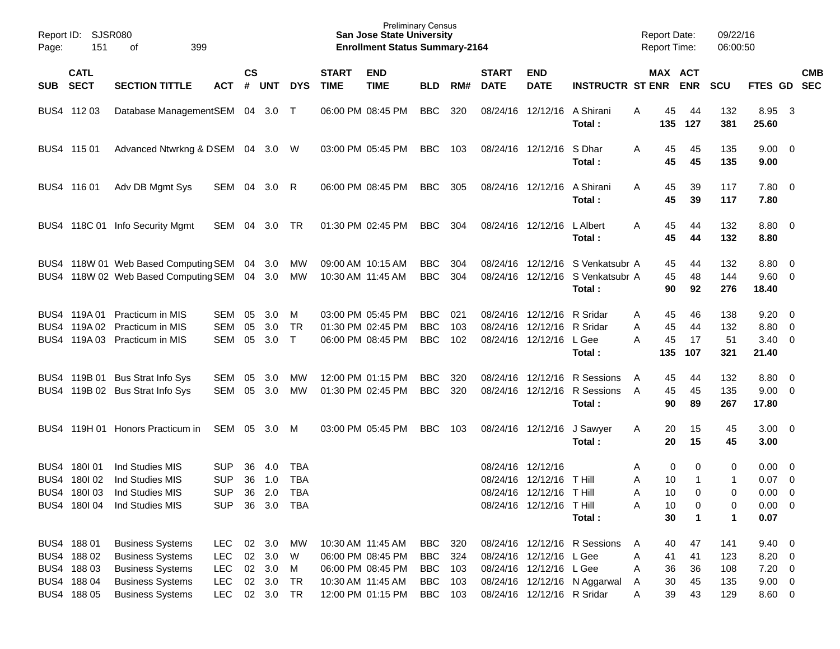| Report ID:<br>Page:  | 151                                                                     | SJSR080<br>399<br>οf                                                                                                                |                                                                    |                |                                                      |                                                      |                             | <b>Preliminary Census</b><br><b>San Jose State University</b><br><b>Enrollment Status Summary-2164</b> |                                                          |                          |                                  |                                                                                       |                                                              | <b>Report Date:</b><br><b>Report Time:</b>          |                                   | 09/22/16<br>06:00:50            |                                                                  |                                                            |
|----------------------|-------------------------------------------------------------------------|-------------------------------------------------------------------------------------------------------------------------------------|--------------------------------------------------------------------|----------------|------------------------------------------------------|------------------------------------------------------|-----------------------------|--------------------------------------------------------------------------------------------------------|----------------------------------------------------------|--------------------------|----------------------------------|---------------------------------------------------------------------------------------|--------------------------------------------------------------|-----------------------------------------------------|-----------------------------------|---------------------------------|------------------------------------------------------------------|------------------------------------------------------------|
| <b>SUB</b>           | <b>CATL</b><br><b>SECT</b>                                              | <b>SECTION TITTLE</b>                                                                                                               | АСТ                                                                | <b>CS</b><br># | <b>UNT</b>                                           | <b>DYS</b>                                           | <b>START</b><br><b>TIME</b> | <b>END</b><br><b>TIME</b>                                                                              | <b>BLD</b>                                               | RM#                      | <b>START</b><br><b>DATE</b>      | <b>END</b><br><b>DATE</b>                                                             | <b>INSTRUCTR ST ENR</b>                                      | MAX ACT                                             | <b>ENR</b>                        | <b>SCU</b>                      | FTES GD                                                          | <b>CMB</b><br><b>SEC</b>                                   |
|                      |                                                                         |                                                                                                                                     |                                                                    |                |                                                      |                                                      |                             |                                                                                                        |                                                          |                          |                                  |                                                                                       |                                                              |                                                     |                                   |                                 |                                                                  |                                                            |
|                      | BUS4 112 03                                                             | Database ManagementSEM 04                                                                                                           |                                                                    |                | 3.0                                                  | $\top$                                               |                             | 06:00 PM 08:45 PM                                                                                      | <b>BBC</b>                                               | 320                      | 08/24/16                         | 12/12/16                                                                              | A Shirani<br>Total :                                         | Α<br>45<br>135                                      | 44<br>127                         | 132<br>381                      | 8.95<br>25.60                                                    | $\overline{\mathbf{3}}$                                    |
|                      | BUS4 115 01                                                             | Advanced Ntwrkng & DSEM 04                                                                                                          |                                                                    |                | 3.0                                                  | W                                                    |                             | 03:00 PM 05:45 PM                                                                                      | <b>BBC</b>                                               | 103                      | 08/24/16                         | 12/12/16                                                                              | S Dhar<br>Total :                                            | Α<br>45<br>45                                       | 45<br>45                          | 135<br>135                      | $9.00 \quad 0$<br>9.00                                           |                                                            |
|                      | BUS4 116 01                                                             | Adv DB Mgmt Sys                                                                                                                     | SEM                                                                | 04             | 3.0                                                  | R                                                    |                             | 06:00 PM 08:45 PM                                                                                      | <b>BBC</b>                                               | 305                      |                                  | 08/24/16 12/12/16                                                                     | A Shirani<br>Total :                                         | Α<br>45<br>45                                       | 39<br>39                          | 117<br>117                      | 7.80 0<br>7.80                                                   |                                                            |
| BUS4                 |                                                                         | 118C 01 Info Security Mgmt                                                                                                          | SEM                                                                | 04             | 3.0                                                  | <b>TR</b>                                            |                             | 01:30 PM 02:45 PM                                                                                      | <b>BBC</b>                                               | 304                      |                                  | 08/24/16 12/12/16                                                                     | L Albert<br>Total :                                          | Α<br>45<br>45                                       | 44<br>44                          | 132<br>132                      | $8.80\quad 0$<br>8.80                                            |                                                            |
| BUS4                 |                                                                         | 118W 01 Web Based Computing SEM<br>BUS4 118W 02 Web Based Computing SEM 04                                                          |                                                                    | 04             | 3.0<br>3.0                                           | МW<br><b>MW</b>                                      |                             | 09:00 AM 10:15 AM<br>10:30 AM 11:45 AM                                                                 | <b>BBC</b><br><b>BBC</b>                                 | 304<br>304               | 08/24/16<br>08/24/16             | 12/12/16<br>12/12/16                                                                  | S Venkatsubr A<br>S Venkatsubr A<br>Total :                  | 45<br>45<br>90                                      | 44<br>48<br>92                    | 132<br>144<br>276               | 8.80<br>9.60<br>18.40                                            | - 0<br>- 0                                                 |
| BUS4<br>BUS4<br>BUS4 | 119A 01<br>119A 02                                                      | <b>Practicum in MIS</b><br><b>Practicum in MIS</b><br>119A 03 Practicum in MIS                                                      | SEM<br>SEM<br>SEM                                                  | 05<br>05<br>05 | 3.0<br>3.0<br>3.0                                    | M<br><b>TR</b><br>$\top$                             |                             | 03:00 PM 05:45 PM<br>01:30 PM 02:45 PM<br>06:00 PM 08:45 PM                                            | <b>BBC</b><br><b>BBC</b><br><b>BBC</b>                   | 021<br>103<br>102        | 08/24/16<br>08/24/16<br>08/24/16 | 12/12/16<br>12/12/16<br>12/12/16                                                      | R Sridar<br>R Sridar<br>L Gee<br>Total :                     | 45<br>Α<br>45<br>Α<br>45<br>Α<br>135                | 46<br>44<br>17<br>107             | 138<br>132<br>51<br>321         | 9.20<br>8.80<br>3.40<br>21.40                                    | $\overline{\phantom{0}}$<br>$\overline{\mathbf{0}}$<br>- 0 |
|                      | BUS4 119B 01                                                            | <b>Bus Strat Info Sys</b><br>BUS4 119B 02 Bus Strat Info Sys                                                                        | SEM<br>SEM                                                         | 05<br>05       | 3.0<br>3.0                                           | МW<br>МW                                             |                             | 12:00 PM 01:15 PM<br>01:30 PM 02:45 PM                                                                 | <b>BBC</b><br><b>BBC</b>                                 | 320<br>320               | 08/24/16<br>08/24/16             | 12/12/16<br>12/12/16                                                                  | R Sessions<br>R Sessions<br>Total :                          | A<br>45<br>45<br>A<br>90                            | 44<br>45<br>89                    | 132<br>135<br>267               | 8.80<br>9.00<br>17.80                                            | - 0<br>$\overline{\phantom{0}}$                            |
| BUS4                 |                                                                         | 119H 01 Honors Practicum in                                                                                                         | SEM                                                                | 05             | 3.0                                                  | M                                                    |                             | 03:00 PM 05:45 PM                                                                                      | <b>BBC</b>                                               | 103                      |                                  | 08/24/16 12/12/16                                                                     | J Sawyer<br>Total:                                           | 20<br>A<br>20                                       | 15<br>15                          | 45<br>45                        | $3.00 \ 0$<br>3.00                                               |                                                            |
| BUS4                 | 180101<br>BUS4 180102                                                   | Ind Studies MIS<br>Ind Studies MIS<br>BUS4 1801 03 Ind Studies MIS<br>BUS4 180104 Ind Studies MIS                                   | <b>SUP</b><br><b>SUP</b><br><b>SUP</b><br>SUP                      | 36<br>36       | 4.0<br>1.0<br>36 2.0                                 | <b>TBA</b><br><b>TBA</b><br><b>TBA</b><br>36 3.0 TBA |                             |                                                                                                        |                                                          |                          | 08/24/16                         | 12/12/16<br>08/24/16 12/12/16<br>08/24/16 12/12/16 T Hill<br>08/24/16 12/12/16 T Hill | <b>T</b> Hill<br>Total:                                      | 0<br>Α<br>A<br>10<br>10<br>A<br>Α<br>10<br>30       | 0<br>-1<br>0<br>0<br>$\mathbf{1}$ | 0<br>1<br>0<br>0<br>1           | $0.00\,$<br>0.07<br>$0.00 \t 0$<br>$0.00 \t 0$<br>0.07           | $\overline{\mathbf{0}}$<br>$\overline{\mathbf{0}}$         |
|                      | BUS4 188 01<br>BUS4 188 02<br>BUS4 188 03<br>BUS4 188 04<br>BUS4 188 05 | <b>Business Systems</b><br><b>Business Systems</b><br><b>Business Systems</b><br><b>Business Systems</b><br><b>Business Systems</b> | <b>LEC</b><br><b>LEC</b><br><b>LEC</b><br><b>LEC</b><br><b>LEC</b> |                | 02 3.0 MW<br>02 3.0<br>02 3.0<br>02 3.0<br>02 3.0 TR | W<br>M<br>TR                                         |                             | 10:30 AM 11:45 AM<br>06:00 PM 08:45 PM<br>06:00 PM 08:45 PM<br>10:30 AM 11:45 AM<br>12:00 PM 01:15 PM  | BBC<br><b>BBC</b><br><b>BBC</b><br><b>BBC</b><br>BBC 103 | 320<br>324<br>103<br>103 |                                  | 08/24/16 12/12/16 L Gee<br>08/24/16 12/12/16 L Gee<br>08/24/16 12/12/16 R Sridar      | 08/24/16 12/12/16 R Sessions<br>08/24/16 12/12/16 N Aggarwal | 40<br>A<br>Α<br>41<br>36<br>Α<br>30<br>A<br>39<br>Α | 47<br>41<br>36<br>45<br>43        | 141<br>123<br>108<br>135<br>129 | $9.40 \quad 0$<br>8.20 0<br>$7.20 \t 0$<br>$9.00 \t 0$<br>8.60 0 |                                                            |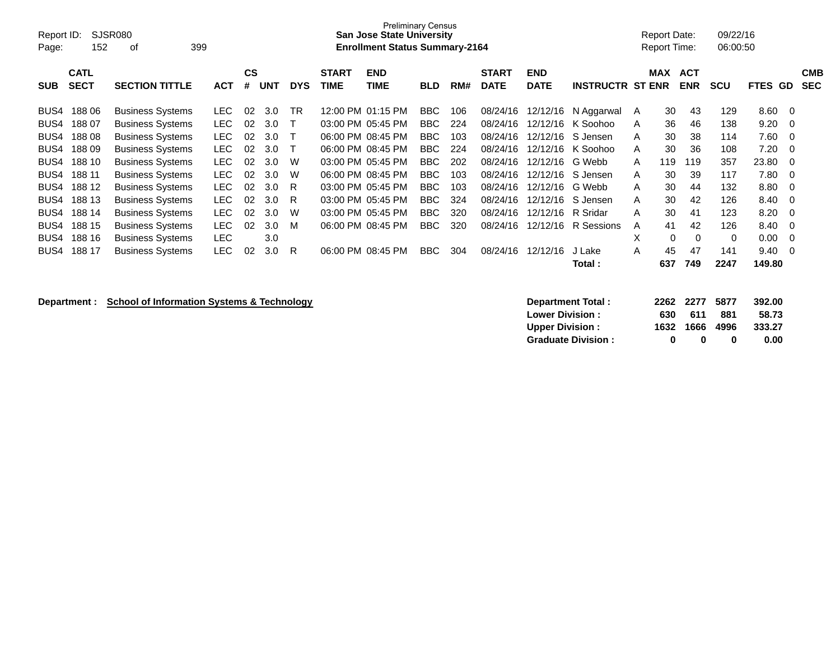| Report ID:<br>Page: | 152         | SJSR080<br>399<br>οf    |            |    |            |            |                   | <b>Preliminary Census</b><br><b>San Jose State University</b><br><b>Enrollment Status Summary-2164</b> |            |     |              |             |                     |              | Report Date:<br><b>Report Time:</b> |            | 09/22/16<br>06:00:50 |             |                   |
|---------------------|-------------|-------------------------|------------|----|------------|------------|-------------------|--------------------------------------------------------------------------------------------------------|------------|-----|--------------|-------------|---------------------|--------------|-------------------------------------|------------|----------------------|-------------|-------------------|
|                     | <b>CATL</b> |                         |            | CS |            |            | <b>START</b>      | <b>END</b>                                                                                             |            |     | <b>START</b> | <b>END</b>  |                     |              | <b>MAX</b>                          | <b>ACT</b> |                      |             | <b>CMB</b>        |
| <b>SUB</b>          | <b>SECT</b> | <b>SECTION TITTLE</b>   | <b>ACT</b> | #  | <b>UNT</b> | <b>DYS</b> | <b>TIME</b>       | TIME                                                                                                   | <b>BLD</b> | RM# | <b>DATE</b>  | <b>DATE</b> | <b>INSTRUCTR ST</b> |              | <b>ENR</b>                          | <b>ENR</b> | <b>SCU</b>           | <b>FTES</b> | <b>SEC</b><br>GD. |
| BUS4                | 18806       | <b>Business Systems</b> | LEC.       | 02 | 3.0        | <b>TR</b>  |                   | 12:00 PM 01:15 PM                                                                                      | BBC        | 106 | 08/24/16     | 12/12/16    | N Aggarwal          | $\mathsf{A}$ | 30                                  | 43         | 129                  | 8.60        | 0                 |
| BUS4                | 18807       | <b>Business Systems</b> | LEC.       | 02 | 3.0        |            | 03:00 PM 05:45 PM |                                                                                                        | BBC.       | 224 | 08/24/16     | 12/12/16    | K Soohoo            | A            | 36                                  | 46         | 138                  | 9.20        | 0                 |
| BUS4                | 18808       | <b>Business Systems</b> | LEC.       | 02 | 3.0        |            | 06:00 PM 08:45 PM |                                                                                                        | <b>BBC</b> | 103 | 08/24/16     | 12/12/16    | S Jensen            | A            | 30                                  | 38         | 114                  | 7.60        | - 0               |
| BUS4                | 18809       | <b>Business Systems</b> | <b>LEC</b> | 02 | 3.0        |            |                   | 06:00 PM 08:45 PM                                                                                      | BBC        | 224 | 08/24/16     | 12/12/16    | K Soohoo            | A            | 30                                  | 36         | 108                  | 7.20        | - 0               |
| BUS4                | 188 10      | <b>Business Systems</b> | LEC.       | 02 | 3.0        | W          | 03:00 PM 05:45 PM |                                                                                                        | BBC        | 202 | 08/24/16     | 12/12/16    | G Webb              | A            | 119                                 | 119        | 357                  | 23.80       | - 0               |
| BUS4                | 188 11      | <b>Business Systems</b> | LEC.       | 02 | 3.0        | W          | 06:00 PM 08:45 PM |                                                                                                        | BBC.       | 103 | 08/24/16     | 12/12/16    | S Jensen            | A            | 30                                  | 39         | 117                  | 7.80        | - 0               |
| BUS4                | 188 12      | <b>Business Systems</b> | LEC.       | 02 | 3.0        | R          | 03:00 PM 05:45 PM |                                                                                                        | <b>BBC</b> | 103 | 08/24/16     | 12/12/16    | G Webb              | A            | 30                                  | 44         | 132                  | 8.80        | - 0               |
| BUS4                | 188 13      | <b>Business Systems</b> | <b>LEC</b> | 02 | 3.0        | R          | 03:00 PM 05:45 PM |                                                                                                        | <b>BBC</b> | 324 | 08/24/16     | 12/12/16    | S Jensen            | A            | 30                                  | 42         | 126                  | 8.40        | - 0               |
| BUS4                | 188 14      | <b>Business Systems</b> | <b>LEC</b> | 02 | 3.0        | W          | 03:00 PM 05:45 PM |                                                                                                        | <b>BBC</b> | 320 | 08/24/16     | 12/12/16    | R Sridar            | A            | 30                                  | 41         | 123                  | 8.20        | - 0               |
| BUS4                | 188 15      | <b>Business Systems</b> | LEC.       | 02 | 3.0        | м          | 06:00 PM 08:45 PM |                                                                                                        | BBC.       | 320 | 08/24/16     | 12/12/16    | R Sessions          | A            | 41                                  | 42         | 126                  | 8.40        | 0                 |
| BUS4                | 188 16      | <b>Business Systems</b> | <b>LEC</b> |    | 3.0        |            |                   |                                                                                                        |            |     |              |             |                     | X            | $\Omega$                            | 0          | $\Omega$             | 0.00        | 0                 |
| BUS4                | 188 17      | <b>Business Systems</b> | <b>LEC</b> | 02 | 3.0        | R.         | 06:00 PM 08:45 PM |                                                                                                        | BBC        | 304 | 08/24/16     | 12/12/16    | J Lake              | A            | 45                                  | 47         | 141                  | 9.40        | 0                 |
|                     |             |                         |            |    |            |            |                   |                                                                                                        |            |     |              |             | Total :             |              | 637                                 | 749        | 2247                 | 149.80      |                   |

**Department : School of Information Systems & Technology Department Total : 2262 2277 5877 392.00**<br>Lower Division : 630 611 881 58.73 **Lower Division : 630 611 881 58.73 Upper Division : Graduate Division : 0 0 0 0.00**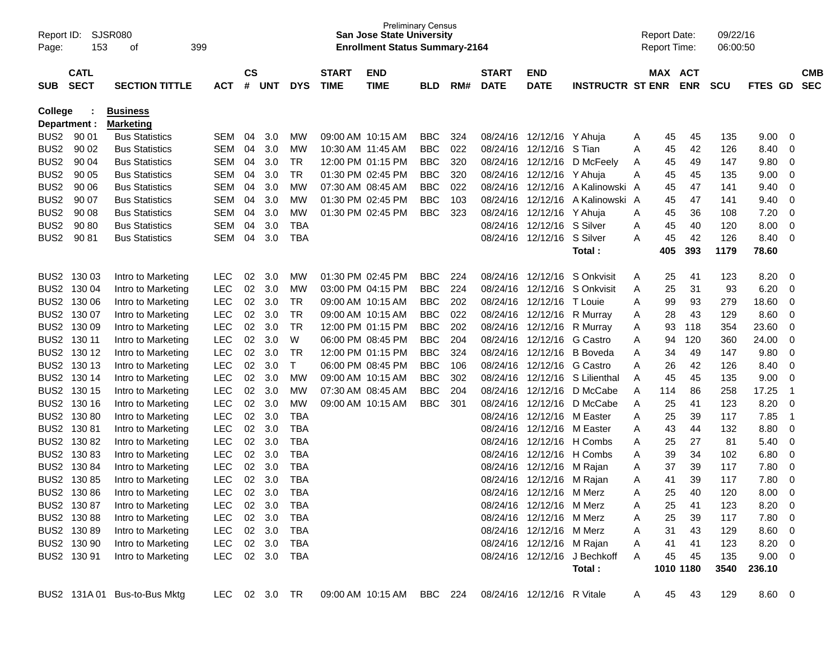| Report ID:<br>Page: | 153                        | SJSR080<br>οf                             | 399            |                    |        |            |                             | <b>Preliminary Census</b><br><b>San Jose State University</b><br><b>Enrollment Status Summary-2164</b> |            |     |                             |                           |                              |        | <b>Report Date:</b><br><b>Report Time:</b> |            | 09/22/16<br>06:00:50 |                |                         |                          |
|---------------------|----------------------------|-------------------------------------------|----------------|--------------------|--------|------------|-----------------------------|--------------------------------------------------------------------------------------------------------|------------|-----|-----------------------------|---------------------------|------------------------------|--------|--------------------------------------------|------------|----------------------|----------------|-------------------------|--------------------------|
| <b>SUB</b>          | <b>CATL</b><br><b>SECT</b> | <b>SECTION TITTLE</b>                     | ACT            | $\mathsf{cs}$<br># | UNT    | <b>DYS</b> | <b>START</b><br><b>TIME</b> | <b>END</b><br><b>TIME</b>                                                                              | <b>BLD</b> | RM# | <b>START</b><br><b>DATE</b> | <b>END</b><br><b>DATE</b> | <b>INSTRUCTR ST ENR</b>      |        | MAX ACT                                    | <b>ENR</b> | <b>SCU</b>           | <b>FTES GD</b> |                         | <b>CMB</b><br><b>SEC</b> |
| <b>College</b>      |                            | <b>Business</b>                           |                |                    |        |            |                             |                                                                                                        |            |     |                             |                           |                              |        |                                            |            |                      |                |                         |                          |
|                     | Department :<br>BUS2 90 01 | <b>Marketing</b><br><b>Bus Statistics</b> | <b>SEM</b>     | 04                 | 3.0    | MW         |                             | 09:00 AM 10:15 AM                                                                                      | <b>BBC</b> | 324 |                             | 08/24/16 12/12/16 Y Ahuja |                              |        | 45                                         | 45         | 135                  | 9.00           | 0                       |                          |
| BUS <sub>2</sub>    | 90 02                      | <b>Bus Statistics</b>                     | <b>SEM</b>     | 04                 | 3.0    | MW         | 10:30 AM 11:45 AM           |                                                                                                        | <b>BBC</b> | 022 | 08/24/16                    | 12/12/16                  | S Tian                       | A<br>Α | 45                                         | 42         | 126                  | 8.40           | 0                       |                          |
| BUS <sub>2</sub>    | 90 04                      | <b>Bus Statistics</b>                     | SEM            | 04                 | 3.0    | <b>TR</b>  |                             | 12:00 PM 01:15 PM                                                                                      | <b>BBC</b> | 320 | 08/24/16                    | 12/12/16                  | D McFeely                    | Α      | 45                                         | 49         | 147                  | 9.80           | 0                       |                          |
| BUS <sub>2</sub>    | 90 05                      | <b>Bus Statistics</b>                     | SEM            | 04                 | 3.0    | TR         |                             | 01:30 PM 02:45 PM                                                                                      | <b>BBC</b> | 320 | 08/24/16                    | 12/12/16 Y Ahuja          |                              | A      | 45                                         | 45         | 135                  | 9.00           | 0                       |                          |
| BUS <sub>2</sub>    | 90 06                      | <b>Bus Statistics</b>                     | SEM            | 04                 | 3.0    | MW         |                             | 07:30 AM 08:45 AM                                                                                      | <b>BBC</b> | 022 | 08/24/16                    |                           | 12/12/16 A Kalinowski A      |        | 45                                         | 47         | 141                  | 9.40           | 0                       |                          |
| BUS <sub>2</sub>    | 90 07                      | <b>Bus Statistics</b>                     | SEM            | 04                 | 3.0    | MW         |                             | 01:30 PM 02:45 PM                                                                                      | <b>BBC</b> | 103 | 08/24/16                    | 12/12/16                  | A Kalinowski A               |        | 45                                         | 47         | 141                  | 9.40           | 0                       |                          |
| BUS <sub>2</sub>    | 90 08                      | <b>Bus Statistics</b>                     | <b>SEM</b>     | 04                 | 3.0    | MW         |                             | 01:30 PM 02:45 PM                                                                                      | <b>BBC</b> | 323 | 08/24/16                    | 12/12/16                  | Y Ahuja                      | A      | 45                                         | 36         | 108                  | 7.20           | 0                       |                          |
| BUS <sub>2</sub>    | 90 80                      | <b>Bus Statistics</b>                     | <b>SEM</b>     | 04                 | 3.0    | <b>TBA</b> |                             |                                                                                                        |            |     | 08/24/16                    | 12/12/16                  | S Silver                     | A      | 45                                         | 40         | 120                  | 8.00           | 0                       |                          |
| BUS <sub>2</sub>    | 90 81                      | <b>Bus Statistics</b>                     | <b>SEM</b>     | 04                 | 3.0    | <b>TBA</b> |                             |                                                                                                        |            |     |                             | 08/24/16 12/12/16         | S Silver                     | A      | 45                                         | 42         | 126                  | 8.40           | 0                       |                          |
|                     |                            |                                           |                |                    |        |            |                             |                                                                                                        |            |     |                             |                           | Total:                       |        | 405                                        | 393        | 1179                 | 78.60          |                         |                          |
|                     |                            |                                           |                |                    |        |            |                             |                                                                                                        |            |     |                             |                           |                              |        |                                            |            |                      |                |                         |                          |
|                     | BUS2 130 03                | Intro to Marketing                        | <b>LEC</b>     | 02                 | 3.0    | MW         |                             | 01:30 PM 02:45 PM                                                                                      | <b>BBC</b> | 224 | 08/24/16                    | 12/12/16                  | S Onkvisit                   | A      | 25                                         | 41         | 123                  | 8.20           | 0                       |                          |
|                     | BUS2 130 04                | Intro to Marketing                        | <b>LEC</b>     | 02                 | 3.0    | MW         |                             | 03:00 PM 04:15 PM                                                                                      | <b>BBC</b> | 224 | 08/24/16                    | 12/12/16                  | S Onkvisit                   | A      | 25                                         | 31         | 93                   | 6.20           | 0                       |                          |
|                     | BUS2 130 06                | Intro to Marketing                        | LEC            | 02                 | 3.0    | TR         |                             | 09:00 AM 10:15 AM                                                                                      | <b>BBC</b> | 202 | 08/24/16                    | 12/12/16                  | T Louie                      | Α      | 99                                         | 93         | 279                  | 18.60          | 0                       |                          |
|                     | BUS2 130 07                | Intro to Marketing                        | LEC            | 02                 | 3.0    | <b>TR</b>  |                             | 09:00 AM 10:15 AM                                                                                      | <b>BBC</b> | 022 | 08/24/16                    | 12/12/16                  | R Murray                     | A      | 28                                         | 43         | 129                  | 8.60           | 0                       |                          |
|                     | BUS2 130 09                | Intro to Marketing                        | <b>LEC</b>     | 02                 | 3.0    | <b>TR</b>  |                             | 12:00 PM 01:15 PM                                                                                      | <b>BBC</b> | 202 | 08/24/16                    | 12/12/16                  | R Murray                     | A      | 93                                         | 118        | 354                  | 23.60          | 0                       |                          |
|                     | BUS2 130 11                | Intro to Marketing                        | <b>LEC</b>     | 02                 | 3.0    | W          |                             | 06:00 PM 08:45 PM                                                                                      | <b>BBC</b> | 204 | 08/24/16                    | 12/12/16 G Castro         |                              | A      | 94                                         | 120        | 360                  | 24.00          | 0                       |                          |
|                     | BUS2 130 12                | Intro to Marketing                        | LEC            | 02                 | 3.0    | TR         |                             | 12:00 PM 01:15 PM                                                                                      | <b>BBC</b> | 324 | 08/24/16                    |                           | 12/12/16 B Boveda            | Α      | 34                                         | 49         | 147                  | 9.80           | 0                       |                          |
|                     | BUS2 130 13                | Intro to Marketing                        | LEC            | 02                 | 3.0    | $\top$     |                             | 06:00 PM 08:45 PM                                                                                      | <b>BBC</b> | 106 | 08/24/16                    | 12/12/16 G Castro         |                              | Α      | 26                                         | 42         | 126                  | 8.40           | 0                       |                          |
|                     | BUS2 130 14                | Intro to Marketing                        | <b>LEC</b>     | 02                 | 3.0    | MW         |                             | 09:00 AM 10:15 AM                                                                                      | <b>BBC</b> | 302 | 08/24/16                    | 12/12/16                  | S Lilienthal                 | A      | 45                                         | 45         | 135                  | 9.00           | 0                       |                          |
|                     | BUS2 130 15                | Intro to Marketing                        | <b>LEC</b>     | 02                 | 3.0    | MW         |                             | 07:30 AM 08:45 AM                                                                                      | <b>BBC</b> | 204 | 08/24/16                    | 12/12/16                  | D McCabe                     | A      | 114                                        | 86         | 258                  | 17.25          | -1                      |                          |
|                     | BUS2 130 16                | Intro to Marketing                        | LEC            | 02                 | 3.0    | MW         |                             | 09:00 AM 10:15 AM                                                                                      | <b>BBC</b> | 301 | 08/24/16                    | 12/12/16                  | D McCabe                     | A      | 25                                         | 41         | 123                  | 8.20           | 0                       |                          |
|                     | BUS2 130 80                | Intro to Marketing                        | <b>LEC</b>     | 02                 | 3.0    | <b>TBA</b> |                             |                                                                                                        |            |     | 08/24/16                    | 12/12/16 M Easter         |                              | Α      | 25                                         | 39         | 117                  | 7.85           | $\overline{1}$          |                          |
|                     | BUS2 130 81                | Intro to Marketing                        | <b>LEC</b>     | 02                 | 3.0    | <b>TBA</b> |                             |                                                                                                        |            |     | 08/24/16                    | 12/12/16 M Easter         |                              | Α      | 43                                         | 44         | 132                  | 8.80           | 0                       |                          |
|                     | BUS2 130 82                | Intro to Marketing                        | <b>LEC</b>     | 02                 | 3.0    | <b>TBA</b> |                             |                                                                                                        |            |     | 08/24/16                    |                           | 12/12/16 H Combs             | Α      | 25                                         | 27         | 81                   | 5.40           | 0                       |                          |
|                     | BUS2 130 83                | Intro to Marketing                        | <b>LEC</b>     | 02                 | 3.0    | <b>TBA</b> |                             |                                                                                                        |            |     | 08/24/16                    |                           | 12/12/16 H Combs             | Α      | 39                                         | 34         | 102                  | 6.80           | 0                       |                          |
|                     | BUS2 130 84                | Intro to Marketing                        | <b>LEC</b>     | 02                 | 3.0    | <b>TBA</b> |                             |                                                                                                        |            |     | 08/24/16                    | 12/12/16 M Rajan          |                              | Α      | 37                                         | 39         | 117                  | 7.80           | 0                       |                          |
|                     | BUS2 130 85                | Intro to Marketing                        | <b>LEC</b>     | 02                 | 3.0    | <b>TBA</b> |                             |                                                                                                        |            |     | 08/24/16                    | 12/12/16 M Rajan          |                              | Α      | 41                                         | 39         | 117                  | 7.80           | 0                       |                          |
|                     | BUS2 130 86                | Intro to Marketing                        | <b>LEC</b>     | 02                 | 3.0    | <b>TBA</b> |                             |                                                                                                        |            |     | 08/24/16                    | 12/12/16 M Merz           |                              | A      | 25                                         | 40         | 120                  | 8.00           | 0                       |                          |
|                     | BUS2 130 87                | Intro to Marketing                        | LEC.           |                    | 02 3.0 | TBA        |                             |                                                                                                        |            |     |                             | 08/24/16 12/12/16 M Merz  |                              | Α      | 25                                         | 41         | 123                  | 8.20           | $\overline{\mathbf{0}}$ |                          |
|                     | BUS2 130 88                | Intro to Marketing                        | <b>LEC</b>     |                    | 02 3.0 | TBA        |                             |                                                                                                        |            |     |                             | 08/24/16 12/12/16 M Merz  |                              | A      | 25                                         | 39         | 117                  | 7.80           | $\overline{0}$          |                          |
|                     | BUS2 130 89                | Intro to Marketing                        | LEC            |                    | 02 3.0 | TBA        |                             |                                                                                                        |            |     |                             | 08/24/16 12/12/16 M Merz  |                              | A      | 31                                         | 43         | 129                  | 8.60           | $\overline{0}$          |                          |
|                     | BUS2 130 90                | Intro to Marketing                        | LEC.           |                    | 02 3.0 | TBA        |                             |                                                                                                        |            |     |                             | 08/24/16 12/12/16 M Rajan |                              | A      | 41                                         | 41         | 123                  | 8.20           | $\overline{0}$          |                          |
|                     | BUS2 130 91                | Intro to Marketing                        | LEC 02 3.0 TBA |                    |        |            |                             |                                                                                                        |            |     |                             |                           | 08/24/16 12/12/16 J Bechkoff | A      | 45                                         | 45         | 135                  | $9.00 \t 0$    |                         |                          |
|                     |                            |                                           |                |                    |        |            |                             |                                                                                                        |            |     |                             |                           | Total:                       |        | 1010 1180                                  |            | 3540                 | 236.10         |                         |                          |
|                     |                            |                                           |                |                    |        |            |                             |                                                                                                        |            |     |                             |                           |                              |        |                                            |            |                      |                |                         |                          |
|                     |                            | BUS2 131A 01 Bus-to-Bus Mktg              | LEC 02 3.0 TR  |                    |        |            |                             | 09:00 AM 10:15 AM BBC 224 08/24/16 12/12/16 R Vitale                                                   |            |     |                             |                           |                              | A      | 45                                         | 43         | 129                  | $8.60 \t 0$    |                         |                          |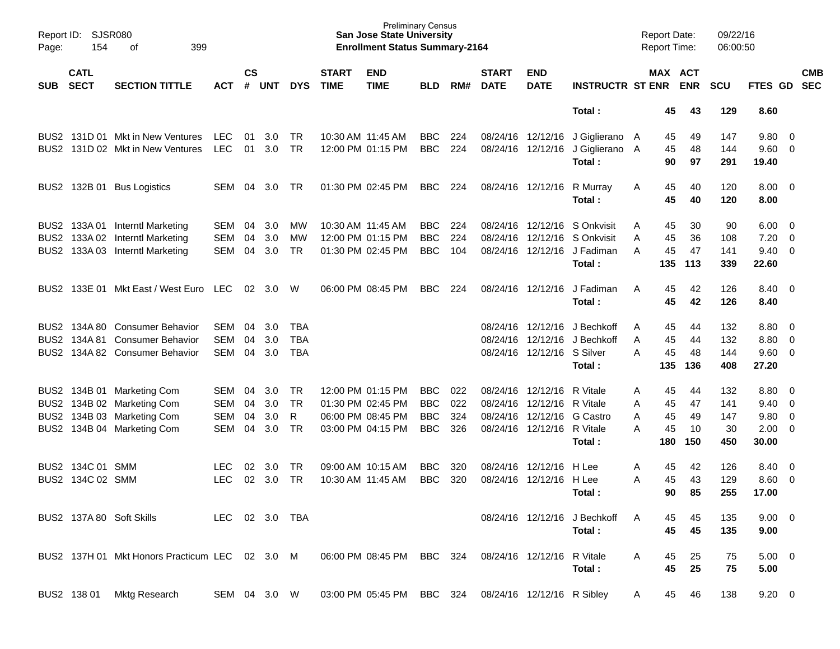| Page:            | Report ID: SJSR080<br>154<br>399<br>οf<br><b>CATL</b> |                                                |                |                    |            |            |                             | <b>Preliminary Census</b><br><b>San Jose State University</b><br><b>Enrollment Status Summary-2164</b> |            |       |                             |                            |                              | <b>Report Date:</b><br><b>Report Time:</b> |          | 09/22/16<br>06:00:50 |                 |                          |            |
|------------------|-------------------------------------------------------|------------------------------------------------|----------------|--------------------|------------|------------|-----------------------------|--------------------------------------------------------------------------------------------------------|------------|-------|-----------------------------|----------------------------|------------------------------|--------------------------------------------|----------|----------------------|-----------------|--------------------------|------------|
| <b>SUB</b>       | <b>SECT</b>                                           | <b>SECTION TITTLE</b>                          | <b>ACT</b>     | $\mathsf{cs}$<br># | <b>UNT</b> | <b>DYS</b> | <b>START</b><br><b>TIME</b> | <b>END</b><br><b>TIME</b>                                                                              | BLD        | RM#   | <b>START</b><br><b>DATE</b> | <b>END</b><br><b>DATE</b>  | <b>INSTRUCTR ST ENR ENR</b>  |                                            | MAX ACT  | <b>SCU</b>           | FTES GD SEC     |                          | <b>CMB</b> |
|                  |                                                       |                                                |                |                    |            |            |                             |                                                                                                        |            |       |                             |                            | Total:                       | 45                                         | 43       | 129                  | 8.60            |                          |            |
|                  |                                                       | BUS2 131D 01 Mkt in New Ventures               | <b>LEC</b>     | 01                 | 3.0        | TR         | 10:30 AM 11:45 AM           |                                                                                                        | <b>BBC</b> | 224   |                             | 08/24/16 12/12/16          | J Giglierano A               | 45                                         | 49       | 147                  | 9.80 0          |                          |            |
|                  |                                                       | BUS2 131D 02 Mkt in New Ventures               | <b>LEC</b>     | 01                 | 3.0        | <b>TR</b>  |                             | 12:00 PM 01:15 PM                                                                                      | <b>BBC</b> | 224   |                             | 08/24/16 12/12/16          | J Giglierano A<br>Total:     | 45<br>90                                   | 48<br>97 | 144<br>291           | 9.60 0<br>19.40 |                          |            |
|                  |                                                       | BUS2 132B 01 Bus Logistics                     | <b>SEM</b>     | - 04               | 3.0        | TR.        |                             | 01:30 PM 02:45 PM                                                                                      | <b>BBC</b> | 224   |                             | 08/24/16 12/12/16          | R Murray                     | 45<br>A                                    | 40       | 120                  | $8.00 \t 0$     |                          |            |
|                  |                                                       |                                                |                |                    |            |            |                             |                                                                                                        |            |       |                             |                            | Total:                       | 45                                         | 40       | 120                  | 8.00            |                          |            |
|                  |                                                       | BUS2 133A 01 Interntl Marketing                | SEM            | 04                 | 3.0        | <b>MW</b>  | 10:30 AM 11:45 AM           |                                                                                                        | <b>BBC</b> | 224   |                             |                            | 08/24/16 12/12/16 S Onkvisit | 45<br>A                                    | 30       | 90                   | $6.00 \quad 0$  |                          |            |
|                  |                                                       | BUS2 133A 02 Interntl Marketing                | <b>SEM</b>     | 04                 | 3.0        | MW         |                             | 12:00 PM 01:15 PM                                                                                      | <b>BBC</b> | 224   |                             |                            | 08/24/16 12/12/16 S Onkvisit | 45<br>A                                    | 36       | 108                  | 7.20            | $\overline{\phantom{0}}$ |            |
|                  |                                                       | BUS2 133A 03 Interntl Marketing                | <b>SEM</b>     | 04                 | 3.0        | <b>TR</b>  |                             | 01:30 PM 02:45 PM                                                                                      | <b>BBC</b> | 104   |                             |                            | 08/24/16 12/12/16 J Fadiman  | 45<br>A                                    | 47       | 141                  | $9.40 \quad 0$  |                          |            |
|                  |                                                       |                                                |                |                    |            |            |                             |                                                                                                        |            |       |                             |                            | Total:                       | 135                                        | 113      | 339                  | 22.60           |                          |            |
|                  |                                                       | BUS2 133E 01 Mkt East / West Euro LEC          |                |                    | 02 3.0     | W          |                             | 06:00 PM 08:45 PM                                                                                      | <b>BBC</b> | 224   |                             | 08/24/16 12/12/16          | J Fadiman                    | 45<br>A                                    | 42       | 126                  | 8.40 0          |                          |            |
|                  |                                                       |                                                |                |                    |            |            |                             |                                                                                                        |            |       |                             |                            | Total:                       | 45                                         | 42       | 126                  | 8.40            |                          |            |
|                  |                                                       | BUS2 134A 80 Consumer Behavior                 | SEM            | 04                 | 3.0        | TBA        |                             |                                                                                                        |            |       |                             | 08/24/16 12/12/16          | J Bechkoff                   | 45<br>A                                    | 44       | 132                  | $8.80\ 0$       |                          |            |
|                  |                                                       | BUS2 134A 81 Consumer Behavior                 | <b>SEM</b>     | 04                 | 3.0        | <b>TBA</b> |                             |                                                                                                        |            |       |                             |                            | 08/24/16 12/12/16 J Bechkoff | 45<br>A                                    | 44       | 132                  | 8.80 0          |                          |            |
|                  |                                                       | BUS2 134A 82 Consumer Behavior                 | <b>SEM</b>     | 04                 | 3.0        | <b>TBA</b> |                             |                                                                                                        |            |       |                             | 08/24/16 12/12/16 S Silver |                              | 45<br>A                                    | 48       | 144                  | $9.60 \quad 0$  |                          |            |
|                  |                                                       |                                                |                |                    |            |            |                             |                                                                                                        |            |       |                             |                            | Total:                       | 135                                        | 136      | 408                  | 27.20           |                          |            |
|                  |                                                       | BUS2 134B 01 Marketing Com                     | SEM            | 04                 | 3.0        | TR         |                             | 12:00 PM 01:15 PM                                                                                      | <b>BBC</b> | 022   |                             | 08/24/16 12/12/16          | R Vitale                     | 45<br>A                                    | 44       | 132                  | 8.80 0          |                          |            |
|                  |                                                       | BUS2 134B 02 Marketing Com                     | <b>SEM</b>     | 04                 | 3.0        | <b>TR</b>  |                             | 01:30 PM 02:45 PM                                                                                      | <b>BBC</b> | 022   |                             | 08/24/16 12/12/16          | R Vitale                     | 45<br>A                                    | 47       | 141                  | $9.40 \quad 0$  |                          |            |
|                  |                                                       | BUS2 134B 03 Marketing Com                     | <b>SEM</b>     | 04                 | 3.0        | R          |                             | 06:00 PM 08:45 PM                                                                                      | <b>BBC</b> | 324   |                             | 08/24/16 12/12/16 G Castro |                              | 45<br>A                                    | 49       | 147                  | 9.80 0          |                          |            |
|                  |                                                       | BUS2 134B 04 Marketing Com                     | <b>SEM</b>     | 04                 | 3.0        | <b>TR</b>  |                             | 03:00 PM 04:15 PM                                                                                      | <b>BBC</b> | 326   |                             | 08/24/16 12/12/16 R Vitale |                              | 45<br>A                                    | 10       | 30                   | $2.00 \t 0$     |                          |            |
|                  |                                                       |                                                |                |                    |            |            |                             |                                                                                                        |            |       |                             |                            | Total:                       | 180                                        | 150      | 450                  | 30.00           |                          |            |
|                  | BUS2 134C 01 SMM                                      |                                                | LEC            | 02                 | 3.0        | <b>TR</b>  |                             | 09:00 AM 10:15 AM                                                                                      | <b>BBC</b> | 320   |                             | 08/24/16 12/12/16          | H Lee                        | 45<br>A                                    | 42       | 126                  | 8.40            | $\overline{\phantom{0}}$ |            |
| BUS <sub>2</sub> | 134C 02 SMM                                           |                                                | <b>LEC</b>     | 02                 | 3.0        | <b>TR</b>  | 10:30 AM 11:45 AM           |                                                                                                        | <b>BBC</b> | 320   |                             | 08/24/16 12/12/16 H Lee    |                              | 45<br>A                                    | 43       | 129                  | $8.60 \quad 0$  |                          |            |
|                  |                                                       |                                                |                |                    |            |            |                             |                                                                                                        |            |       |                             |                            | Total:                       | 90                                         | 85       | 255                  | 17.00           |                          |            |
|                  |                                                       | BUS2 137A 80 Soft Skills                       | LEC 02 3.0 TBA |                    |            |            |                             |                                                                                                        |            |       |                             |                            | 08/24/16 12/12/16 J Bechkoff | 45                                         | 45       | 135                  | $9.00 \t 0$     |                          |            |
|                  |                                                       |                                                |                |                    |            |            |                             |                                                                                                        |            |       |                             |                            | Total:                       | 45                                         | 45       | 135                  | 9.00            |                          |            |
|                  |                                                       | BUS2 137H 01 Mkt Honors Practicum LEC 02 3.0 M |                |                    |            |            |                             | 06:00 PM 08:45 PM                                                                                      | BBC        | - 324 |                             | 08/24/16 12/12/16 R Vitale |                              | 45<br>A                                    | 25       | 75                   | $5.00 \t 0$     |                          |            |
|                  |                                                       |                                                |                |                    |            |            |                             |                                                                                                        |            |       |                             |                            | Total:                       | 45                                         | 25       | 75                   | 5.00            |                          |            |
|                  | BUS2 138 01                                           | <b>Mktg Research</b>                           | SEM 04 3.0 W   |                    |            |            |                             | 03:00 PM 05:45 PM                                                                                      | BBC 324    |       |                             | 08/24/16 12/12/16 R Sibley |                              | 45<br>A                                    | 46       | 138                  | $9.20 \ 0$      |                          |            |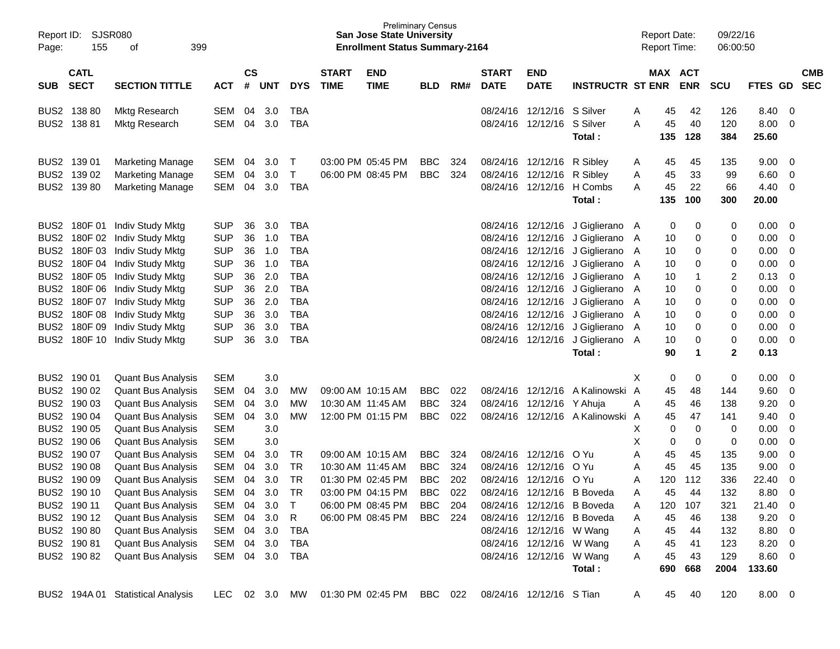| Report ID:<br>Page: | SJSR080<br>155             | 399<br>of                         |            |                    |            |            |                             | <b>Preliminary Census</b><br><b>San Jose State University</b><br><b>Enrollment Status Summary-2164</b> |            |     |                             |                            |                                |   | <b>Report Date:</b><br><b>Report Time:</b> |             | 09/22/16<br>06:00:50 |                |                         |                          |
|---------------------|----------------------------|-----------------------------------|------------|--------------------|------------|------------|-----------------------------|--------------------------------------------------------------------------------------------------------|------------|-----|-----------------------------|----------------------------|--------------------------------|---|--------------------------------------------|-------------|----------------------|----------------|-------------------------|--------------------------|
| <b>SUB</b>          | <b>CATL</b><br><b>SECT</b> | <b>SECTION TITTLE</b>             | <b>ACT</b> | $\mathsf{cs}$<br># | <b>UNT</b> | <b>DYS</b> | <b>START</b><br><b>TIME</b> | <b>END</b><br><b>TIME</b>                                                                              | <b>BLD</b> | RM# | <b>START</b><br><b>DATE</b> | <b>END</b><br><b>DATE</b>  | <b>INSTRUCTR ST ENR</b>        |   | MAX ACT                                    | <b>ENR</b>  | <b>SCU</b>           | <b>FTES GD</b> |                         | <b>CMB</b><br><b>SEC</b> |
|                     | BUS2 138 80                | <b>Mktg Research</b>              | <b>SEM</b> | 04                 | 3.0        | <b>TBA</b> |                             |                                                                                                        |            |     |                             | 08/24/16 12/12/16 S Silver |                                | A | 45                                         | 42          | 126                  | 8.40           | - 0                     |                          |
|                     | BUS2 138 81                | <b>Mktg Research</b>              | <b>SEM</b> | 04                 | 3.0        | <b>TBA</b> |                             |                                                                                                        |            |     |                             | 08/24/16 12/12/16          | S Silver<br>Total:             | A | 45<br>135                                  | 40<br>128   | 120<br>384           | 8.00<br>25.60  | 0                       |                          |
|                     | BUS2 139 01                | <b>Marketing Manage</b>           | SEM        | 04                 | 3.0        | T          |                             | 03:00 PM 05:45 PM                                                                                      | <b>BBC</b> | 324 |                             | 08/24/16 12/12/16          | R Sibley                       | A | 45                                         | 45          | 135                  | 9.00           | 0                       |                          |
|                     | BUS2 139 02                | <b>Marketing Manage</b>           | <b>SEM</b> | 04                 | 3.0        | Τ          |                             | 06:00 PM 08:45 PM                                                                                      | <b>BBC</b> | 324 |                             | 08/24/16 12/12/16          | R Sibley                       | A | 45                                         | 33          | 99                   | 6.60           | 0                       |                          |
|                     | BUS2 139 80                | <b>Marketing Manage</b>           | <b>SEM</b> | 04                 | 3.0        | <b>TBA</b> |                             |                                                                                                        |            |     |                             | 08/24/16 12/12/16 H Combs  |                                | A | 45                                         | 22          | 66                   | 4.40           | 0                       |                          |
|                     |                            |                                   |            |                    |            |            |                             |                                                                                                        |            |     |                             |                            | Total:                         |   | 135                                        | 100         | 300                  | 20.00          |                         |                          |
| BUS2                |                            | 180F 01 Indiv Study Mktg          | <b>SUP</b> | 36                 | 3.0        | <b>TBA</b> |                             |                                                                                                        |            |     |                             | 08/24/16 12/12/16          | J Giglierano A                 |   | 0                                          | 0           | 0                    | 0.00           | 0                       |                          |
| BUS <sub>2</sub>    | 180F 02                    | Indiv Study Mktg                  | <b>SUP</b> | 36                 | 1.0        | <b>TBA</b> |                             |                                                                                                        |            |     |                             | 08/24/16 12/12/16          | J Giglierano                   | A | 10                                         | 0           | 0                    | 0.00           | 0                       |                          |
| BUS <sub>2</sub>    |                            | 180F 03 Indiv Study Mktg          | <b>SUP</b> | 36                 | 1.0        | <b>TBA</b> |                             |                                                                                                        |            |     |                             | 08/24/16 12/12/16          | J Giglierano                   | A | 10                                         | 0           | 0                    | 0.00           | 0                       |                          |
| BUS <sub>2</sub>    |                            | 180F 04 Indiv Study Mktg          | <b>SUP</b> | 36                 | 1.0        | <b>TBA</b> |                             |                                                                                                        |            |     |                             | 08/24/16 12/12/16          | J Giglierano                   | A | 10                                         | 0           | 0                    | 0.00           | 0                       |                          |
| BUS <sub>2</sub>    | 180F 05                    | Indiv Study Mktg                  | <b>SUP</b> | 36                 | 2.0        | <b>TBA</b> |                             |                                                                                                        |            |     |                             | 08/24/16 12/12/16          | J Giglierano                   | A | 10                                         | -1          | 2                    | 0.13           | 0                       |                          |
| BUS <sub>2</sub>    |                            | 180F 06 Indiv Study Mktg          | <b>SUP</b> | 36                 | 2.0        | <b>TBA</b> |                             |                                                                                                        |            |     |                             | 08/24/16 12/12/16          | J Giglierano                   | A | 10                                         | 0           | 0                    | 0.00           | 0                       |                          |
| BUS <sub>2</sub>    |                            | 180F 07 Indiv Study Mktg          | <b>SUP</b> | 36                 | 2.0        | <b>TBA</b> |                             |                                                                                                        |            |     |                             | 08/24/16 12/12/16          | J Giglierano                   | A | 10                                         | 0           | 0                    | 0.00           | 0                       |                          |
| BUS <sub>2</sub>    |                            | 180F 08 Indiv Study Mktg          | <b>SUP</b> | 36                 | 3.0        | <b>TBA</b> |                             |                                                                                                        |            |     |                             | 08/24/16 12/12/16          | J Giglierano                   | A | 10                                         | 0           | 0                    | 0.00           | $\mathbf 0$             |                          |
| BUS <sub>2</sub>    | 180F 09                    | Indiv Study Mktg                  | <b>SUP</b> | 36                 | 3.0        | <b>TBA</b> |                             |                                                                                                        |            |     |                             |                            | 08/24/16 12/12/16 J Giglierano | A | 10                                         | 0           | 0                    | 0.00           | $\mathbf 0$             |                          |
| BUS2                | 180F 10                    | Indiv Study Mktg                  | <b>SUP</b> | 36                 | 3.0        | <b>TBA</b> |                             |                                                                                                        |            |     |                             | 08/24/16 12/12/16          | J Giglierano A                 |   | 10                                         | 0           | $\pmb{0}$            | 0.00           | 0                       |                          |
|                     |                            |                                   |            |                    |            |            |                             |                                                                                                        |            |     |                             |                            | Total:                         |   | 90                                         | $\mathbf 1$ | $\mathbf{2}$         | 0.13           |                         |                          |
|                     | BUS2 190 01                | <b>Quant Bus Analysis</b>         | <b>SEM</b> |                    | 3.0        |            |                             |                                                                                                        |            |     |                             |                            |                                | Х | 0                                          | 0           | 0                    | 0.00           | 0                       |                          |
|                     | BUS2 190 02                | <b>Quant Bus Analysis</b>         | <b>SEM</b> | 04                 | 3.0        | <b>MW</b>  |                             | 09:00 AM 10:15 AM                                                                                      | <b>BBC</b> | 022 |                             | 08/24/16 12/12/16          | A Kalinowski A                 |   | 45                                         | 48          | 144                  | 9.60           | 0                       |                          |
|                     | BUS2 190 03                | <b>Quant Bus Analysis</b>         | <b>SEM</b> | 04                 | 3.0        | <b>MW</b>  |                             | 10:30 AM 11:45 AM                                                                                      | <b>BBC</b> | 324 |                             | 08/24/16 12/12/16          | Y Ahuja                        | Α | 45                                         | 46          | 138                  | 9.20           | 0                       |                          |
|                     | BUS2 190 04                | <b>Quant Bus Analysis</b>         | <b>SEM</b> | 04                 | 3.0        | <b>MW</b>  |                             | 12:00 PM 01:15 PM                                                                                      | <b>BBC</b> | 022 |                             |                            | 08/24/16 12/12/16 A Kalinowski | A | 45                                         | 47          | 141                  | 9.40           | 0                       |                          |
| BUS <sub>2</sub>    | 190 05                     | <b>Quant Bus Analysis</b>         | <b>SEM</b> |                    | 3.0        |            |                             |                                                                                                        |            |     |                             |                            |                                | Х | 0                                          | 0           | 0                    | 0.00           | 0                       |                          |
| BUS <sub>2</sub>    | 190 06                     | <b>Quant Bus Analysis</b>         | <b>SEM</b> |                    | 3.0        |            |                             |                                                                                                        |            |     |                             |                            |                                | Χ | 0                                          | 0           | 0                    | 0.00           | 0                       |                          |
| BUS <sub>2</sub>    | 190 07                     | <b>Quant Bus Analysis</b>         | <b>SEM</b> | 04                 | 3.0        | TR         |                             | 09:00 AM 10:15 AM                                                                                      | <b>BBC</b> | 324 |                             | 08/24/16 12/12/16          | -O Yu                          | Α | 45                                         | 45          | 135                  | 9.00           | 0                       |                          |
|                     | BUS2 190 08                | <b>Quant Bus Analysis</b>         | <b>SEM</b> | 04                 | 3.0        | TR         |                             | 10:30 AM 11:45 AM                                                                                      | <b>BBC</b> | 324 | 08/24/16                    | 12/12/16                   | O Yu                           | Α | 45                                         | 45          | 135                  | 9.00           | 0                       |                          |
| BUS <sub>2</sub>    | 190 09                     | <b>Quant Bus Analysis</b>         | <b>SEM</b> | 04                 | 3.0        | <b>TR</b>  |                             | 01:30 PM 02:45 PM                                                                                      | <b>BBC</b> | 202 | 08/24/16                    | 12/12/16                   | O Yu                           | Α | 120                                        | 112         | 336                  | 22.40          | $\mathbf 0$             |                          |
|                     | BUS2 190 10                | <b>Quant Bus Analysis</b>         | <b>SEM</b> | 04                 | 3.0        | <b>TR</b>  |                             | 03:00 PM 04:15 PM                                                                                      | <b>BBC</b> | 022 | 08/24/16                    | 12/12/16                   | <b>B</b> Boveda                | A | 45                                         | 44          | 132                  | 8.80           | 0                       |                          |
|                     | BUS2 190 11                | <b>Quant Bus Analysis</b>         | SEM        | 04                 | 3.0        | T          |                             | 06:00 PM 08:45 PM                                                                                      | BBC        | 204 |                             | 08/24/16 12/12/16 B Boveda |                                | A | 120                                        | 107         | 321                  | 21.40          | $\overline{\mathbf{0}}$ |                          |
|                     | BUS2 190 12                | <b>Quant Bus Analysis</b>         | SEM        | 04                 | 3.0        | R          |                             | 06:00 PM 08:45 PM                                                                                      | BBC        | 224 |                             | 08/24/16 12/12/16          | B Boveda                       | A | 45                                         | 46          | 138                  | $9.20 \ 0$     |                         |                          |
|                     | BUS2 190 80                | <b>Quant Bus Analysis</b>         | SEM        |                    | 04 3.0     | TBA        |                             |                                                                                                        |            |     |                             | 08/24/16 12/12/16 W Wang   |                                | A | 45                                         | 44          | 132                  | 8.80 0         |                         |                          |
|                     | BUS2 190 81                | <b>Quant Bus Analysis</b>         | SEM        |                    | 04 3.0     | TBA        |                             |                                                                                                        |            |     |                             | 08/24/16 12/12/16 W Wang   |                                | A | 45                                         | 41          | 123                  | 8.20 0         |                         |                          |
|                     | BUS2 190 82                | <b>Quant Bus Analysis</b>         | SEM        |                    | 04 3.0     | <b>TBA</b> |                             |                                                                                                        |            |     |                             | 08/24/16 12/12/16 W Wang   |                                | Α | 45                                         | 43          | 129                  | $8.60 \t 0$    |                         |                          |
|                     |                            |                                   |            |                    |            |            |                             |                                                                                                        |            |     |                             |                            | Total:                         |   | 690                                        | 668         | 2004                 | 133.60         |                         |                          |
|                     |                            | BUS2 194A 01 Statistical Analysis | LEC.       |                    | 02 3.0     | MW         |                             | 01:30 PM 02:45 PM                                                                                      | BBC 022    |     |                             | 08/24/16 12/12/16 S Tian   |                                | A | 45                                         | 40          | 120                  | $8.00 \t 0$    |                         |                          |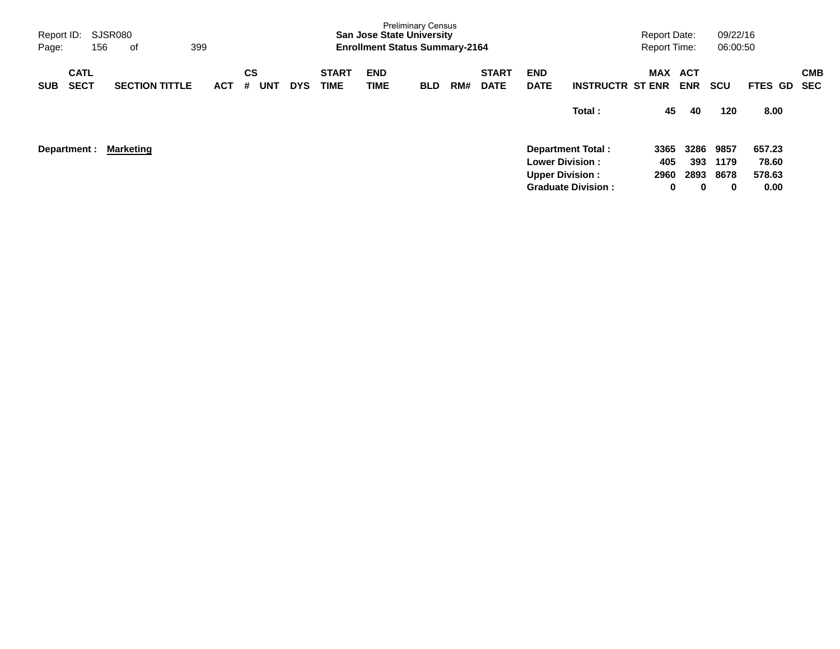| Report ID:<br>Page: |                            | SJSR080<br>156 | of                    | 399 |            |         |            |            |                             | <b>San Jose State University</b><br><b>Enrollment Status Summary-2164</b> | <b>Preliminary Census</b> |     |                             |                                                  |                           | <b>Report Date:</b><br><b>Report Time:</b> |                     | 09/22/16<br>06:00:50 |                           |                          |
|---------------------|----------------------------|----------------|-----------------------|-----|------------|---------|------------|------------|-----------------------------|---------------------------------------------------------------------------|---------------------------|-----|-----------------------------|--------------------------------------------------|---------------------------|--------------------------------------------|---------------------|----------------------|---------------------------|--------------------------|
| <b>SUB</b>          | <b>CATL</b><br><b>SECT</b> |                | <b>SECTION TITTLE</b> |     | <b>ACT</b> | CS<br># | <b>UNT</b> | <b>DYS</b> | <b>START</b><br><b>TIME</b> | <b>END</b><br>TIME                                                        | <b>BLD</b>                | RM# | <b>START</b><br><b>DATE</b> | <b>END</b><br><b>DATE</b>                        | <b>INSTRUCTR ST ENR</b>   | <b>MAX</b>                                 | ACT<br><b>ENR</b>   | <b>SCU</b>           | <b>FTES</b><br>GD.        | <b>CMB</b><br><b>SEC</b> |
|                     |                            |                |                       |     |            |         |            |            |                             |                                                                           |                           |     |                             |                                                  | Total:                    | 45                                         | 40                  | 120                  | 8.00                      |                          |
|                     | Department :               |                | <b>Marketing</b>      |     |            |         |            |            |                             |                                                                           |                           |     |                             | <b>Lower Division:</b><br><b>Upper Division:</b> | <b>Department Total:</b>  | 3365<br>405<br>2960                        | 3286<br>393<br>2893 | 9857<br>1179<br>8678 | 657.23<br>78.60<br>578.63 |                          |
|                     |                            |                |                       |     |            |         |            |            |                             |                                                                           |                           |     |                             |                                                  | <b>Graduate Division:</b> | 0                                          | 0                   | 0                    | 0.00                      |                          |